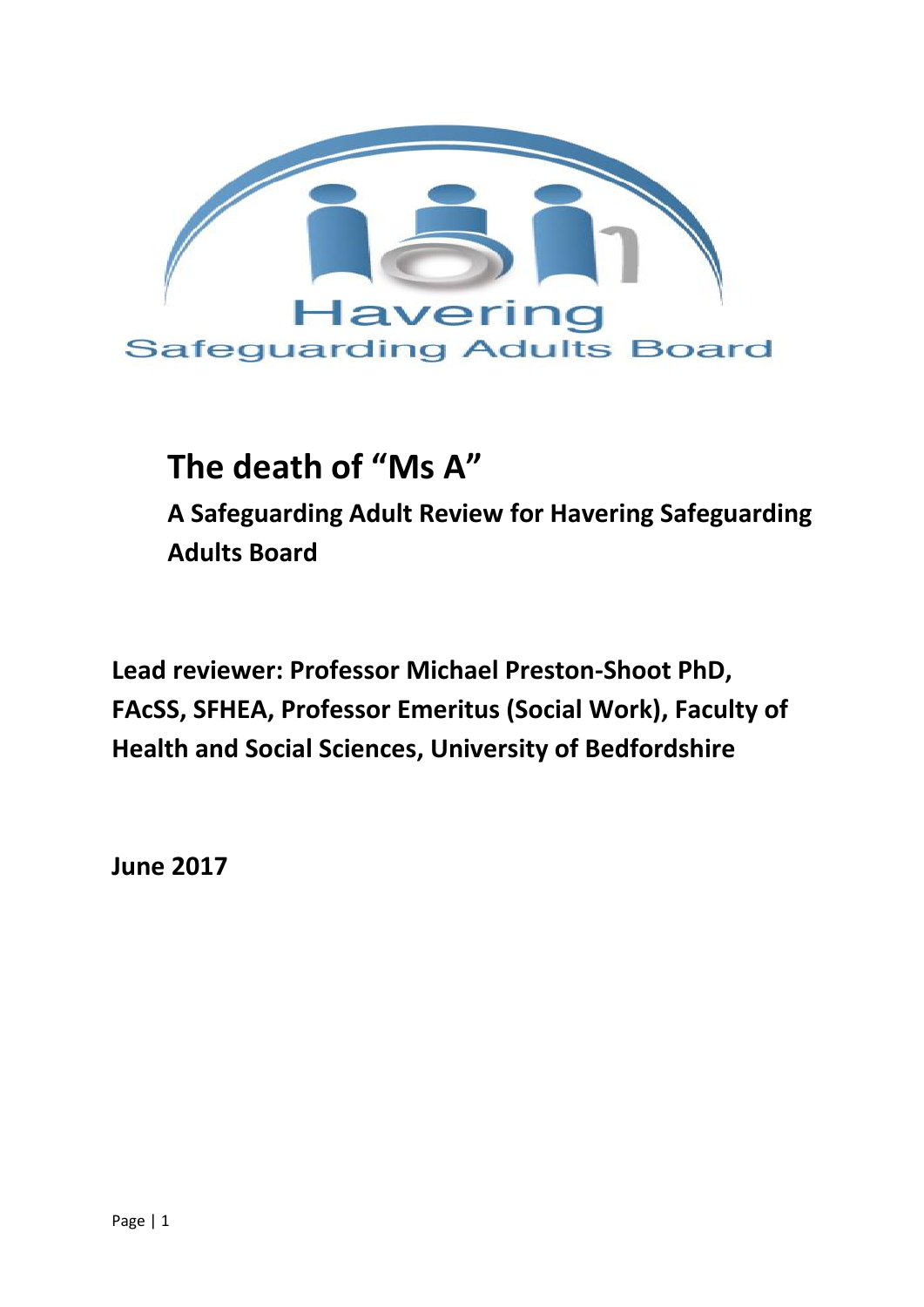

# **The death of "Ms A"**

**A Safeguarding Adult Review for Havering Safeguarding Adults Board** 

**Lead reviewer: Professor Michael Preston-Shoot PhD, FAcSS, SFHEA, Professor Emeritus (Social Work), Faculty of Health and Social Sciences, University of Bedfordshire** 

**June 2017**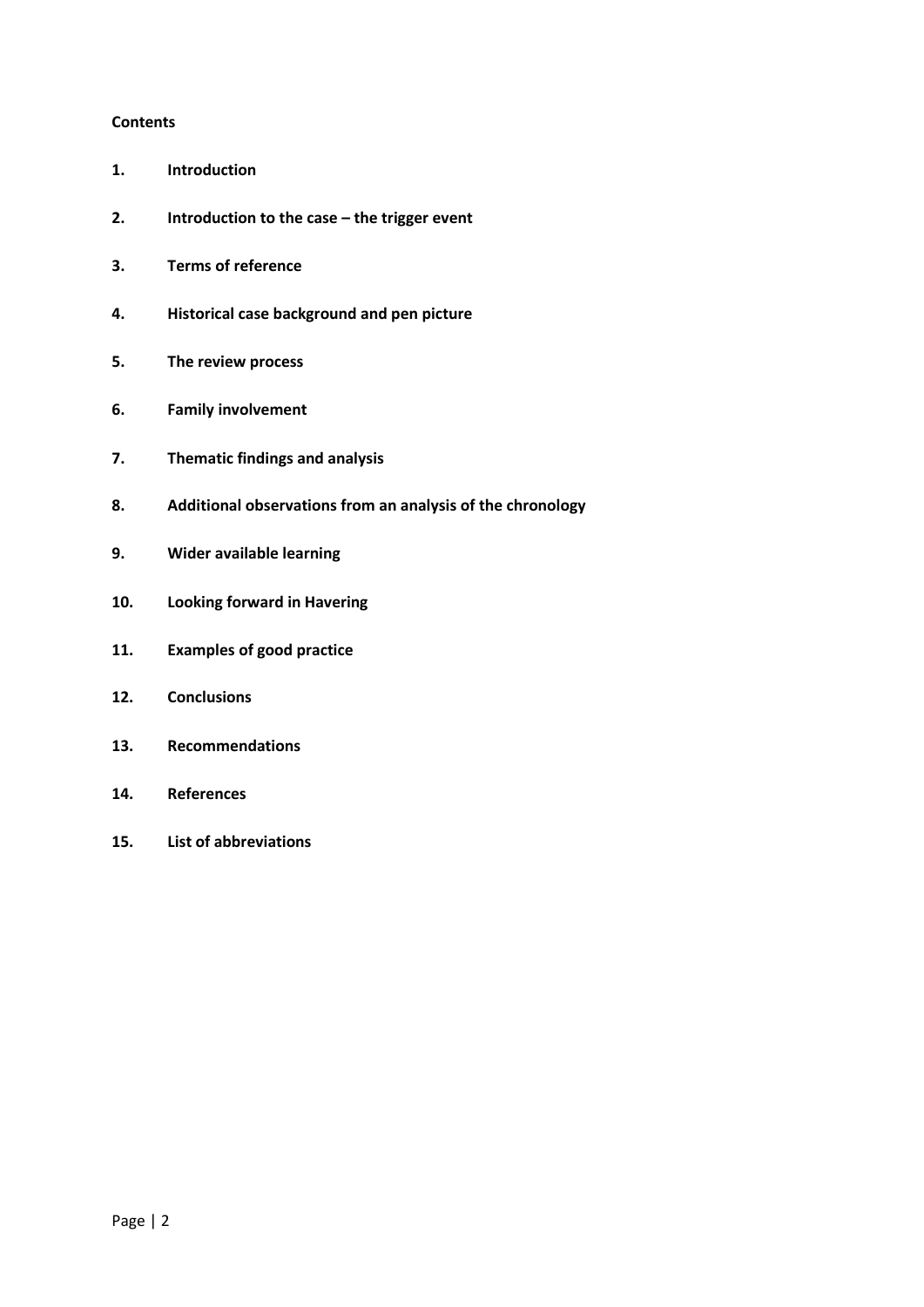#### **Contents**

- **1. Introduction**
- **2. Introduction to the case – the trigger event**
- **3. Terms of reference**
- **4. Historical case background and pen picture**
- **5. The review process**
- **6. Family involvement**
- **7. Thematic findings and analysis**
- **8. Additional observations from an analysis of the chronology**
- **9. Wider available learning**
- **10. Looking forward in Havering**
- **11. Examples of good practice**
- **12. Conclusions**
- **13. Recommendations**
- **14. References**
- **15. List of abbreviations**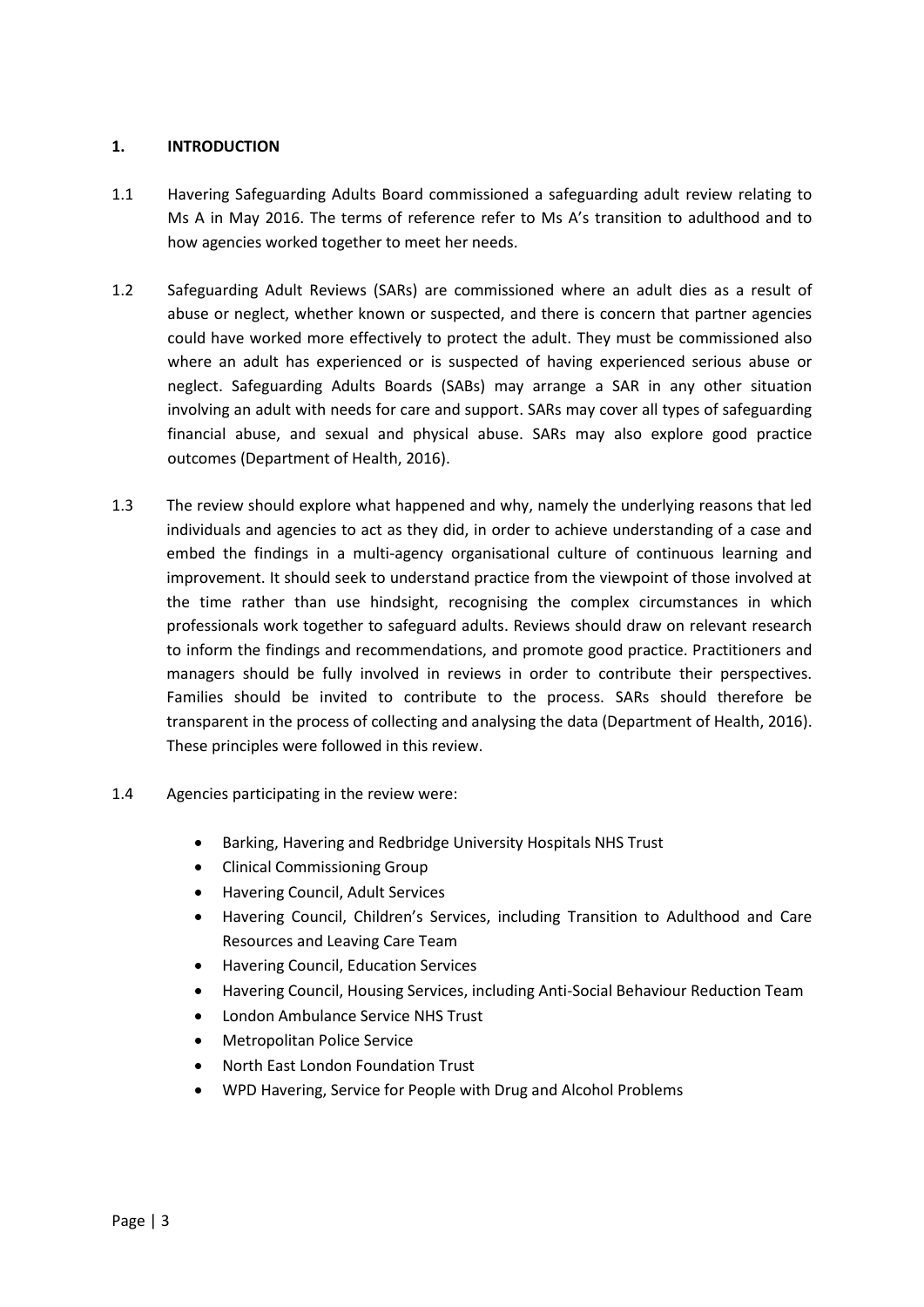## **1. INTRODUCTION**

- 1.1 Havering Safeguarding Adults Board commissioned a safeguarding adult review relating to Ms A in May 2016. The terms of reference refer to Ms A's transition to adulthood and to how agencies worked together to meet her needs.
- 1.2 Safeguarding Adult Reviews (SARs) are commissioned where an adult dies as a result of abuse or neglect, whether known or suspected, and there is concern that partner agencies could have worked more effectively to protect the adult. They must be commissioned also where an adult has experienced or is suspected of having experienced serious abuse or neglect. Safeguarding Adults Boards (SABs) may arrange a SAR in any other situation involving an adult with needs for care and support. SARs may cover all types of safeguarding financial abuse, and sexual and physical abuse. SARs may also explore good practice outcomes (Department of Health, 2016).
- 1.3 The review should explore what happened and why, namely the underlying reasons that led individuals and agencies to act as they did, in order to achieve understanding of a case and embed the findings in a multi-agency organisational culture of continuous learning and improvement. It should seek to understand practice from the viewpoint of those involved at the time rather than use hindsight, recognising the complex circumstances in which professionals work together to safeguard adults. Reviews should draw on relevant research to inform the findings and recommendations, and promote good practice. Practitioners and managers should be fully involved in reviews in order to contribute their perspectives. Families should be invited to contribute to the process. SARs should therefore be transparent in the process of collecting and analysing the data (Department of Health, 2016). These principles were followed in this review.
- 1.4 Agencies participating in the review were:
	- Barking, Havering and Redbridge University Hospitals NHS Trust
	- Clinical Commissioning Group
	- Havering Council, Adult Services
	- Havering Council, Children's Services, including Transition to Adulthood and Care Resources and Leaving Care Team
	- Havering Council, Education Services
	- Havering Council, Housing Services, including Anti-Social Behaviour Reduction Team
	- London Ambulance Service NHS Trust
	- Metropolitan Police Service
	- North East London Foundation Trust
	- WPD Havering, Service for People with Drug and Alcohol Problems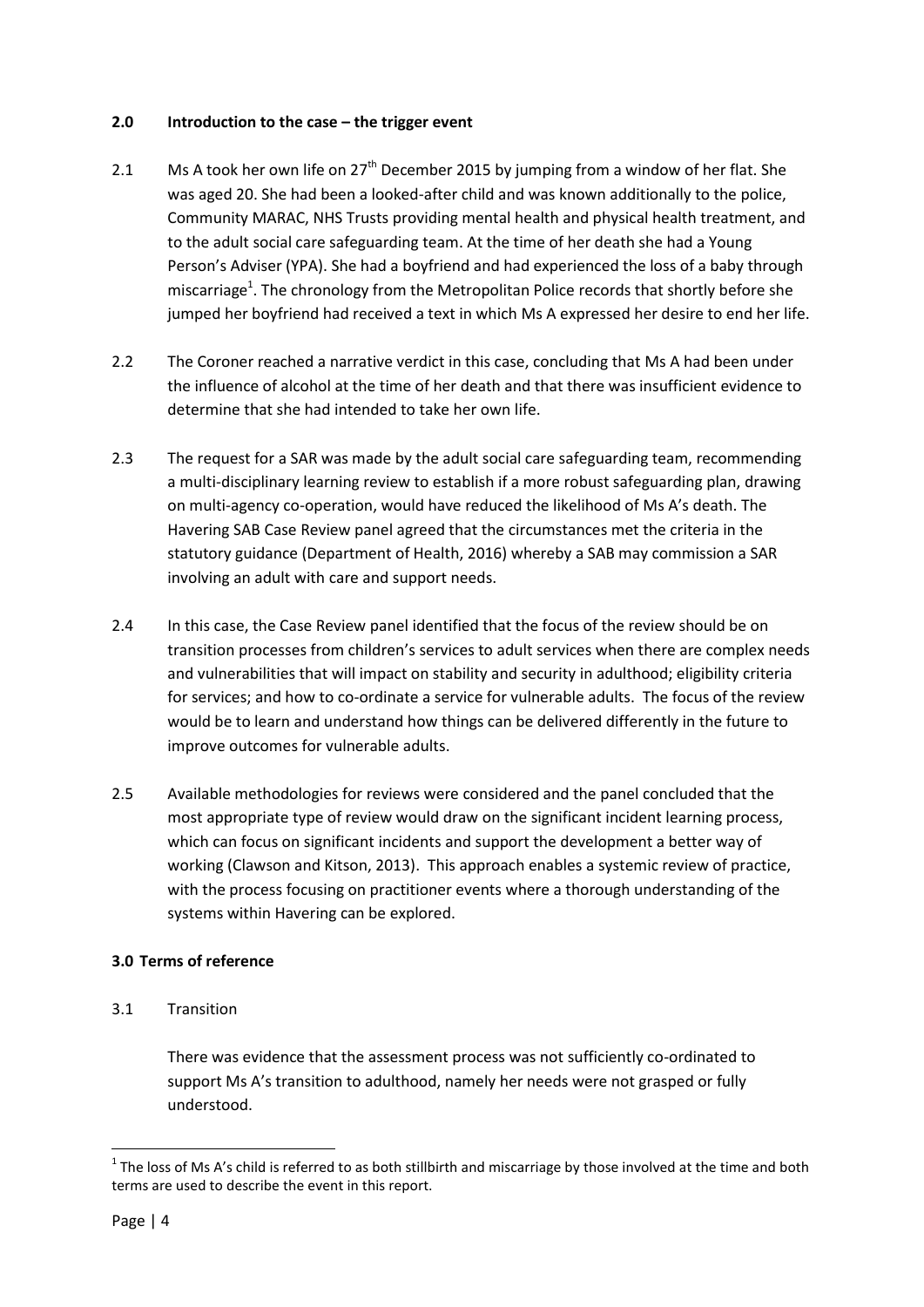## **2.0** Introduction to the case – the trigger event

- 2.1 Ms A took her own life on 27<sup>th</sup> December 2015 by jumping from a window of her flat. She was aged 20. She had been a looked-after child and was known additionally to the police, Community MARAC, NHS Trusts providing mental health and physical health treatment, and to the adult social care safeguarding team. At the time of her death she had a Young Person's Adviser (YPA). She had a boyfriend and had experienced the loss of a baby through miscarriage<sup>1</sup>. The chronology from the Metropolitan Police records that shortly before she jumped her boyfriend had received a text in which Ms A expressed her desire to end her life.
- 2.2 The Coroner reached a narrative verdict in this case, concluding that Ms A had been under the influence of alcohol at the time of her death and that there was insufficient evidence to determine that she had intended to take her own life.
- 2.3 The request for a SAR was made by the adult social care safeguarding team, recommending a multi-disciplinary learning review to establish if a more robust safeguarding plan, drawing on multi-agency co-operation, would have reduced the likelihood of Ms A's death. The Havering SAB Case Review panel agreed that the circumstances met the criteria in the statutory guidance (Department of Health, 2016) whereby a SAB may commission a SAR involving an adult with care and support needs.
- 2.4 In this case, the Case Review panel identified that the focus of the review should be on transition processes from children's services to adult services when there are complex needs and vulnerabilities that will impact on stability and security in adulthood; eligibility criteria for services; and how to co-ordinate a service for vulnerable adults. The focus of the review would be to learn and understand how things can be delivered differently in the future to improve outcomes for vulnerable adults.
- 2.5 Available methodologies for reviews were considered and the panel concluded that the most appropriate type of review would draw on the significant incident learning process, which can focus on significant incidents and support the development a better way of working (Clawson and Kitson, 2013). This approach enables a systemic review of practice, with the process focusing on practitioner events where a thorough understanding of the systems within Havering can be explored.

# **3.0 Terms of reference**

3.1 Transition

There was evidence that the assessment process was not sufficiently co-ordinated to support Ms A's transition to adulthood, namely her needs were not grasped or fully understood.

**.** 

 $1$  The loss of Ms A's child is referred to as both stillbirth and miscarriage by those involved at the time and both terms are used to describe the event in this report.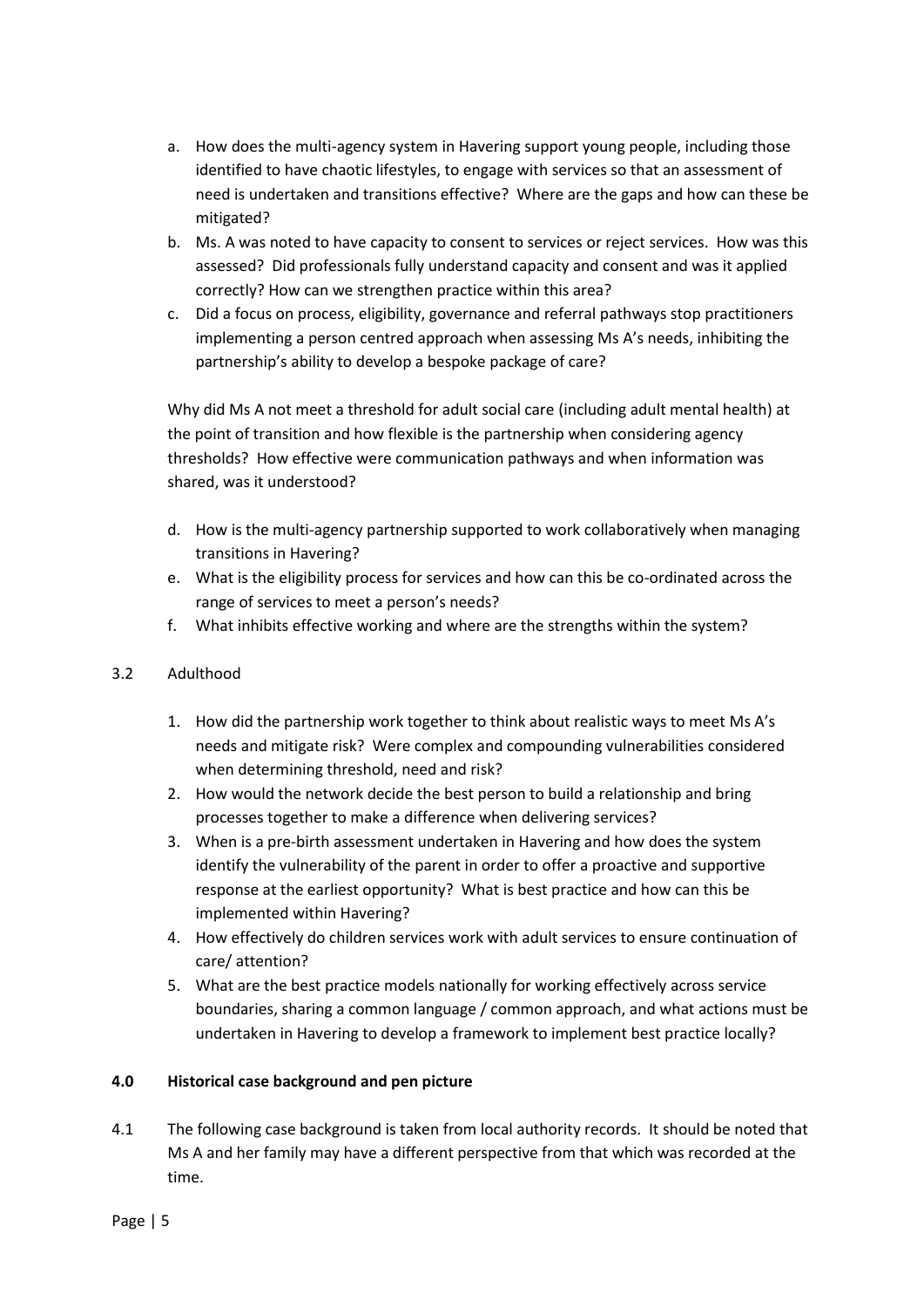- a. How does the multi-agency system in Havering support young people, including those identified to have chaotic lifestyles, to engage with services so that an assessment of need is undertaken and transitions effective? Where are the gaps and how can these be mitigated?
- b. Ms. A was noted to have capacity to consent to services or reject services. How was this assessed? Did professionals fully understand capacity and consent and was it applied correctly? How can we strengthen practice within this area?
- c. Did a focus on process, eligibility, governance and referral pathways stop practitioners implementing a person centred approach when assessing Ms A's needs, inhibiting the partnership's ability to develop a bespoke package of care?

Why did Ms A not meet a threshold for adult social care (including adult mental health) at the point of transition and how flexible is the partnership when considering agency thresholds? How effective were communication pathways and when information was shared, was it understood?

- d. How is the multi-agency partnership supported to work collaboratively when managing transitions in Havering?
- e. What is the eligibility process for services and how can this be co-ordinated across the range of services to meet a person's needs?
- f. What inhibits effective working and where are the strengths within the system?

# 3.2 Adulthood

- 1. How did the partnership work together to think about realistic ways to meet Ms A's needs and mitigate risk? Were complex and compounding vulnerabilities considered when determining threshold, need and risk?
- 2. How would the network decide the best person to build a relationship and bring processes together to make a difference when delivering services?
- 3. When is a pre-birth assessment undertaken in Havering and how does the system identify the vulnerability of the parent in order to offer a proactive and supportive response at the earliest opportunity? What is best practice and how can this be implemented within Havering?
- 4. How effectively do children services work with adult services to ensure continuation of care/ attention?
- 5. What are the best practice models nationally for working effectively across service boundaries, sharing a common language / common approach, and what actions must be undertaken in Havering to develop a framework to implement best practice locally?

# **4.0 Historical case background and pen picture**

4.1 The following case background is taken from local authority records. It should be noted that Ms A and her family may have a different perspective from that which was recorded at the time.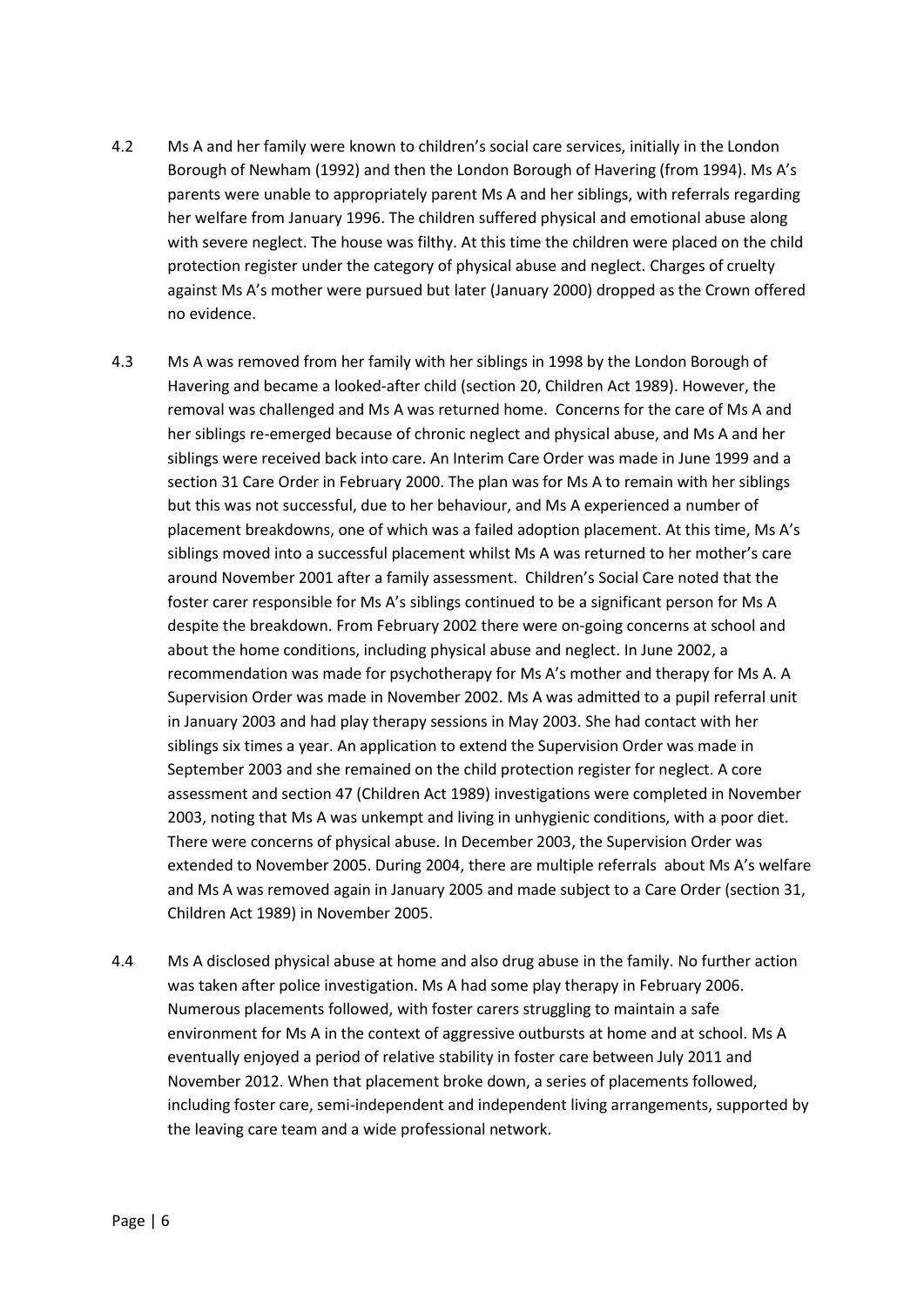- 4.2 Ms A and her family were known to children's social care services, initially in the London Borough of Newham (1992) and then the London Borough of Havering (from 1994). Ms A's parents were unable to appropriately parent Ms A and her siblings, with referrals regarding her welfare from January 1996. The children suffered physical and emotional abuse along with severe neglect. The house was filthy. At this time the children were placed on the child protection register under the category of physical abuse and neglect. Charges of cruelty against Ms A's mother were pursued but later (January 2000) dropped as the Crown offered no evidence.
- 4.3 Ms A was removed from her family with her siblings in 1998 by the London Borough of Havering and became a looked-after child (section 20, Children Act 1989). However, the removal was challenged and Ms A was returned home. Concerns for the care of Ms A and her siblings re-emerged because of chronic neglect and physical abuse, and Ms A and her siblings were received back into care. An Interim Care Order was made in June 1999 and a section 31 Care Order in February 2000. The plan was for Ms A to remain with her siblings but this was not successful, due to her behaviour, and Ms A experienced a number of placement breakdowns, one of which was a failed adoption placement. At this time, Ms A's siblings moved into a successful placement whilst Ms A was returned to her mother's care around November 2001 after a family assessment. Children's Social Care noted that the foster carer responsible for Ms A's siblings continued to be a significant person for Ms A despite the breakdown. From February 2002 there were on-going concerns at school and about the home conditions, including physical abuse and neglect. In June 2002, a recommendation was made for psychotherapy for Ms A's mother and therapy for Ms A. A Supervision Order was made in November 2002. Ms A was admitted to a pupil referral unit in January 2003 and had play therapy sessions in May 2003. She had contact with her siblings six times a year. An application to extend the Supervision Order was made in September 2003 and she remained on the child protection register for neglect. A core assessment and section 47 (Children Act 1989) investigations were completed in November 2003, noting that Ms A was unkempt and living in unhygienic conditions, with a poor diet. There were concerns of physical abuse. In December 2003, the Supervision Order was extended to November 2005. During 2004, there are multiple referrals about Ms A's welfare and Ms A was removed again in January 2005 and made subject to a Care Order (section 31, Children Act 1989) in November 2005.
- 4.4 Ms A disclosed physical abuse at home and also drug abuse in the family. No further action was taken after police investigation. Ms A had some play therapy in February 2006. Numerous placements followed, with foster carers struggling to maintain a safe environment for Ms A in the context of aggressive outbursts at home and at school. Ms A eventually enjoyed a period of relative stability in foster care between July 2011 and November 2012. When that placement broke down, a series of placements followed, including foster care, semi-independent and independent living arrangements, supported by the leaving care team and a wide professional network.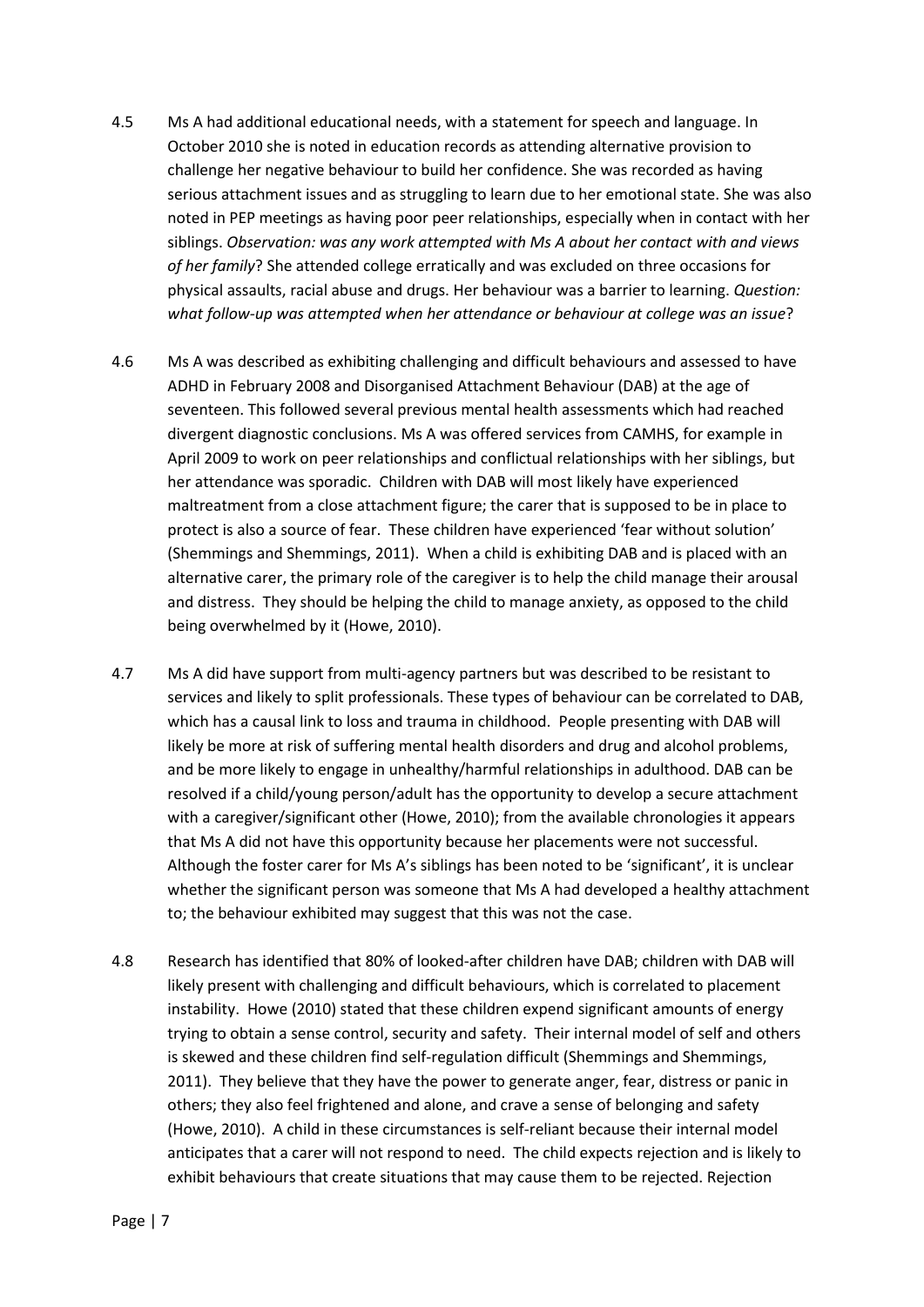- 4.5 Ms A had additional educational needs, with a statement for speech and language. In October 2010 she is noted in education records as attending alternative provision to challenge her negative behaviour to build her confidence. She was recorded as having serious attachment issues and as struggling to learn due to her emotional state. She was also noted in PEP meetings as having poor peer relationships, especially when in contact with her siblings. *Observation: was any work attempted with Ms A about her contact with and views of her family*? She attended college erratically and was excluded on three occasions for physical assaults, racial abuse and drugs. Her behaviour was a barrier to learning. *Question: what follow-up was attempted when her attendance or behaviour at college was an issue*?
- 4.6 Ms A was described as exhibiting challenging and difficult behaviours and assessed to have ADHD in February 2008 and Disorganised Attachment Behaviour (DAB) at the age of seventeen. This followed several previous mental health assessments which had reached divergent diagnostic conclusions. Ms A was offered services from CAMHS, for example in April 2009 to work on peer relationships and conflictual relationships with her siblings, but her attendance was sporadic. Children with DAB will most likely have experienced maltreatment from a close attachment figure; the carer that is supposed to be in place to protect is also a source of fear. These children have experienced 'fear without solution' (Shemmings and Shemmings, 2011). When a child is exhibiting DAB and is placed with an alternative carer, the primary role of the caregiver is to help the child manage their arousal and distress. They should be helping the child to manage anxiety, as opposed to the child being overwhelmed by it (Howe, 2010).
- 4.7 Ms A did have support from multi-agency partners but was described to be resistant to services and likely to split professionals. These types of behaviour can be correlated to DAB, which has a causal link to loss and trauma in childhood. People presenting with DAB will likely be more at risk of suffering mental health disorders and drug and alcohol problems, and be more likely to engage in unhealthy/harmful relationships in adulthood. DAB can be resolved if a child/young person/adult has the opportunity to develop a secure attachment with a caregiver/significant other (Howe, 2010); from the available chronologies it appears that Ms A did not have this opportunity because her placements were not successful. Although the foster carer for Ms A's siblings has been noted to be 'significant', it is unclear whether the significant person was someone that Ms A had developed a healthy attachment to; the behaviour exhibited may suggest that this was not the case.
- 4.8 Research has identified that 80% of looked-after children have DAB; children with DAB will likely present with challenging and difficult behaviours, which is correlated to placement instability. Howe (2010) stated that these children expend significant amounts of energy trying to obtain a sense control, security and safety. Their internal model of self and others is skewed and these children find self-regulation difficult (Shemmings and Shemmings, 2011). They believe that they have the power to generate anger, fear, distress or panic in others; they also feel frightened and alone, and crave a sense of belonging and safety (Howe, 2010). A child in these circumstances is self-reliant because their internal model anticipates that a carer will not respond to need. The child expects rejection and is likely to exhibit behaviours that create situations that may cause them to be rejected. Rejection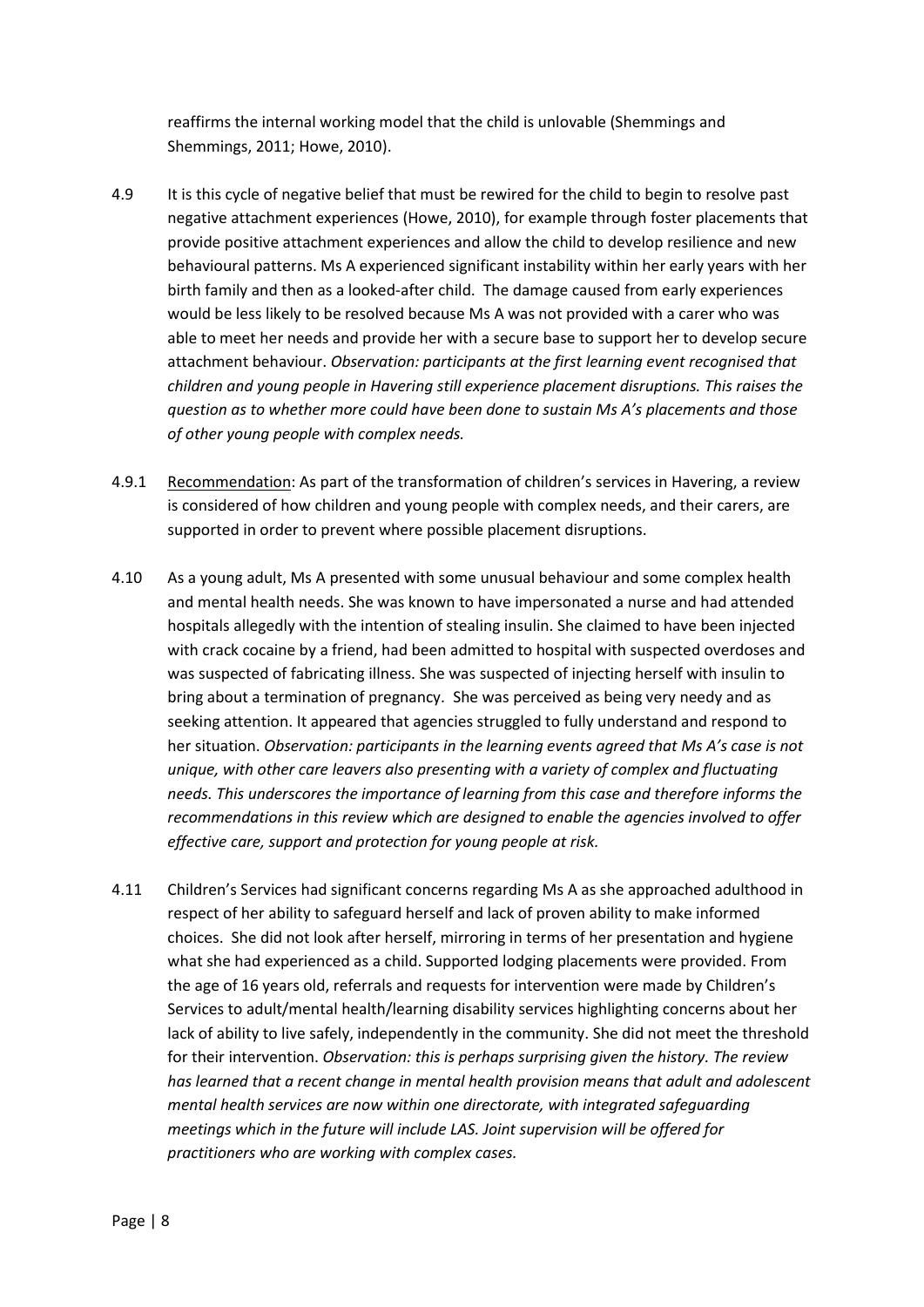reaffirms the internal working model that the child is unlovable (Shemmings and Shemmings, 2011; Howe, 2010).

- 4.9 It is this cycle of negative belief that must be rewired for the child to begin to resolve past negative attachment experiences (Howe, 2010), for example through foster placements that provide positive attachment experiences and allow the child to develop resilience and new behavioural patterns. Ms A experienced significant instability within her early years with her birth family and then as a looked-after child. The damage caused from early experiences would be less likely to be resolved because Ms A was not provided with a carer who was able to meet her needs and provide her with a secure base to support her to develop secure attachment behaviour. *Observation: participants at the first learning event recognised that children and young people in Havering still experience placement disruptions. This raises the question as to whether more could have been done to sustain Ms A's placements and those of other young people with complex needs.*
- 4.9.1 Recommendation: As part of the transformation of children's services in Havering, a review is considered of how children and young people with complex needs, and their carers, are supported in order to prevent where possible placement disruptions.
- 4.10 As a young adult, Ms A presented with some unusual behaviour and some complex health and mental health needs. She was known to have impersonated a nurse and had attended hospitals allegedly with the intention of stealing insulin. She claimed to have been injected with crack cocaine by a friend, had been admitted to hospital with suspected overdoses and was suspected of fabricating illness. She was suspected of injecting herself with insulin to bring about a termination of pregnancy. She was perceived as being very needy and as seeking attention. It appeared that agencies struggled to fully understand and respond to her situation. *Observation: participants in the learning events agreed that Ms A's case is not unique, with other care leavers also presenting with a variety of complex and fluctuating needs. This underscores the importance of learning from this case and therefore informs the recommendations in this review which are designed to enable the agencies involved to offer effective care, support and protection for young people at risk.*
- 4.11 Children's Services had significant concerns regarding Ms A as she approached adulthood in respect of her ability to safeguard herself and lack of proven ability to make informed choices. She did not look after herself, mirroring in terms of her presentation and hygiene what she had experienced as a child. Supported lodging placements were provided. From the age of 16 years old, referrals and requests for intervention were made by Children's Services to adult/mental health/learning disability services highlighting concerns about her lack of ability to live safely, independently in the community. She did not meet the threshold for their intervention. *Observation: this is perhaps surprising given the history. The review has learned that a recent change in mental health provision means that adult and adolescent mental health services are now within one directorate, with integrated safeguarding meetings which in the future will include LAS. Joint supervision will be offered for practitioners who are working with complex cases.*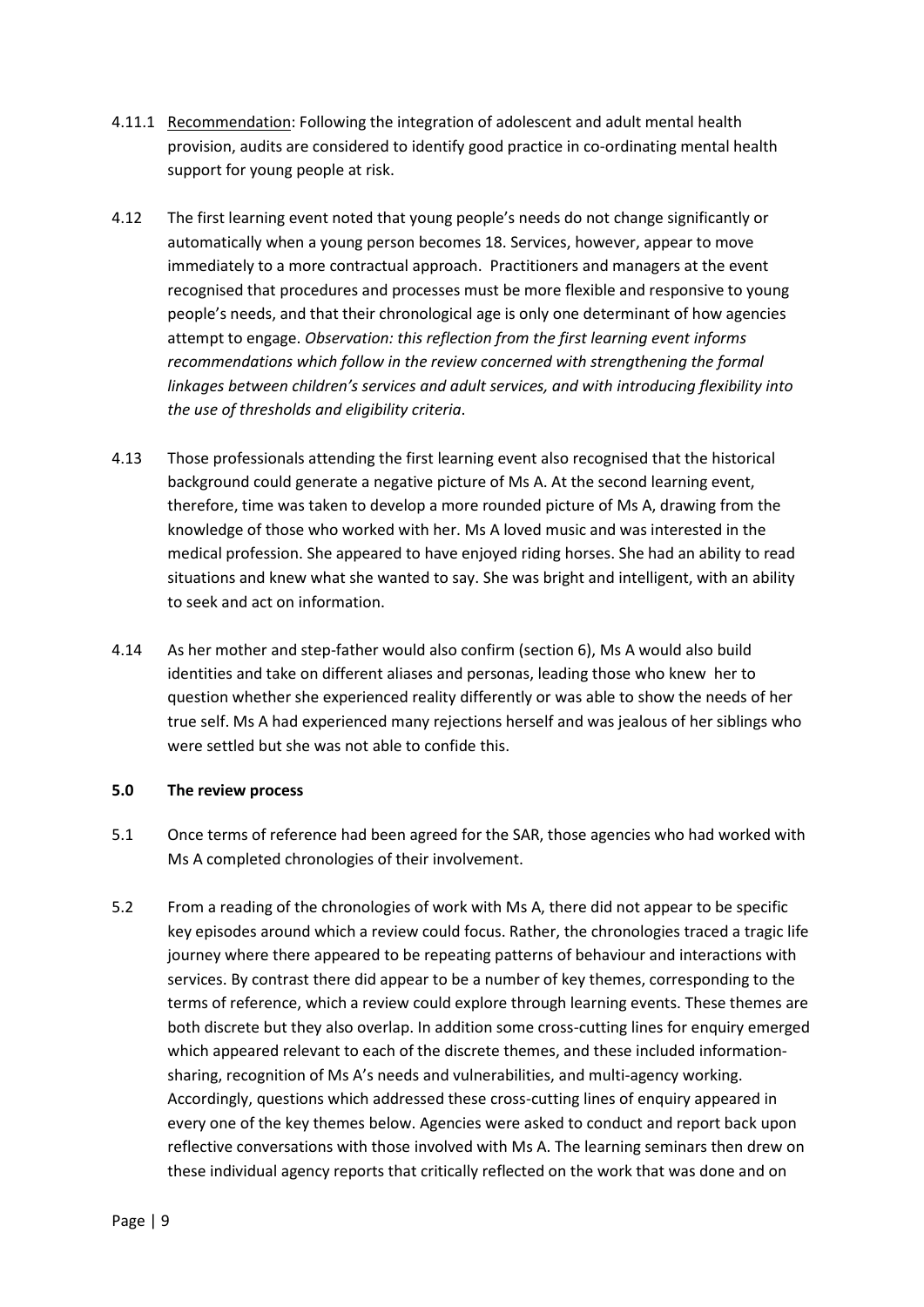- 4.11.1 Recommendation: Following the integration of adolescent and adult mental health provision, audits are considered to identify good practice in co-ordinating mental health support for young people at risk.
- 4.12 The first learning event noted that young people's needs do not change significantly or automatically when a young person becomes 18. Services, however, appear to move immediately to a more contractual approach. Practitioners and managers at the event recognised that procedures and processes must be more flexible and responsive to young people's needs, and that their chronological age is only one determinant of how agencies attempt to engage. *Observation: this reflection from the first learning event informs recommendations which follow in the review concerned with strengthening the formal linkages between children's services and adult services, and with introducing flexibility into the use of thresholds and eligibility criteria*.
- 4.13 Those professionals attending the first learning event also recognised that the historical background could generate a negative picture of Ms A. At the second learning event, therefore, time was taken to develop a more rounded picture of Ms A, drawing from the knowledge of those who worked with her. Ms A loved music and was interested in the medical profession. She appeared to have enjoyed riding horses. She had an ability to read situations and knew what she wanted to say. She was bright and intelligent, with an ability to seek and act on information.
- 4.14 As her mother and step-father would also confirm (section 6), Ms A would also build identities and take on different aliases and personas, leading those who knew her to question whether she experienced reality differently or was able to show the needs of her true self. Ms A had experienced many rejections herself and was jealous of her siblings who were settled but she was not able to confide this.

#### **5.0 The review process**

- 5.1 Once terms of reference had been agreed for the SAR, those agencies who had worked with Ms A completed chronologies of their involvement.
- 5.2 From a reading of the chronologies of work with Ms A, there did not appear to be specific key episodes around which a review could focus. Rather, the chronologies traced a tragic life journey where there appeared to be repeating patterns of behaviour and interactions with services. By contrast there did appear to be a number of key themes, corresponding to the terms of reference, which a review could explore through learning events. These themes are both discrete but they also overlap. In addition some cross-cutting lines for enquiry emerged which appeared relevant to each of the discrete themes, and these included informationsharing, recognition of Ms A's needs and vulnerabilities, and multi-agency working. Accordingly, questions which addressed these cross-cutting lines of enquiry appeared in every one of the key themes below. Agencies were asked to conduct and report back upon reflective conversations with those involved with Ms A. The learning seminars then drew on these individual agency reports that critically reflected on the work that was done and on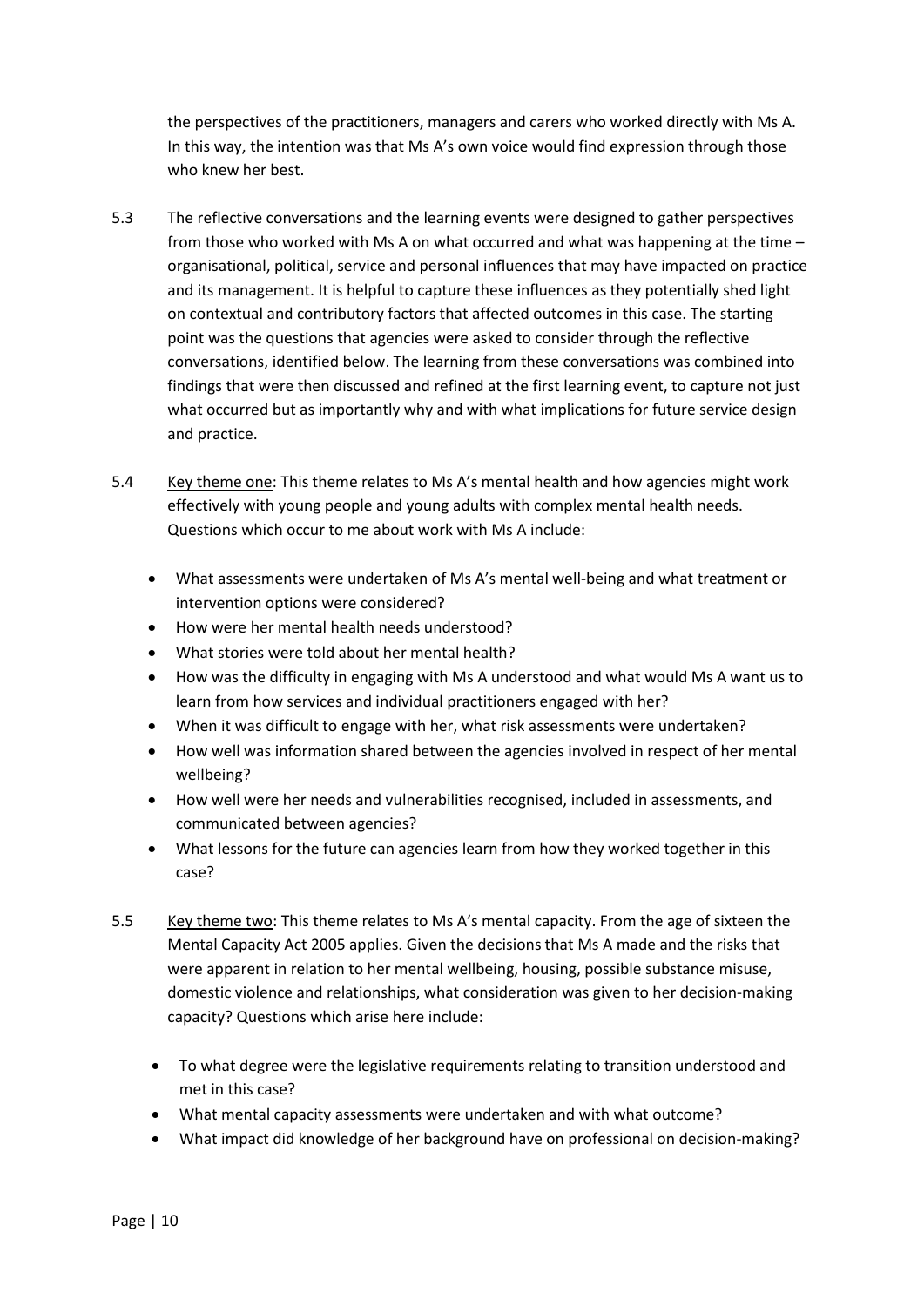the perspectives of the practitioners, managers and carers who worked directly with Ms A. In this way, the intention was that Ms A's own voice would find expression through those who knew her best.

- 5.3 The reflective conversations and the learning events were designed to gather perspectives from those who worked with Ms A on what occurred and what was happening at the time – organisational, political, service and personal influences that may have impacted on practice and its management. It is helpful to capture these influences as they potentially shed light on contextual and contributory factors that affected outcomes in this case. The starting point was the questions that agencies were asked to consider through the reflective conversations, identified below. The learning from these conversations was combined into findings that were then discussed and refined at the first learning event, to capture not just what occurred but as importantly why and with what implications for future service design and practice.
- 5.4 Key theme one: This theme relates to Ms A's mental health and how agencies might work effectively with young people and young adults with complex mental health needs. Questions which occur to me about work with Ms A include:
	- What assessments were undertaken of Ms A's mental well-being and what treatment or intervention options were considered?
	- How were her mental health needs understood?
	- What stories were told about her mental health?
	- How was the difficulty in engaging with Ms A understood and what would Ms A want us to learn from how services and individual practitioners engaged with her?
	- When it was difficult to engage with her, what risk assessments were undertaken?
	- How well was information shared between the agencies involved in respect of her mental wellbeing?
	- How well were her needs and vulnerabilities recognised, included in assessments, and communicated between agencies?
	- What lessons for the future can agencies learn from how they worked together in this case?
- 5.5 Key theme two: This theme relates to Ms A's mental capacity. From the age of sixteen the Mental Capacity Act 2005 applies. Given the decisions that Ms A made and the risks that were apparent in relation to her mental wellbeing, housing, possible substance misuse, domestic violence and relationships, what consideration was given to her decision-making capacity? Questions which arise here include:
	- To what degree were the legislative requirements relating to transition understood and met in this case?
	- What mental capacity assessments were undertaken and with what outcome?
	- What impact did knowledge of her background have on professional on decision-making?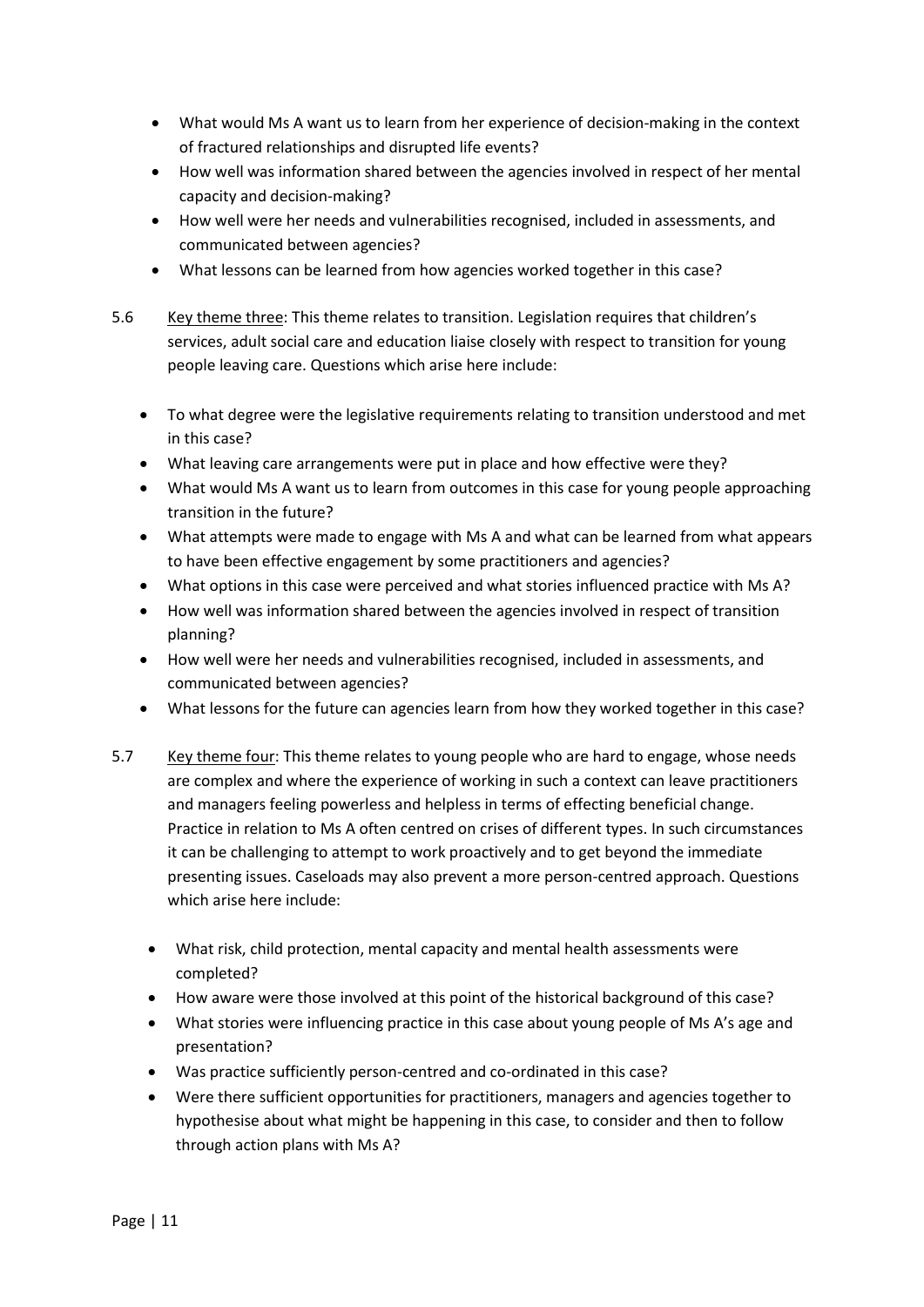- What would Ms A want us to learn from her experience of decision-making in the context of fractured relationships and disrupted life events?
- How well was information shared between the agencies involved in respect of her mental capacity and decision-making?
- How well were her needs and vulnerabilities recognised, included in assessments, and communicated between agencies?
- What lessons can be learned from how agencies worked together in this case?
- 5.6 Key theme three: This theme relates to transition. Legislation requires that children's services, adult social care and education liaise closely with respect to transition for young people leaving care. Questions which arise here include:
	- To what degree were the legislative requirements relating to transition understood and met in this case?
	- What leaving care arrangements were put in place and how effective were they?
	- What would Ms A want us to learn from outcomes in this case for young people approaching transition in the future?
	- What attempts were made to engage with Ms A and what can be learned from what appears to have been effective engagement by some practitioners and agencies?
	- What options in this case were perceived and what stories influenced practice with Ms A?
	- How well was information shared between the agencies involved in respect of transition planning?
	- How well were her needs and vulnerabilities recognised, included in assessments, and communicated between agencies?
	- What lessons for the future can agencies learn from how they worked together in this case?
- 5.7 Key theme four: This theme relates to young people who are hard to engage, whose needs are complex and where the experience of working in such a context can leave practitioners and managers feeling powerless and helpless in terms of effecting beneficial change. Practice in relation to Ms A often centred on crises of different types. In such circumstances it can be challenging to attempt to work proactively and to get beyond the immediate presenting issues. Caseloads may also prevent a more person-centred approach. Questions which arise here include:
	- What risk, child protection, mental capacity and mental health assessments were completed?
	- How aware were those involved at this point of the historical background of this case?
	- What stories were influencing practice in this case about young people of Ms A's age and presentation?
	- Was practice sufficiently person-centred and co-ordinated in this case?
	- Were there sufficient opportunities for practitioners, managers and agencies together to hypothesise about what might be happening in this case, to consider and then to follow through action plans with Ms A?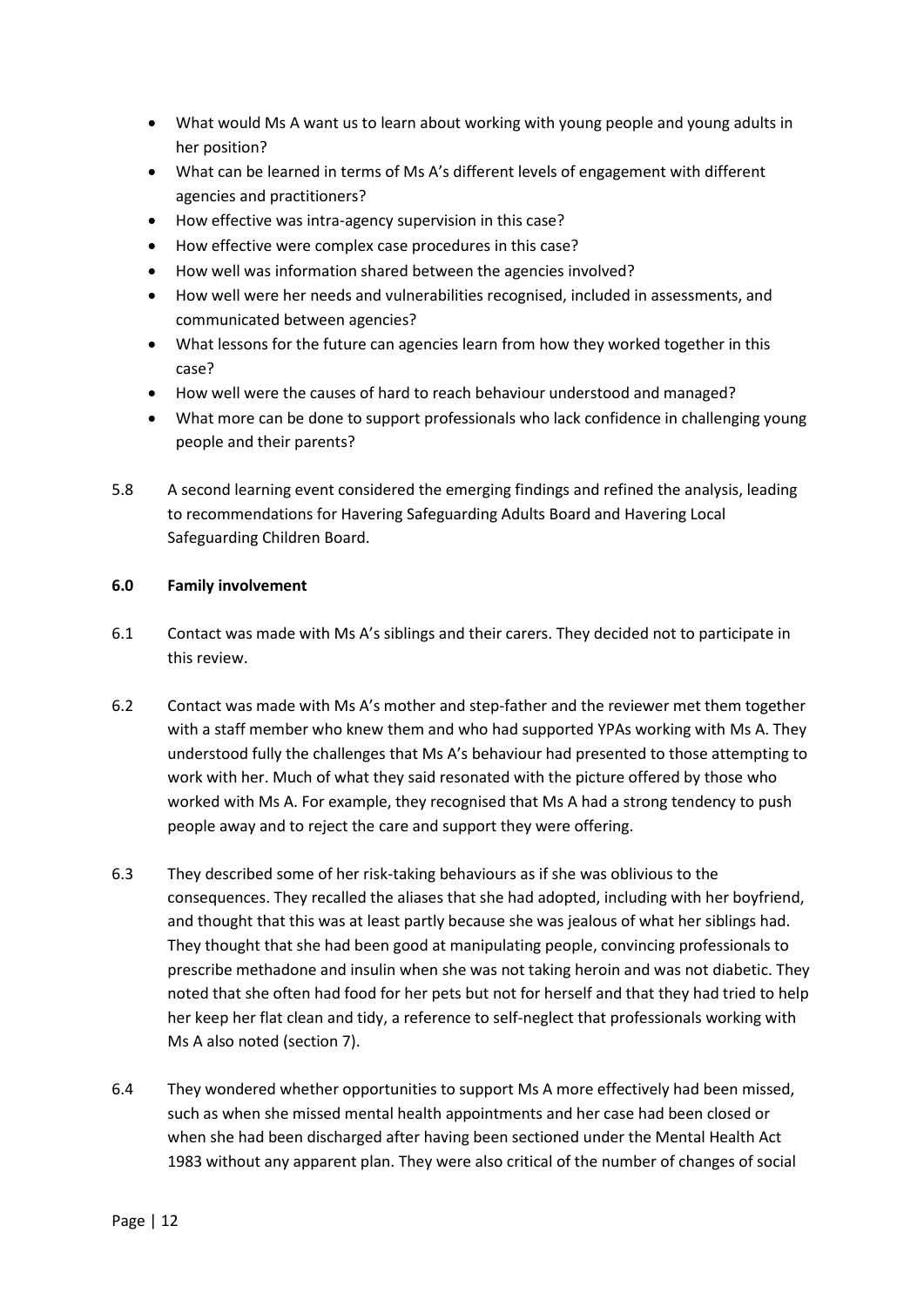- What would Ms A want us to learn about working with young people and young adults in her position?
- What can be learned in terms of Ms A's different levels of engagement with different agencies and practitioners?
- How effective was intra-agency supervision in this case?
- How effective were complex case procedures in this case?
- How well was information shared between the agencies involved?
- How well were her needs and vulnerabilities recognised, included in assessments, and communicated between agencies?
- What lessons for the future can agencies learn from how they worked together in this case?
- How well were the causes of hard to reach behaviour understood and managed?
- What more can be done to support professionals who lack confidence in challenging young people and their parents?
- 5.8 A second learning event considered the emerging findings and refined the analysis, leading to recommendations for Havering Safeguarding Adults Board and Havering Local Safeguarding Children Board.

## **6.0 Family involvement**

- 6.1 Contact was made with Ms A's siblings and their carers. They decided not to participate in this review.
- 6.2 Contact was made with Ms A's mother and step-father and the reviewer met them together with a staff member who knew them and who had supported YPAs working with Ms A. They understood fully the challenges that Ms A's behaviour had presented to those attempting to work with her. Much of what they said resonated with the picture offered by those who worked with Ms A. For example, they recognised that Ms A had a strong tendency to push people away and to reject the care and support they were offering.
- 6.3 They described some of her risk-taking behaviours as if she was oblivious to the consequences. They recalled the aliases that she had adopted, including with her boyfriend, and thought that this was at least partly because she was jealous of what her siblings had. They thought that she had been good at manipulating people, convincing professionals to prescribe methadone and insulin when she was not taking heroin and was not diabetic. They noted that she often had food for her pets but not for herself and that they had tried to help her keep her flat clean and tidy, a reference to self-neglect that professionals working with Ms A also noted (section 7).
- 6.4 They wondered whether opportunities to support Ms A more effectively had been missed, such as when she missed mental health appointments and her case had been closed or when she had been discharged after having been sectioned under the Mental Health Act 1983 without any apparent plan. They were also critical of the number of changes of social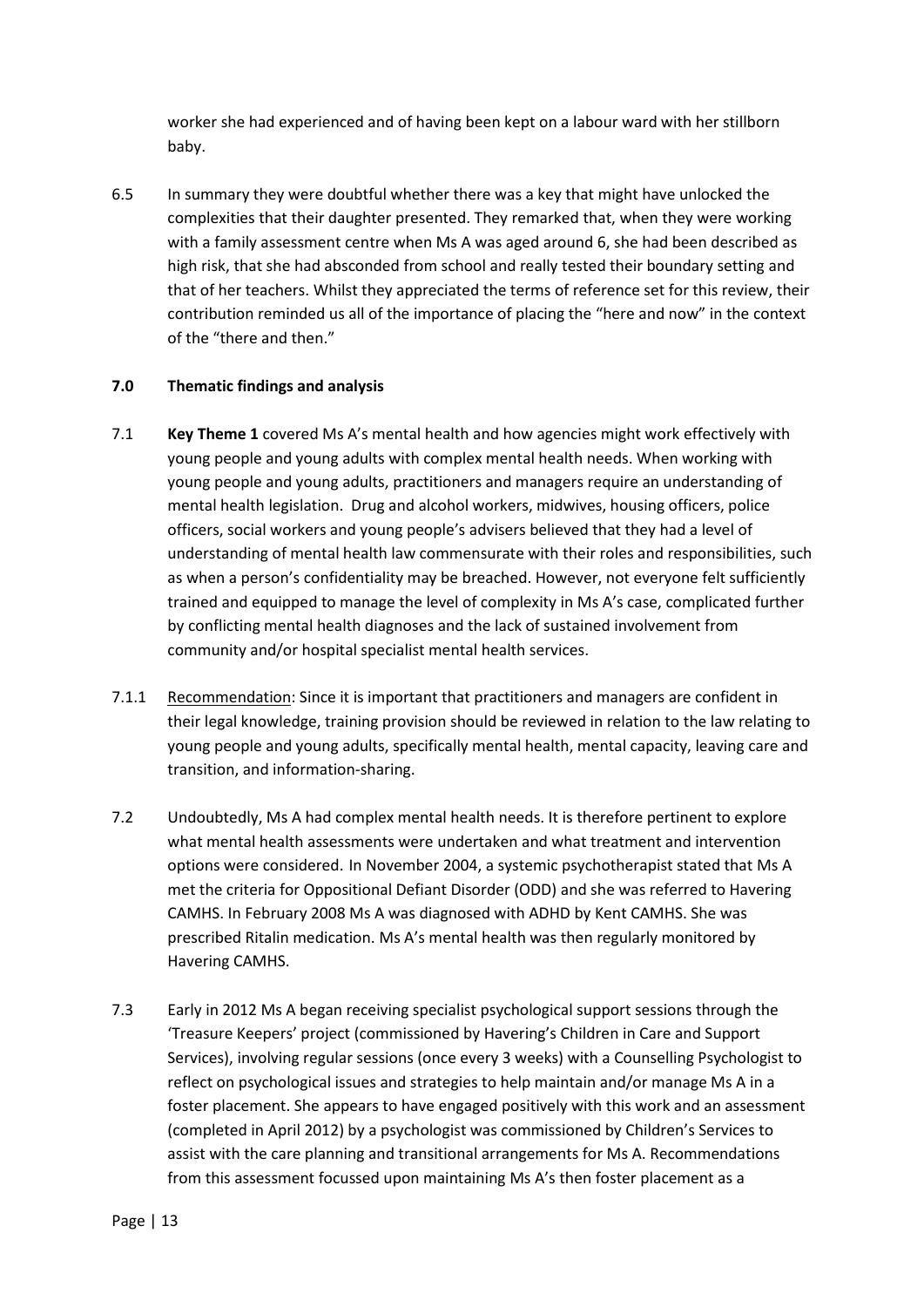worker she had experienced and of having been kept on a labour ward with her stillborn baby.

6.5 In summary they were doubtful whether there was a key that might have unlocked the complexities that their daughter presented. They remarked that, when they were working with a family assessment centre when Ms A was aged around 6, she had been described as high risk, that she had absconded from school and really tested their boundary setting and that of her teachers. Whilst they appreciated the terms of reference set for this review, their contribution reminded us all of the importance of placing the "here and now" in the context of the "there and then."

## **7.0 Thematic findings and analysis**

- 7.1 **Key Theme 1** covered Ms A's mental health and how agencies might work effectively with young people and young adults with complex mental health needs. When working with young people and young adults, practitioners and managers require an understanding of mental health legislation. Drug and alcohol workers, midwives, housing officers, police officers, social workers and young people's advisers believed that they had a level of understanding of mental health law commensurate with their roles and responsibilities, such as when a person's confidentiality may be breached. However, not everyone felt sufficiently trained and equipped to manage the level of complexity in Ms A's case, complicated further by conflicting mental health diagnoses and the lack of sustained involvement from community and/or hospital specialist mental health services.
- 7.1.1 Recommendation: Since it is important that practitioners and managers are confident in their legal knowledge, training provision should be reviewed in relation to the law relating to young people and young adults, specifically mental health, mental capacity, leaving care and transition, and information-sharing.
- 7.2 Undoubtedly, Ms A had complex mental health needs. It is therefore pertinent to explore what mental health assessments were undertaken and what treatment and intervention options were considered. In November 2004, a systemic psychotherapist stated that Ms A met the criteria for Oppositional Defiant Disorder (ODD) and she was referred to Havering CAMHS. In February 2008 Ms A was diagnosed with ADHD by Kent CAMHS. She was prescribed Ritalin medication. Ms A's mental health was then regularly monitored by Havering CAMHS.
- 7.3 Early in 2012 Ms A began receiving specialist psychological support sessions through the 'Treasure Keepers' project (commissioned by Havering's Children in Care and Support Services), involving regular sessions (once every 3 weeks) with a Counselling Psychologist to reflect on psychological issues and strategies to help maintain and/or manage Ms A in a foster placement. She appears to have engaged positively with this work and an assessment (completed in April 2012) by a psychologist was commissioned by Children's Services to assist with the care planning and transitional arrangements for Ms A. Recommendations from this assessment focussed upon maintaining Ms A's then foster placement as a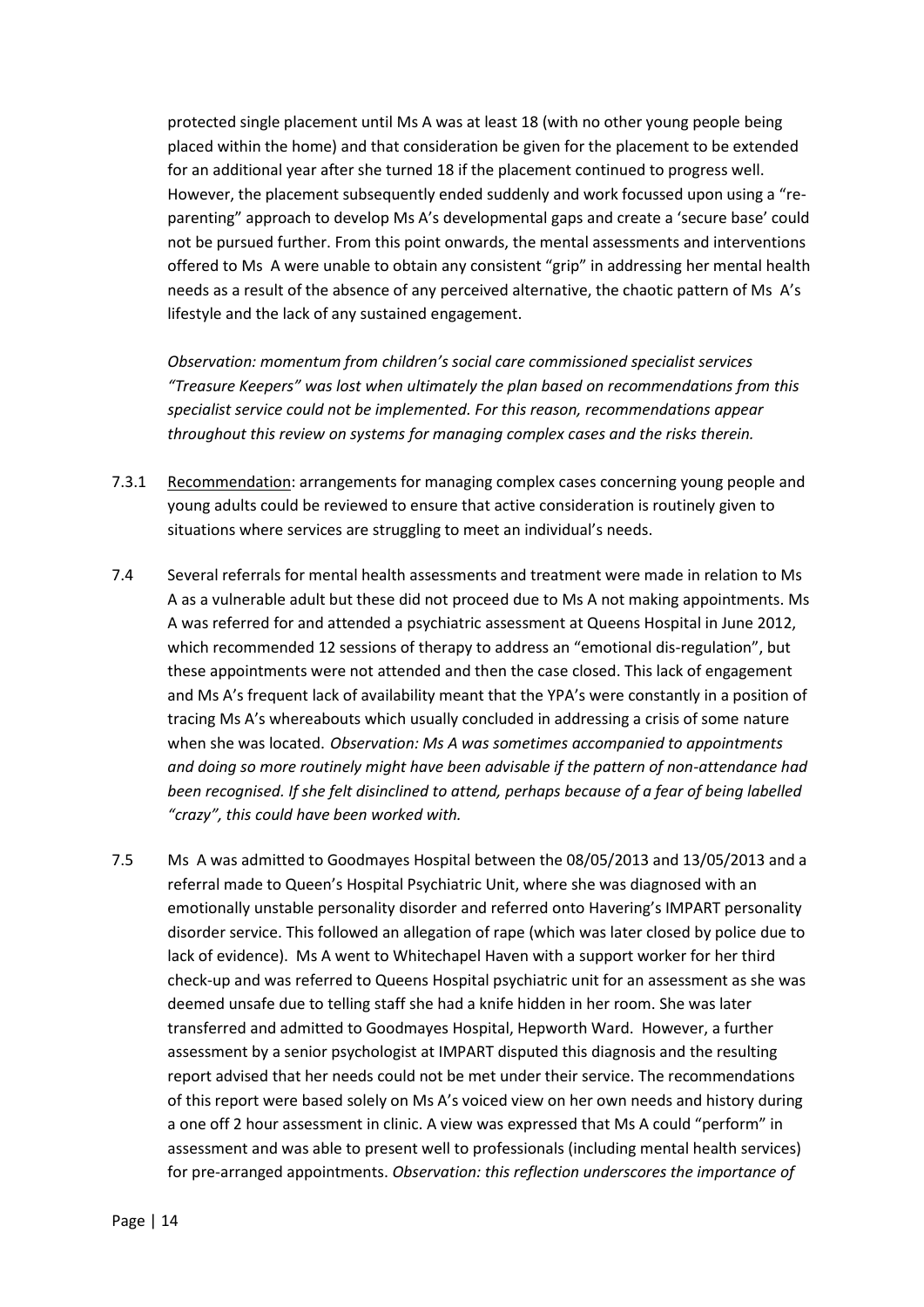protected single placement until Ms A was at least 18 (with no other young people being placed within the home) and that consideration be given for the placement to be extended for an additional year after she turned 18 if the placement continued to progress well. However, the placement subsequently ended suddenly and work focussed upon using a "reparenting" approach to develop Ms A's developmental gaps and create a 'secure base' could not be pursued further. From this point onwards, the mental assessments and interventions offered to Ms A were unable to obtain any consistent "grip" in addressing her mental health needs as a result of the absence of any perceived alternative, the chaotic pattern of Ms A's lifestyle and the lack of any sustained engagement.

*Observation: momentum from children's social care commissioned specialist services "Treasure Keepers" was lost when ultimately the plan based on recommendations from this specialist service could not be implemented. For this reason, recommendations appear throughout this review on systems for managing complex cases and the risks therein.*

- 7.3.1 Recommendation: arrangements for managing complex cases concerning young people and young adults could be reviewed to ensure that active consideration is routinely given to situations where services are struggling to meet an individual's needs.
- 7.4 Several referrals for mental health assessments and treatment were made in relation to Ms A as a vulnerable adult but these did not proceed due to Ms A not making appointments. Ms A was referred for and attended a psychiatric assessment at Queens Hospital in June 2012, which recommended 12 sessions of therapy to address an "emotional dis-regulation", but these appointments were not attended and then the case closed. This lack of engagement and Ms A's frequent lack of availability meant that the YPA's were constantly in a position of tracing Ms A's whereabouts which usually concluded in addressing a crisis of some nature when she was located. *Observation: Ms A was sometimes accompanied to appointments and doing so more routinely might have been advisable if the pattern of non-attendance had been recognised. If she felt disinclined to attend, perhaps because of a fear of being labelled "crazy", this could have been worked with.*
- 7.5 Ms A was admitted to Goodmayes Hospital between the 08/05/2013 and 13/05/2013 and a referral made to Queen's Hospital Psychiatric Unit, where she was diagnosed with an emotionally unstable personality disorder and referred onto Havering's IMPART personality disorder service. This followed an allegation of rape (which was later closed by police due to lack of evidence). Ms A went to Whitechapel Haven with a support worker for her third check-up and was referred to Queens Hospital psychiatric unit for an assessment as she was deemed unsafe due to telling staff she had a knife hidden in her room. She was later transferred and admitted to Goodmayes Hospital, Hepworth Ward. However, a further assessment by a senior psychologist at IMPART disputed this diagnosis and the resulting report advised that her needs could not be met under their service. The recommendations of this report were based solely on Ms A's voiced view on her own needs and history during a one off 2 hour assessment in clinic. A view was expressed that Ms A could "perform" in assessment and was able to present well to professionals (including mental health services) for pre-arranged appointments. *Observation: this reflection underscores the importance of*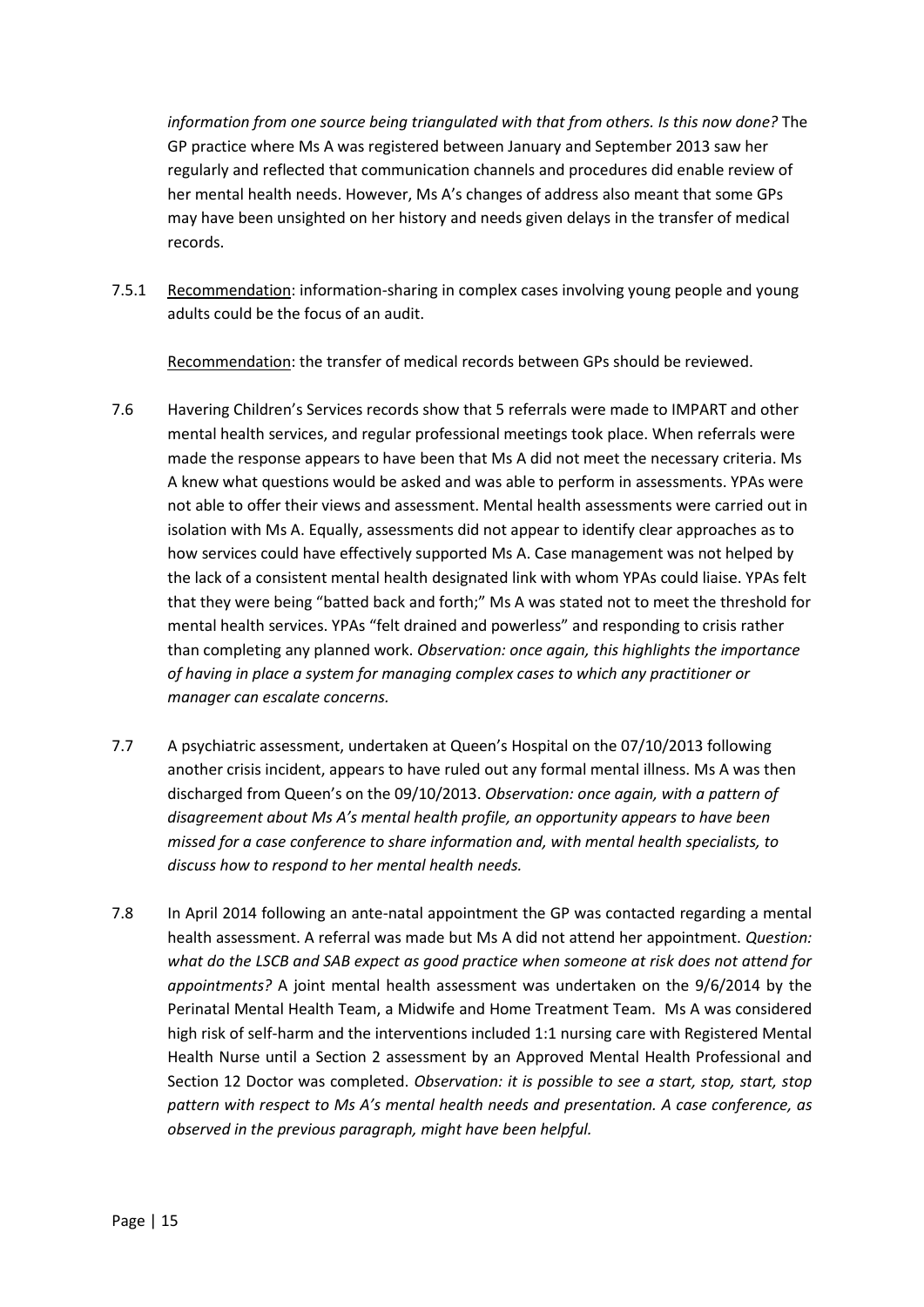*information from one source being triangulated with that from others. Is this now done?* The GP practice where Ms A was registered between January and September 2013 saw her regularly and reflected that communication channels and procedures did enable review of her mental health needs. However, Ms A's changes of address also meant that some GPs may have been unsighted on her history and needs given delays in the transfer of medical records.

7.5.1 Recommendation: information-sharing in complex cases involving young people and young adults could be the focus of an audit.

Recommendation: the transfer of medical records between GPs should be reviewed.

- 7.6 Havering Children's Services records show that 5 referrals were made to IMPART and other mental health services, and regular professional meetings took place. When referrals were made the response appears to have been that Ms A did not meet the necessary criteria. Ms A knew what questions would be asked and was able to perform in assessments. YPAs were not able to offer their views and assessment. Mental health assessments were carried out in isolation with Ms A. Equally, assessments did not appear to identify clear approaches as to how services could have effectively supported Ms A. Case management was not helped by the lack of a consistent mental health designated link with whom YPAs could liaise. YPAs felt that they were being "batted back and forth;" Ms A was stated not to meet the threshold for mental health services. YPAs "felt drained and powerless" and responding to crisis rather than completing any planned work. *Observation: once again, this highlights the importance of having in place a system for managing complex cases to which any practitioner or manager can escalate concerns.*
- 7.7 A psychiatric assessment, undertaken at Queen's Hospital on the 07/10/2013 following another crisis incident, appears to have ruled out any formal mental illness. Ms A was then discharged from Queen's on the 09/10/2013. *Observation: once again, with a pattern of disagreement about Ms A's mental health profile, an opportunity appears to have been missed for a case conference to share information and, with mental health specialists, to discuss how to respond to her mental health needs.*
- 7.8 In April 2014 following an ante-natal appointment the GP was contacted regarding a mental health assessment. A referral was made but Ms A did not attend her appointment. *Question: what do the LSCB and SAB expect as good practice when someone at risk does not attend for appointments?* A joint mental health assessment was undertaken on the 9/6/2014 by the Perinatal Mental Health Team, a Midwife and Home Treatment Team. Ms A was considered high risk of self-harm and the interventions included 1:1 nursing care with Registered Mental Health Nurse until a Section 2 assessment by an Approved Mental Health Professional and Section 12 Doctor was completed. *Observation: it is possible to see a start, stop, start, stop pattern with respect to Ms A's mental health needs and presentation. A case conference, as observed in the previous paragraph, might have been helpful.*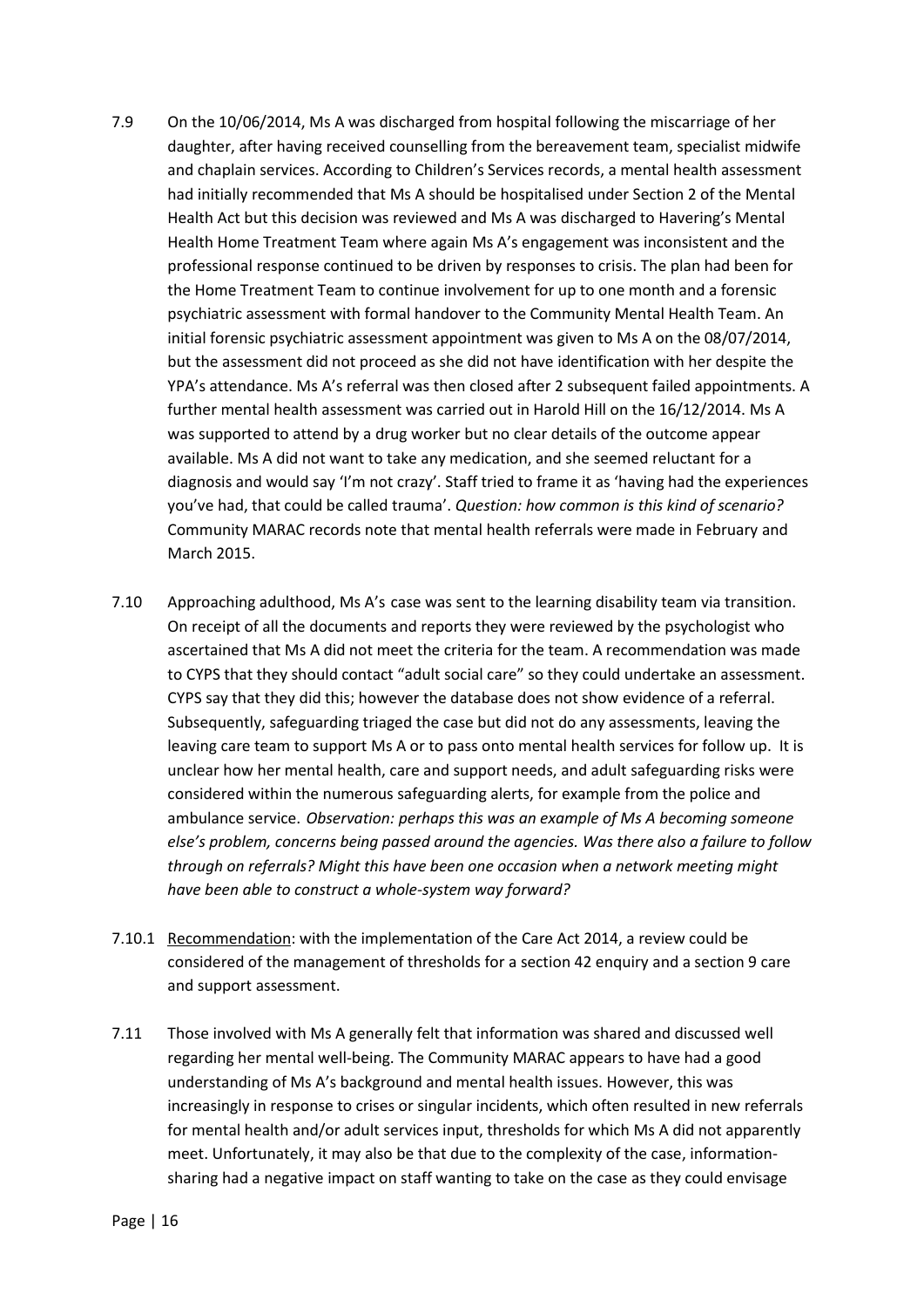- 7.9 On the 10/06/2014, Ms A was discharged from hospital following the miscarriage of her daughter, after having received counselling from the bereavement team, specialist midwife and chaplain services. According to Children's Services records, a mental health assessment had initially recommended that Ms A should be hospitalised under Section 2 of the Mental Health Act but this decision was reviewed and Ms A was discharged to Havering's Mental Health Home Treatment Team where again Ms A's engagement was inconsistent and the professional response continued to be driven by responses to crisis. The plan had been for the Home Treatment Team to continue involvement for up to one month and a forensic psychiatric assessment with formal handover to the Community Mental Health Team. An initial forensic psychiatric assessment appointment was given to Ms A on the 08/07/2014, but the assessment did not proceed as she did not have identification with her despite the YPA's attendance. Ms A's referral was then closed after 2 subsequent failed appointments. A further mental health assessment was carried out in Harold Hill on the 16/12/2014. Ms A was supported to attend by a drug worker but no clear details of the outcome appear available. Ms A did not want to take any medication, and she seemed reluctant for a diagnosis and would say 'I'm not crazy'. Staff tried to frame it as 'having had the experiences you've had, that could be called trauma'. *Question: how common is this kind of scenario?* Community MARAC records note that mental health referrals were made in February and March 2015.
- 7.10 Approaching adulthood, Ms A's case was sent to the learning disability team via transition. On receipt of all the documents and reports they were reviewed by the psychologist who ascertained that Ms A did not meet the criteria for the team. A recommendation was made to CYPS that they should contact "adult social care" so they could undertake an assessment. CYPS say that they did this; however the database does not show evidence of a referral. Subsequently, safeguarding triaged the case but did not do any assessments, leaving the leaving care team to support Ms A or to pass onto mental health services for follow up. It is unclear how her mental health, care and support needs, and adult safeguarding risks were considered within the numerous safeguarding alerts, for example from the police and ambulance service. *Observation: perhaps this was an example of Ms A becoming someone else's problem, concerns being passed around the agencies. Was there also a failure to follow through on referrals? Might this have been one occasion when a network meeting might have been able to construct a whole-system way forward?*
- 7.10.1 Recommendation: with the implementation of the Care Act 2014, a review could be considered of the management of thresholds for a section 42 enquiry and a section 9 care and support assessment.
- 7.11 Those involved with Ms A generally felt that information was shared and discussed well regarding her mental well-being. The Community MARAC appears to have had a good understanding of Ms A's background and mental health issues. However, this was increasingly in response to crises or singular incidents, which often resulted in new referrals for mental health and/or adult services input, thresholds for which Ms A did not apparently meet. Unfortunately, it may also be that due to the complexity of the case, informationsharing had a negative impact on staff wanting to take on the case as they could envisage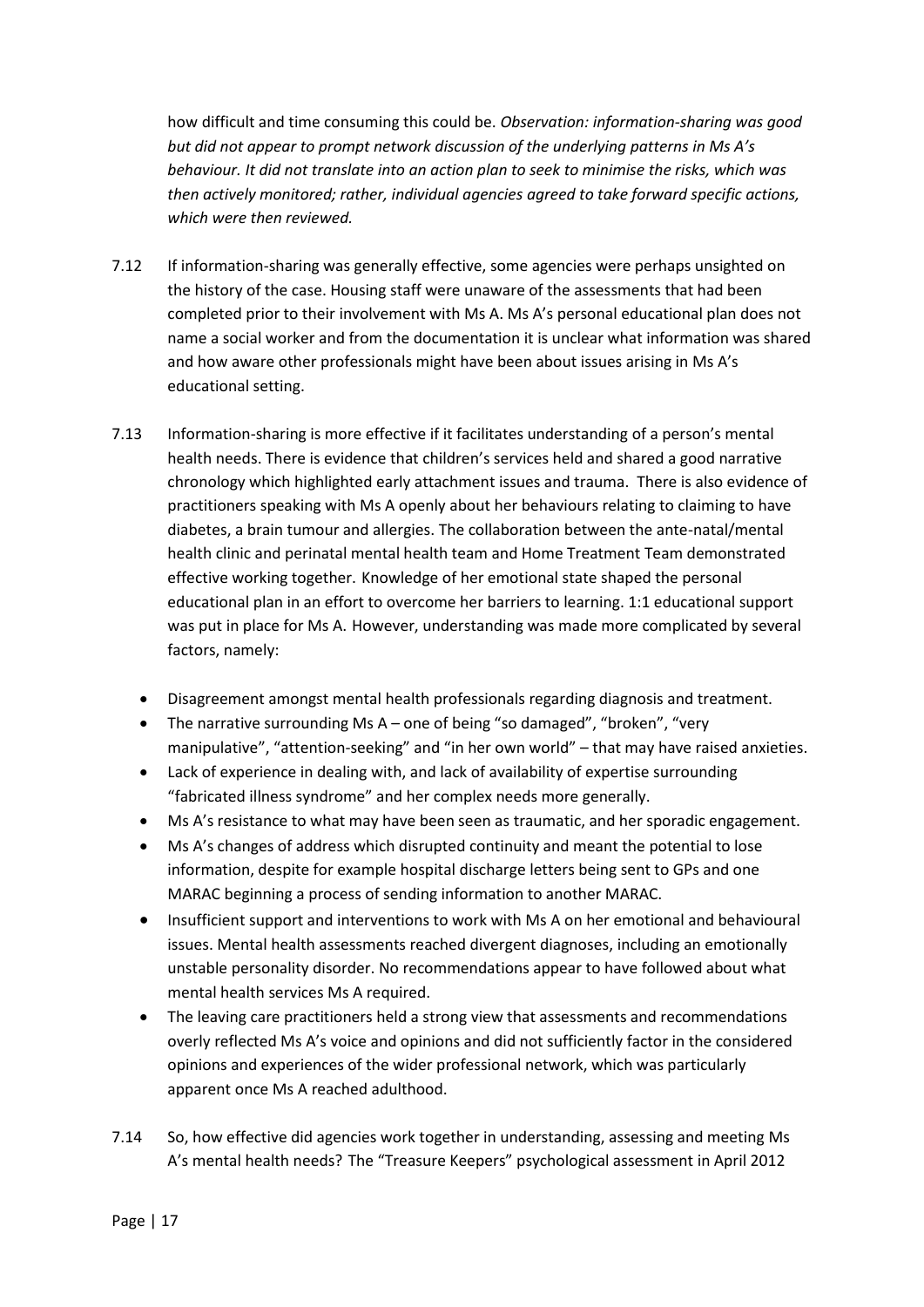how difficult and time consuming this could be. *Observation: information-sharing was good but did not appear to prompt network discussion of the underlying patterns in Ms A's behaviour. It did not translate into an action plan to seek to minimise the risks, which was then actively monitored; rather, individual agencies agreed to take forward specific actions, which were then reviewed.*

- 7.12 If information-sharing was generally effective, some agencies were perhaps unsighted on the history of the case. Housing staff were unaware of the assessments that had been completed prior to their involvement with Ms A. Ms A's personal educational plan does not name a social worker and from the documentation it is unclear what information was shared and how aware other professionals might have been about issues arising in Ms A's educational setting.
- 7.13 Information-sharing is more effective if it facilitates understanding of a person's mental health needs. There is evidence that children's services held and shared a good narrative chronology which highlighted early attachment issues and trauma. There is also evidence of practitioners speaking with Ms A openly about her behaviours relating to claiming to have diabetes, a brain tumour and allergies. The collaboration between the ante-natal/mental health clinic and perinatal mental health team and Home Treatment Team demonstrated effective working together. Knowledge of her emotional state shaped the personal educational plan in an effort to overcome her barriers to learning. 1:1 educational support was put in place for Ms A. However, understanding was made more complicated by several factors, namely:
	- Disagreement amongst mental health professionals regarding diagnosis and treatment.
	- The narrative surrounding Ms A one of being "so damaged", "broken", "very manipulative", "attention-seeking" and "in her own world" – that may have raised anxieties.
	- Lack of experience in dealing with, and lack of availability of expertise surrounding "fabricated illness syndrome" and her complex needs more generally.
	- Ms A's resistance to what may have been seen as traumatic, and her sporadic engagement.
	- Ms A's changes of address which disrupted continuity and meant the potential to lose information, despite for example hospital discharge letters being sent to GPs and one MARAC beginning a process of sending information to another MARAC.
	- Insufficient support and interventions to work with Ms A on her emotional and behavioural issues. Mental health assessments reached divergent diagnoses, including an emotionally unstable personality disorder. No recommendations appear to have followed about what mental health services Ms A required.
	- The leaving care practitioners held a strong view that assessments and recommendations overly reflected Ms A's voice and opinions and did not sufficiently factor in the considered opinions and experiences of the wider professional network, which was particularly apparent once Ms A reached adulthood.
- 7.14 So, how effective did agencies work together in understanding, assessing and meeting Ms A's mental health needs? The "Treasure Keepers" psychological assessment in April 2012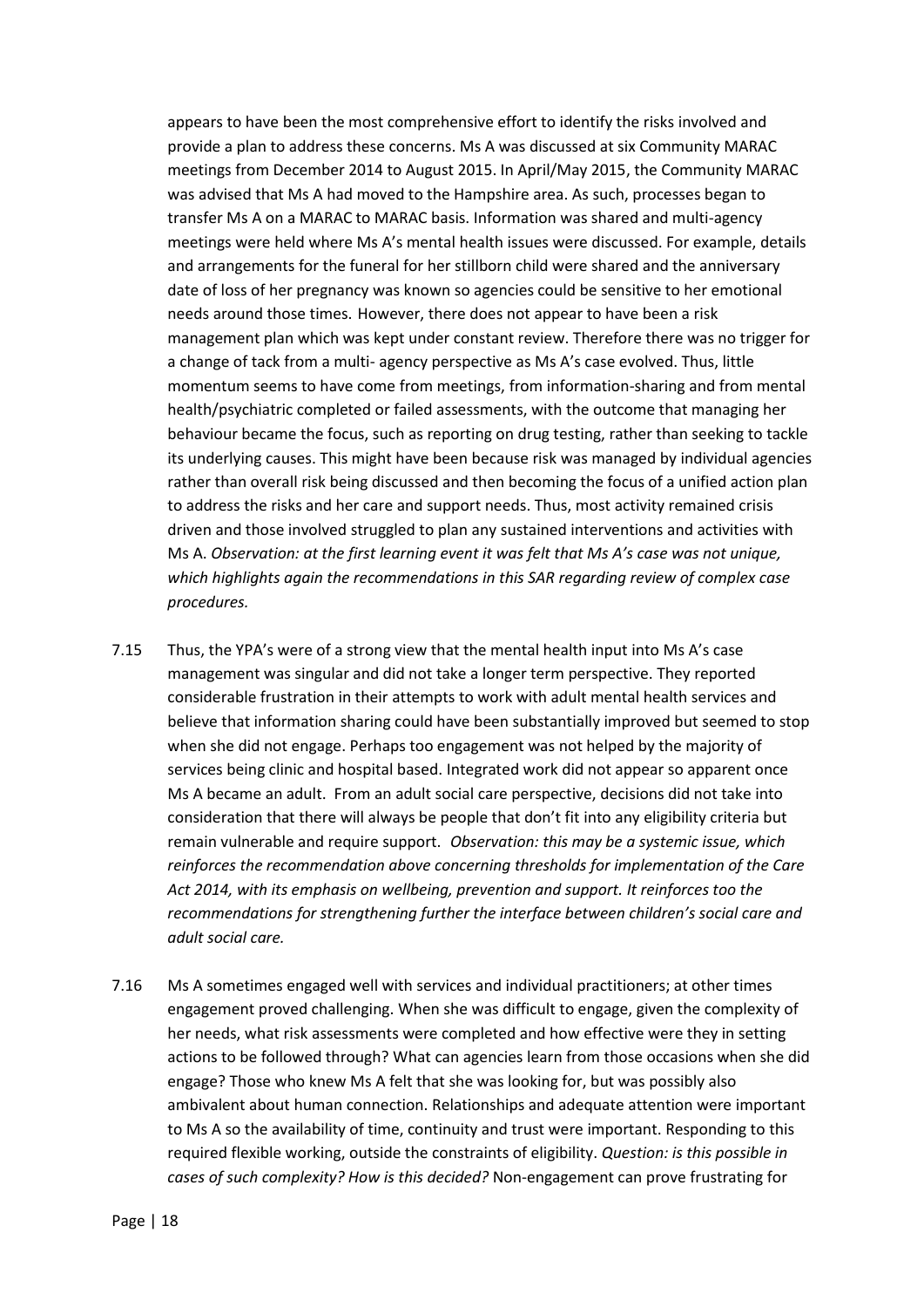appears to have been the most comprehensive effort to identify the risks involved and provide a plan to address these concerns. Ms A was discussed at six Community MARAC meetings from December 2014 to August 2015. In April/May 2015, the Community MARAC was advised that Ms A had moved to the Hampshire area. As such, processes began to transfer Ms A on a MARAC to MARAC basis. Information was shared and multi-agency meetings were held where Ms A's mental health issues were discussed. For example, details and arrangements for the funeral for her stillborn child were shared and the anniversary date of loss of her pregnancy was known so agencies could be sensitive to her emotional needs around those times. However, there does not appear to have been a risk management plan which was kept under constant review. Therefore there was no trigger for a change of tack from a multi- agency perspective as Ms A's case evolved. Thus, little momentum seems to have come from meetings, from information-sharing and from mental health/psychiatric completed or failed assessments, with the outcome that managing her behaviour became the focus, such as reporting on drug testing, rather than seeking to tackle its underlying causes. This might have been because risk was managed by individual agencies rather than overall risk being discussed and then becoming the focus of a unified action plan to address the risks and her care and support needs. Thus, most activity remained crisis driven and those involved struggled to plan any sustained interventions and activities with Ms A. *Observation: at the first learning event it was felt that Ms A's case was not unique, which highlights again the recommendations in this SAR regarding review of complex case procedures.*

- 7.15 Thus, the YPA's were of a strong view that the mental health input into Ms A's case management was singular and did not take a longer term perspective. They reported considerable frustration in their attempts to work with adult mental health services and believe that information sharing could have been substantially improved but seemed to stop when she did not engage. Perhaps too engagement was not helped by the majority of services being clinic and hospital based. Integrated work did not appear so apparent once Ms A became an adult. From an adult social care perspective, decisions did not take into consideration that there will always be people that don't fit into any eligibility criteria but remain vulnerable and require support. *Observation: this may be a systemic issue, which reinforces the recommendation above concerning thresholds for implementation of the Care Act 2014, with its emphasis on wellbeing, prevention and support. It reinforces too the recommendations for strengthening further the interface between children's social care and adult social care.*
- 7.16 Ms A sometimes engaged well with services and individual practitioners; at other times engagement proved challenging. When she was difficult to engage, given the complexity of her needs, what risk assessments were completed and how effective were they in setting actions to be followed through? What can agencies learn from those occasions when she did engage? Those who knew Ms A felt that she was looking for, but was possibly also ambivalent about human connection. Relationships and adequate attention were important to Ms A so the availability of time, continuity and trust were important. Responding to this required flexible working, outside the constraints of eligibility. *Question: is this possible in cases of such complexity? How is this decided?* Non-engagement can prove frustrating for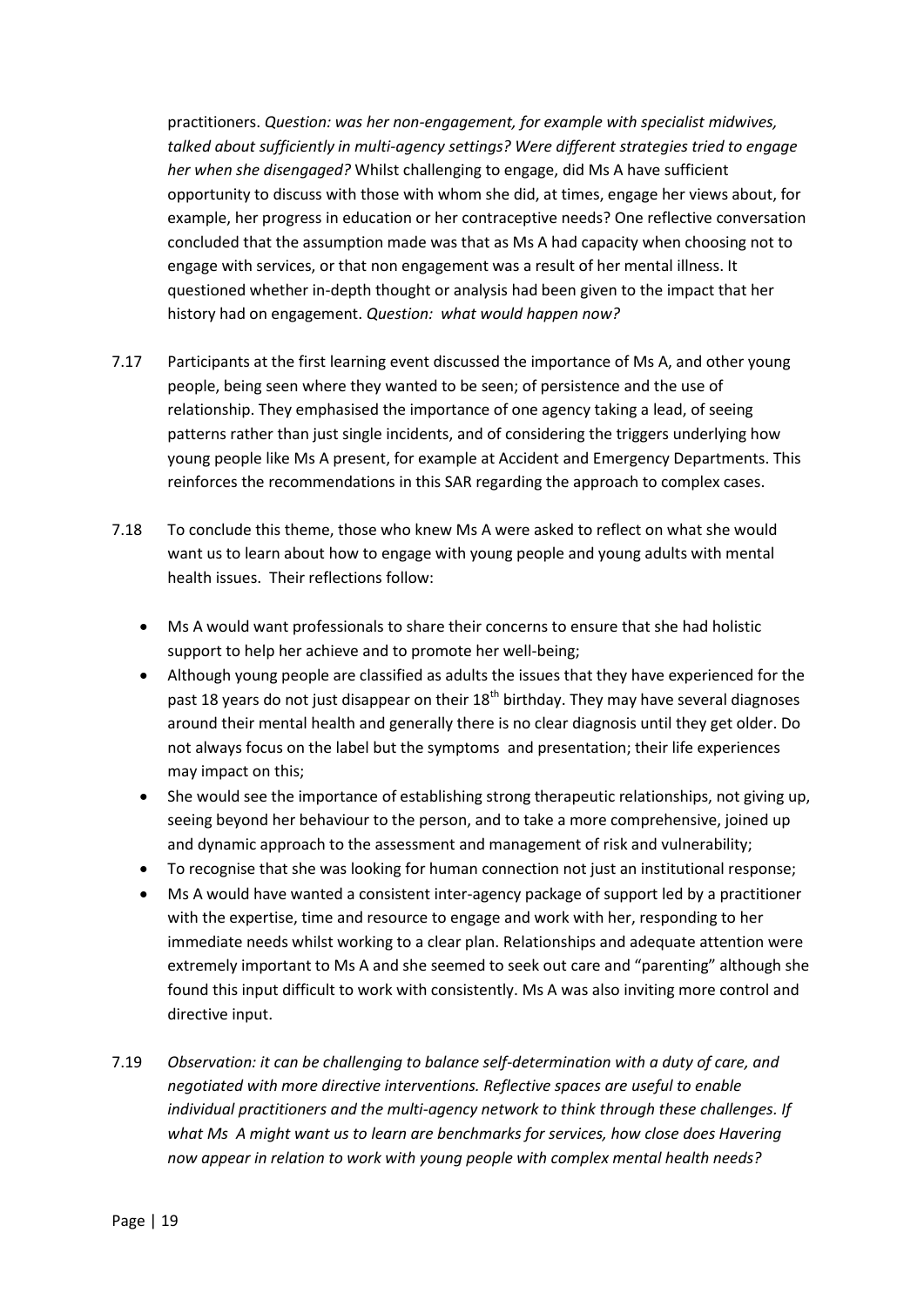practitioners. *Question: was her non-engagement, for example with specialist midwives, talked about sufficiently in multi-agency settings? Were different strategies tried to engage her when she disengaged?* Whilst challenging to engage, did Ms A have sufficient opportunity to discuss with those with whom she did, at times, engage her views about, for example, her progress in education or her contraceptive needs? One reflective conversation concluded that the assumption made was that as Ms A had capacity when choosing not to engage with services, or that non engagement was a result of her mental illness. It questioned whether in-depth thought or analysis had been given to the impact that her history had on engagement. *Question: what would happen now?*

- 7.17 Participants at the first learning event discussed the importance of Ms A, and other young people, being seen where they wanted to be seen; of persistence and the use of relationship. They emphasised the importance of one agency taking a lead, of seeing patterns rather than just single incidents, and of considering the triggers underlying how young people like Ms A present, for example at Accident and Emergency Departments. This reinforces the recommendations in this SAR regarding the approach to complex cases.
- 7.18 To conclude this theme, those who knew Ms A were asked to reflect on what she would want us to learn about how to engage with young people and young adults with mental health issues. Their reflections follow:
	- Ms A would want professionals to share their concerns to ensure that she had holistic support to help her achieve and to promote her well-being;
	- Although young people are classified as adults the issues that they have experienced for the past 18 years do not just disappear on their  $18<sup>th</sup>$  birthday. They may have several diagnoses around their mental health and generally there is no clear diagnosis until they get older. Do not always focus on the label but the symptoms and presentation; their life experiences may impact on this;
	- She would see the importance of establishing strong therapeutic relationships, not giving up, seeing beyond her behaviour to the person, and to take a more comprehensive, joined up and dynamic approach to the assessment and management of risk and vulnerability;
	- To recognise that she was looking for human connection not just an institutional response;
	- Ms A would have wanted a consistent inter-agency package of support led by a practitioner with the expertise, time and resource to engage and work with her, responding to her immediate needs whilst working to a clear plan. Relationships and adequate attention were extremely important to Ms A and she seemed to seek out care and "parenting" although she found this input difficult to work with consistently. Ms A was also inviting more control and directive input.
- 7.19 *Observation: it can be challenging to balance self-determination with a duty of care, and negotiated with more directive interventions. Reflective spaces are useful to enable individual practitioners and the multi-agency network to think through these challenges. If what Ms A might want us to learn are benchmarks for services, how close does Havering now appear in relation to work with young people with complex mental health needs?*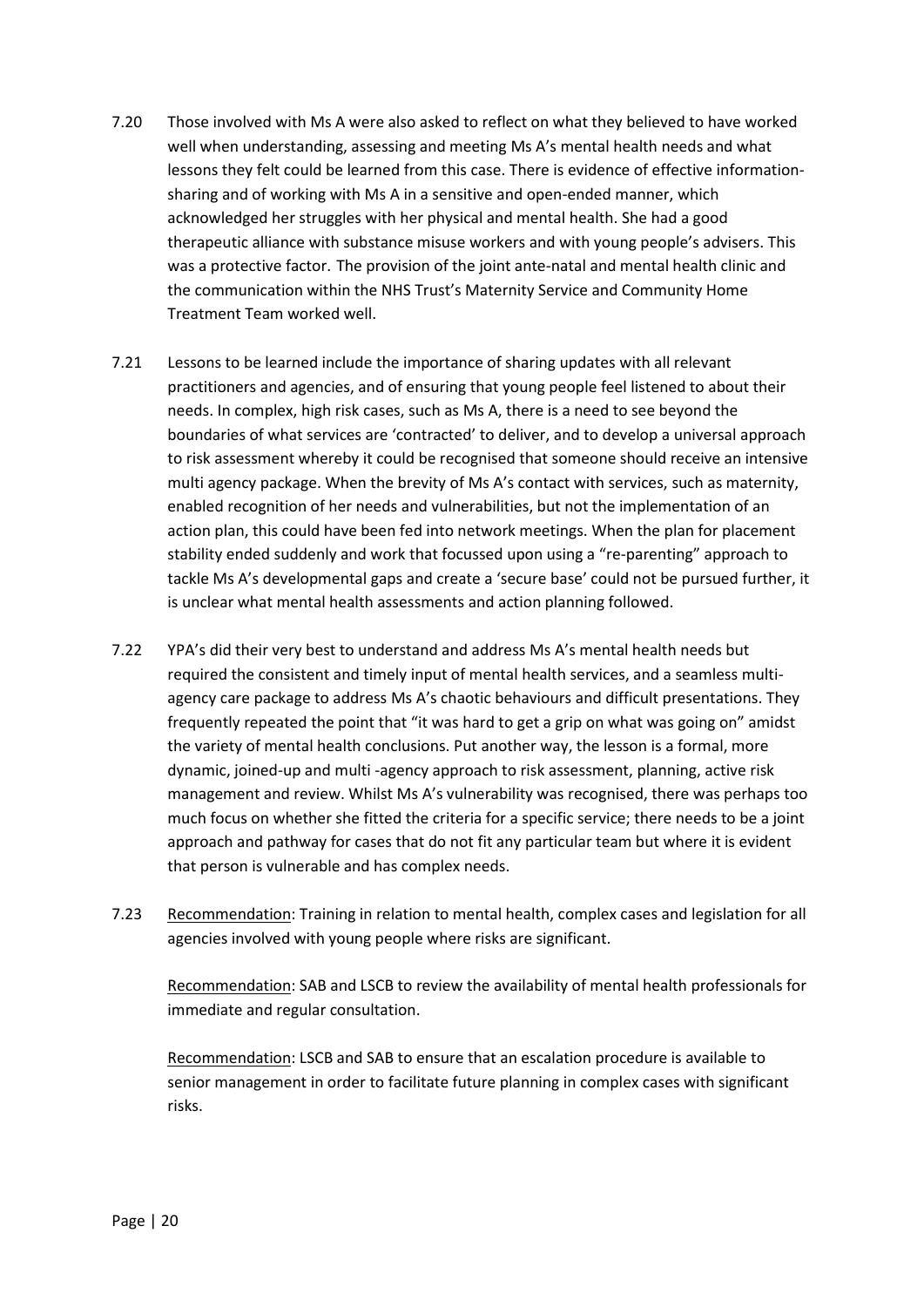- 7.20 Those involved with Ms A were also asked to reflect on what they believed to have worked well when understanding, assessing and meeting Ms A's mental health needs and what lessons they felt could be learned from this case. There is evidence of effective informationsharing and of working with Ms A in a sensitive and open-ended manner, which acknowledged her struggles with her physical and mental health. She had a good therapeutic alliance with substance misuse workers and with young people's advisers. This was a protective factor. The provision of the joint ante-natal and mental health clinic and the communication within the NHS Trust's Maternity Service and Community Home Treatment Team worked well.
- 7.21 Lessons to be learned include the importance of sharing updates with all relevant practitioners and agencies, and of ensuring that young people feel listened to about their needs. In complex, high risk cases, such as Ms A, there is a need to see beyond the boundaries of what services are 'contracted' to deliver, and to develop a universal approach to risk assessment whereby it could be recognised that someone should receive an intensive multi agency package. When the brevity of Ms A's contact with services, such as maternity, enabled recognition of her needs and vulnerabilities, but not the implementation of an action plan, this could have been fed into network meetings. When the plan for placement stability ended suddenly and work that focussed upon using a "re-parenting" approach to tackle Ms A's developmental gaps and create a 'secure base' could not be pursued further, it is unclear what mental health assessments and action planning followed.
- 7.22 YPA's did their very best to understand and address Ms A's mental health needs but required the consistent and timely input of mental health services, and a seamless multiagency care package to address Ms A's chaotic behaviours and difficult presentations. They frequently repeated the point that "it was hard to get a grip on what was going on" amidst the variety of mental health conclusions. Put another way, the lesson is a formal, more dynamic, joined-up and multi -agency approach to risk assessment, planning, active risk management and review. Whilst Ms A's vulnerability was recognised, there was perhaps too much focus on whether she fitted the criteria for a specific service; there needs to be a joint approach and pathway for cases that do not fit any particular team but where it is evident that person is vulnerable and has complex needs.
- 7.23 Recommendation: Training in relation to mental health, complex cases and legislation for all agencies involved with young people where risks are significant.

Recommendation: SAB and LSCB to review the availability of mental health professionals for immediate and regular consultation.

Recommendation: LSCB and SAB to ensure that an escalation procedure is available to senior management in order to facilitate future planning in complex cases with significant risks.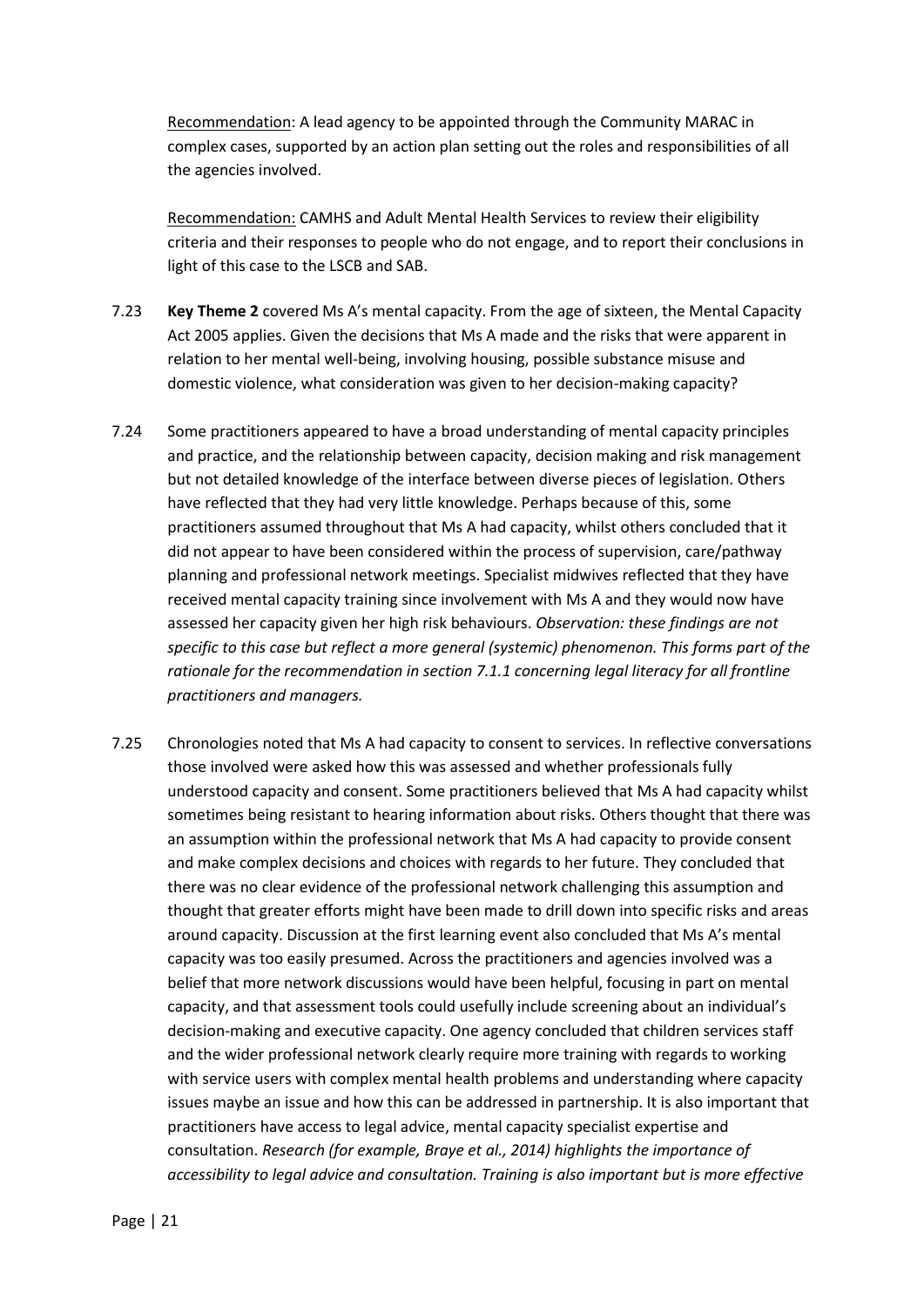Recommendation: A lead agency to be appointed through the Community MARAC in complex cases, supported by an action plan setting out the roles and responsibilities of all the agencies involved.

Recommendation: CAMHS and Adult Mental Health Services to review their eligibility criteria and their responses to people who do not engage, and to report their conclusions in light of this case to the LSCB and SAB.

- 7.23 **Key Theme 2** covered Ms A's mental capacity. From the age of sixteen, the Mental Capacity Act 2005 applies. Given the decisions that Ms A made and the risks that were apparent in relation to her mental well-being, involving housing, possible substance misuse and domestic violence, what consideration was given to her decision-making capacity?
- 7.24 Some practitioners appeared to have a broad understanding of mental capacity principles and practice, and the relationship between capacity, decision making and risk management but not detailed knowledge of the interface between diverse pieces of legislation. Others have reflected that they had very little knowledge. Perhaps because of this, some practitioners assumed throughout that Ms A had capacity, whilst others concluded that it did not appear to have been considered within the process of supervision, care/pathway planning and professional network meetings. Specialist midwives reflected that they have received mental capacity training since involvement with Ms A and they would now have assessed her capacity given her high risk behaviours. *Observation: these findings are not specific to this case but reflect a more general (systemic) phenomenon. This forms part of the rationale for the recommendation in section 7.1.1 concerning legal literacy for all frontline practitioners and managers.*
- 7.25 Chronologies noted that Ms A had capacity to consent to services. In reflective conversations those involved were asked how this was assessed and whether professionals fully understood capacity and consent. Some practitioners believed that Ms A had capacity whilst sometimes being resistant to hearing information about risks. Others thought that there was an assumption within the professional network that Ms A had capacity to provide consent and make complex decisions and choices with regards to her future. They concluded that there was no clear evidence of the professional network challenging this assumption and thought that greater efforts might have been made to drill down into specific risks and areas around capacity. Discussion at the first learning event also concluded that Ms A's mental capacity was too easily presumed. Across the practitioners and agencies involved was a belief that more network discussions would have been helpful, focusing in part on mental capacity, and that assessment tools could usefully include screening about an individual's decision-making and executive capacity. One agency concluded that children services staff and the wider professional network clearly require more training with regards to working with service users with complex mental health problems and understanding where capacity issues maybe an issue and how this can be addressed in partnership. It is also important that practitioners have access to legal advice, mental capacity specialist expertise and consultation. *Research (for example, Braye et al., 2014) highlights the importance of accessibility to legal advice and consultation. Training is also important but is more effective*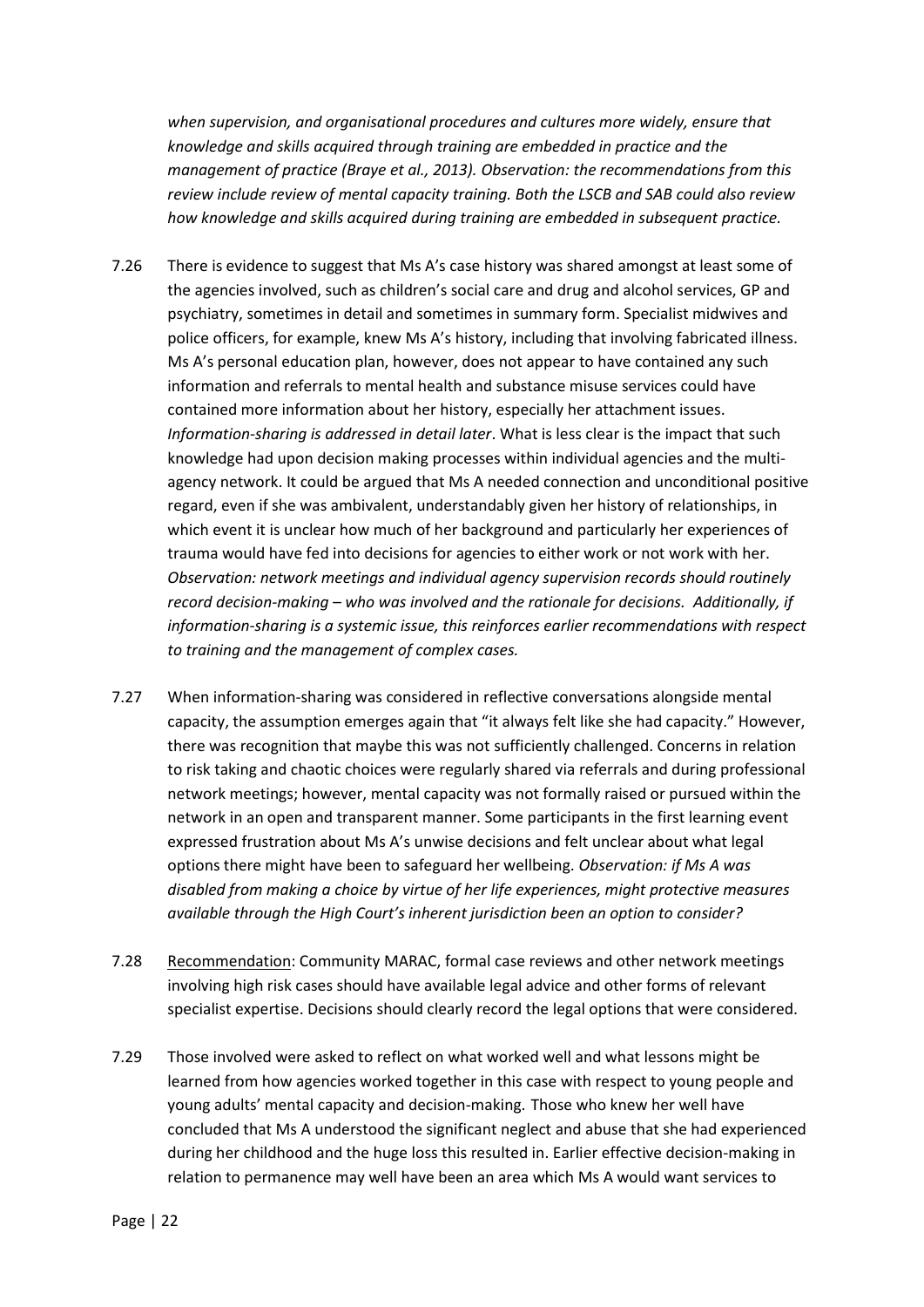*when supervision, and organisational procedures and cultures more widely, ensure that knowledge and skills acquired through training are embedded in practice and the management of practice (Braye et al., 2013). Observation: the recommendations from this review include review of mental capacity training. Both the LSCB and SAB could also review how knowledge and skills acquired during training are embedded in subsequent practice.*

- 7.26 There is evidence to suggest that Ms A's case history was shared amongst at least some of the agencies involved, such as children's social care and drug and alcohol services, GP and psychiatry, sometimes in detail and sometimes in summary form. Specialist midwives and police officers, for example, knew Ms A's history, including that involving fabricated illness. Ms A's personal education plan, however, does not appear to have contained any such information and referrals to mental health and substance misuse services could have contained more information about her history, especially her attachment issues. *Information-sharing is addressed in detail later*. What is less clear is the impact that such knowledge had upon decision making processes within individual agencies and the multiagency network. It could be argued that Ms A needed connection and unconditional positive regard, even if she was ambivalent, understandably given her history of relationships, in which event it is unclear how much of her background and particularly her experiences of trauma would have fed into decisions for agencies to either work or not work with her. *Observation: network meetings and individual agency supervision records should routinely record decision-making – who was involved and the rationale for decisions. Additionally, if information-sharing is a systemic issue, this reinforces earlier recommendations with respect to training and the management of complex cases.*
- 7.27 When information-sharing was considered in reflective conversations alongside mental capacity, the assumption emerges again that "it always felt like she had capacity." However, there was recognition that maybe this was not sufficiently challenged. Concerns in relation to risk taking and chaotic choices were regularly shared via referrals and during professional network meetings; however, mental capacity was not formally raised or pursued within the network in an open and transparent manner. Some participants in the first learning event expressed frustration about Ms A's unwise decisions and felt unclear about what legal options there might have been to safeguard her wellbeing. *Observation: if Ms A was disabled from making a choice by virtue of her life experiences, might protective measures available through the High Court's inherent jurisdiction been an option to consider?*
- 7.28 Recommendation: Community MARAC, formal case reviews and other network meetings involving high risk cases should have available legal advice and other forms of relevant specialist expertise. Decisions should clearly record the legal options that were considered.
- 7.29 Those involved were asked to reflect on what worked well and what lessons might be learned from how agencies worked together in this case with respect to young people and young adults' mental capacity and decision-making. Those who knew her well have concluded that Ms A understood the significant neglect and abuse that she had experienced during her childhood and the huge loss this resulted in. Earlier effective decision-making in relation to permanence may well have been an area which Ms A would want services to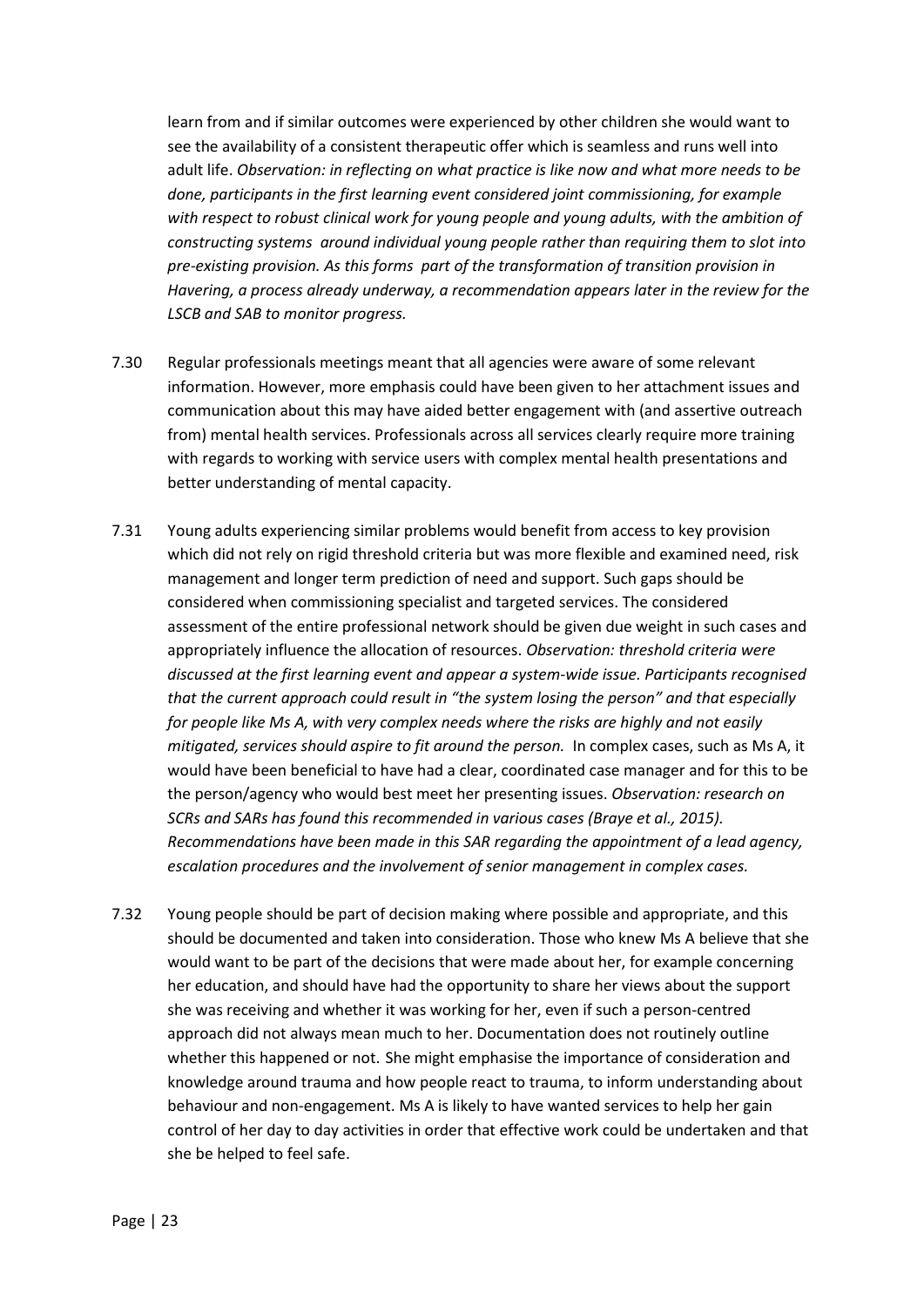learn from and if similar outcomes were experienced by other children she would want to see the availability of a consistent therapeutic offer which is seamless and runs well into adult life. *Observation: in reflecting on what practice is like now and what more needs to be done, participants in the first learning event considered joint commissioning, for example with respect to robust clinical work for young people and young adults, with the ambition of constructing systems around individual young people rather than requiring them to slot into pre-existing provision. As this forms part of the transformation of transition provision in Havering, a process already underway, a recommendation appears later in the review for the LSCB and SAB to monitor progress.*

- 7.30 Regular professionals meetings meant that all agencies were aware of some relevant information. However, more emphasis could have been given to her attachment issues and communication about this may have aided better engagement with (and assertive outreach from) mental health services. Professionals across all services clearly require more training with regards to working with service users with complex mental health presentations and better understanding of mental capacity.
- 7.31 Young adults experiencing similar problems would benefit from access to key provision which did not rely on rigid threshold criteria but was more flexible and examined need, risk management and longer term prediction of need and support. Such gaps should be considered when commissioning specialist and targeted services. The considered assessment of the entire professional network should be given due weight in such cases and appropriately influence the allocation of resources. *Observation: threshold criteria were discussed at the first learning event and appear a system-wide issue. Participants recognised that the current approach could result in "the system losing the person" and that especially for people like Ms A, with very complex needs where the risks are highly and not easily mitigated, services should aspire to fit around the person.* In complex cases, such as Ms A, it would have been beneficial to have had a clear, coordinated case manager and for this to be the person/agency who would best meet her presenting issues. *Observation: research on SCRs and SARs has found this recommended in various cases (Braye et al., 2015). Recommendations have been made in this SAR regarding the appointment of a lead agency, escalation procedures and the involvement of senior management in complex cases.*
- 7.32 Young people should be part of decision making where possible and appropriate, and this should be documented and taken into consideration. Those who knew Ms A believe that she would want to be part of the decisions that were made about her, for example concerning her education, and should have had the opportunity to share her views about the support she was receiving and whether it was working for her, even if such a person-centred approach did not always mean much to her. Documentation does not routinely outline whether this happened or not. She might emphasise the importance of consideration and knowledge around trauma and how people react to trauma, to inform understanding about behaviour and non-engagement. Ms A is likely to have wanted services to help her gain control of her day to day activities in order that effective work could be undertaken and that she be helped to feel safe.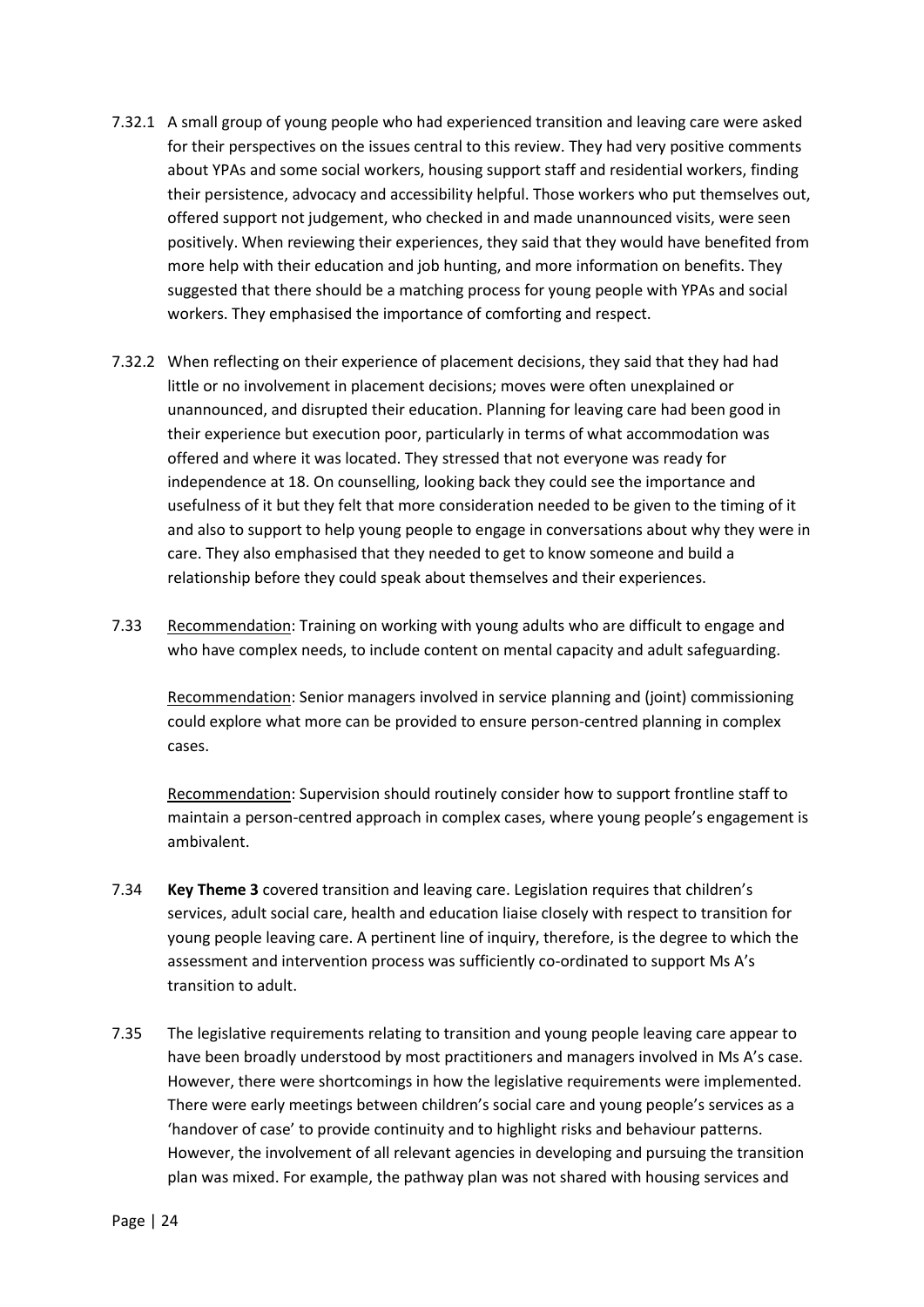- 7.32.1 A small group of young people who had experienced transition and leaving care were asked for their perspectives on the issues central to this review. They had very positive comments about YPAs and some social workers, housing support staff and residential workers, finding their persistence, advocacy and accessibility helpful. Those workers who put themselves out, offered support not judgement, who checked in and made unannounced visits, were seen positively. When reviewing their experiences, they said that they would have benefited from more help with their education and job hunting, and more information on benefits. They suggested that there should be a matching process for young people with YPAs and social workers. They emphasised the importance of comforting and respect.
- 7.32.2 When reflecting on their experience of placement decisions, they said that they had had little or no involvement in placement decisions; moves were often unexplained or unannounced, and disrupted their education. Planning for leaving care had been good in their experience but execution poor, particularly in terms of what accommodation was offered and where it was located. They stressed that not everyone was ready for independence at 18. On counselling, looking back they could see the importance and usefulness of it but they felt that more consideration needed to be given to the timing of it and also to support to help young people to engage in conversations about why they were in care. They also emphasised that they needed to get to know someone and build a relationship before they could speak about themselves and their experiences.
- 7.33 Recommendation: Training on working with young adults who are difficult to engage and who have complex needs, to include content on mental capacity and adult safeguarding.

Recommendation: Senior managers involved in service planning and (joint) commissioning could explore what more can be provided to ensure person-centred planning in complex cases.

Recommendation: Supervision should routinely consider how to support frontline staff to maintain a person-centred approach in complex cases, where young people's engagement is ambivalent.

- 7.34 **Key Theme 3** covered transition and leaving care. Legislation requires that children's services, adult social care, health and education liaise closely with respect to transition for young people leaving care. A pertinent line of inquiry, therefore, is the degree to which the assessment and intervention process was sufficiently co-ordinated to support Ms A's transition to adult.
- 7.35 The legislative requirements relating to transition and young people leaving care appear to have been broadly understood by most practitioners and managers involved in Ms A's case. However, there were shortcomings in how the legislative requirements were implemented. There were early meetings between children's social care and young people's services as a 'handover of case' to provide continuity and to highlight risks and behaviour patterns. However, the involvement of all relevant agencies in developing and pursuing the transition plan was mixed. For example, the pathway plan was not shared with housing services and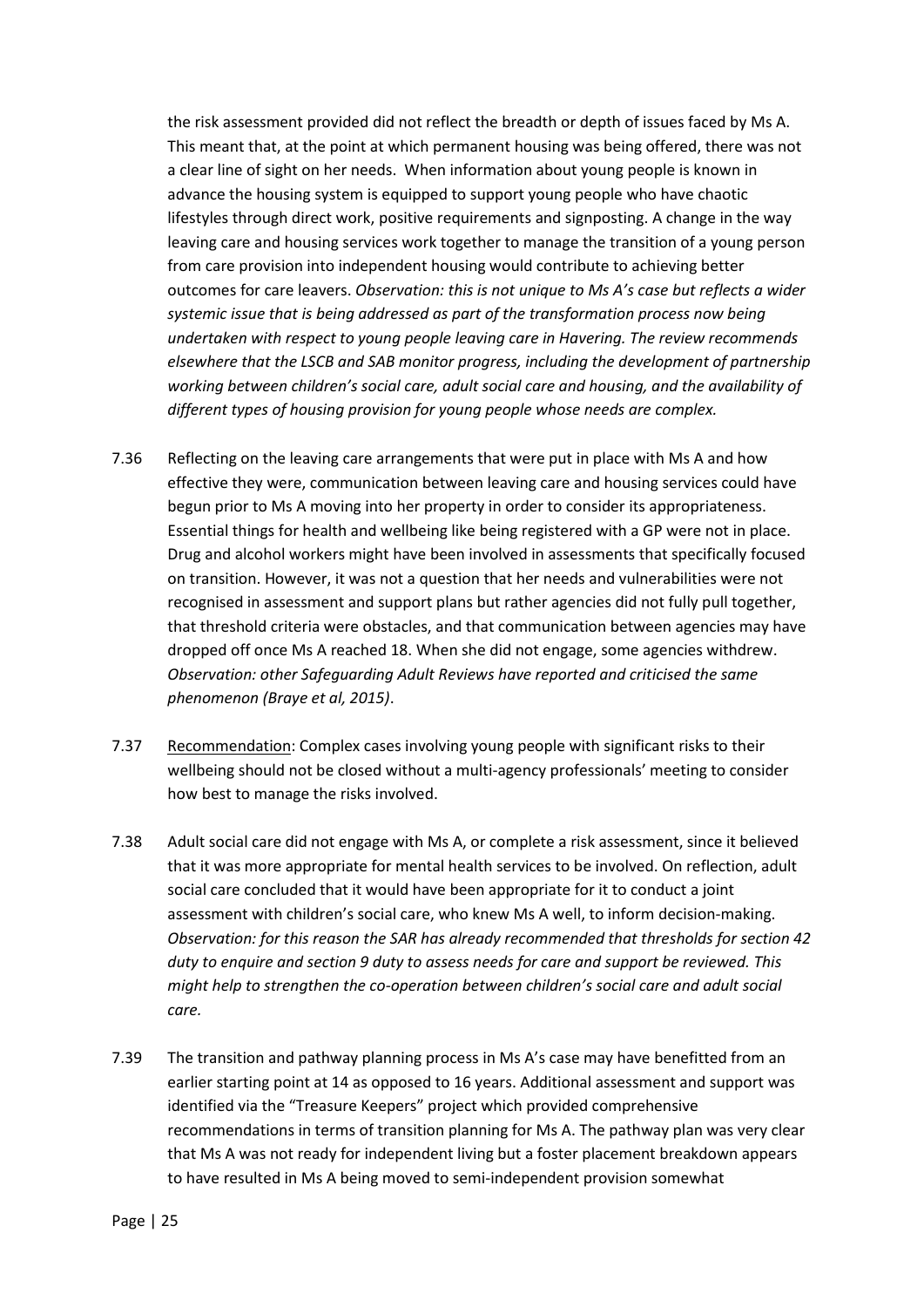the risk assessment provided did not reflect the breadth or depth of issues faced by Ms A. This meant that, at the point at which permanent housing was being offered, there was not a clear line of sight on her needs. When information about young people is known in advance the housing system is equipped to support young people who have chaotic lifestyles through direct work, positive requirements and signposting. A change in the way leaving care and housing services work together to manage the transition of a young person from care provision into independent housing would contribute to achieving better outcomes for care leavers. *Observation: this is not unique to Ms A's case but reflects a wider systemic issue that is being addressed as part of the transformation process now being undertaken with respect to young people leaving care in Havering. The review recommends elsewhere that the LSCB and SAB monitor progress, including the development of partnership working between children's social care, adult social care and housing, and the availability of different types of housing provision for young people whose needs are complex.*

- 7.36 Reflecting on the leaving care arrangements that were put in place with Ms A and how effective they were, communication between leaving care and housing services could have begun prior to Ms A moving into her property in order to consider its appropriateness. Essential things for health and wellbeing like being registered with a GP were not in place. Drug and alcohol workers might have been involved in assessments that specifically focused on transition. However, it was not a question that her needs and vulnerabilities were not recognised in assessment and support plans but rather agencies did not fully pull together, that threshold criteria were obstacles, and that communication between agencies may have dropped off once Ms A reached 18. When she did not engage, some agencies withdrew. *Observation: other Safeguarding Adult Reviews have reported and criticised the same phenomenon (Braye et al, 2015)*.
- 7.37 Recommendation: Complex cases involving young people with significant risks to their wellbeing should not be closed without a multi-agency professionals' meeting to consider how best to manage the risks involved.
- 7.38 Adult social care did not engage with Ms A, or complete a risk assessment, since it believed that it was more appropriate for mental health services to be involved. On reflection, adult social care concluded that it would have been appropriate for it to conduct a joint assessment with children's social care, who knew Ms A well, to inform decision-making. *Observation: for this reason the SAR has already recommended that thresholds for section 42 duty to enquire and section 9 duty to assess needs for care and support be reviewed. This might help to strengthen the co-operation between children's social care and adult social care.*
- 7.39 The transition and pathway planning process in Ms A's case may have benefitted from an earlier starting point at 14 as opposed to 16 years. Additional assessment and support was identified via the "Treasure Keepers" project which provided comprehensive recommendations in terms of transition planning for Ms A. The pathway plan was very clear that Ms A was not ready for independent living but a foster placement breakdown appears to have resulted in Ms A being moved to semi-independent provision somewhat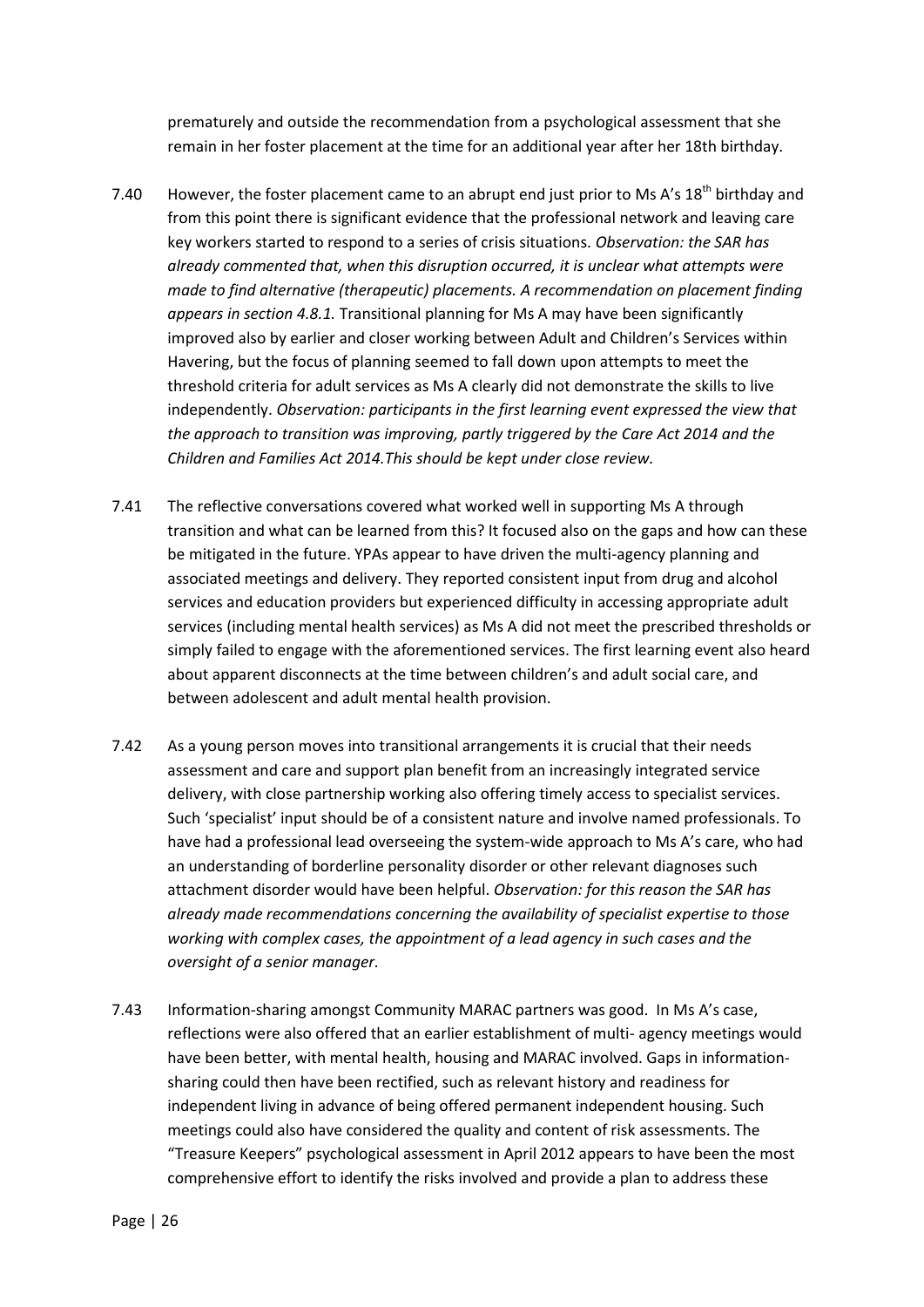prematurely and outside the recommendation from a psychological assessment that she remain in her foster placement at the time for an additional year after her 18th birthday.

- 7.40 However, the foster placement came to an abrupt end just prior to Ms A's  $18<sup>th</sup>$  birthday and from this point there is significant evidence that the professional network and leaving care key workers started to respond to a series of crisis situations. *Observation: the SAR has already commented that, when this disruption occurred, it is unclear what attempts were made to find alternative (therapeutic) placements. A recommendation on placement finding appears in section 4.8.1.* Transitional planning for Ms A may have been significantly improved also by earlier and closer working between Adult and Children's Services within Havering, but the focus of planning seemed to fall down upon attempts to meet the threshold criteria for adult services as Ms A clearly did not demonstrate the skills to live independently. *Observation: participants in the first learning event expressed the view that the approach to transition was improving, partly triggered by the Care Act 2014 and the Children and Families Act 2014.This should be kept under close review.*
- 7.41 The reflective conversations covered what worked well in supporting Ms A through transition and what can be learned from this? It focused also on the gaps and how can these be mitigated in the future. YPAs appear to have driven the multi-agency planning and associated meetings and delivery. They reported consistent input from drug and alcohol services and education providers but experienced difficulty in accessing appropriate adult services (including mental health services) as Ms A did not meet the prescribed thresholds or simply failed to engage with the aforementioned services. The first learning event also heard about apparent disconnects at the time between children's and adult social care, and between adolescent and adult mental health provision.
- 7.42 As a young person moves into transitional arrangements it is crucial that their needs assessment and care and support plan benefit from an increasingly integrated service delivery, with close partnership working also offering timely access to specialist services. Such 'specialist' input should be of a consistent nature and involve named professionals. To have had a professional lead overseeing the system-wide approach to Ms A's care, who had an understanding of borderline personality disorder or other relevant diagnoses such attachment disorder would have been helpful. *Observation: for this reason the SAR has already made recommendations concerning the availability of specialist expertise to those working with complex cases, the appointment of a lead agency in such cases and the oversight of a senior manager.*
- 7.43 Information-sharing amongst Community MARAC partners was good. In Ms A's case, reflections were also offered that an earlier establishment of multi- agency meetings would have been better, with mental health, housing and MARAC involved. Gaps in informationsharing could then have been rectified, such as relevant history and readiness for independent living in advance of being offered permanent independent housing. Such meetings could also have considered the quality and content of risk assessments. The "Treasure Keepers" psychological assessment in April 2012 appears to have been the most comprehensive effort to identify the risks involved and provide a plan to address these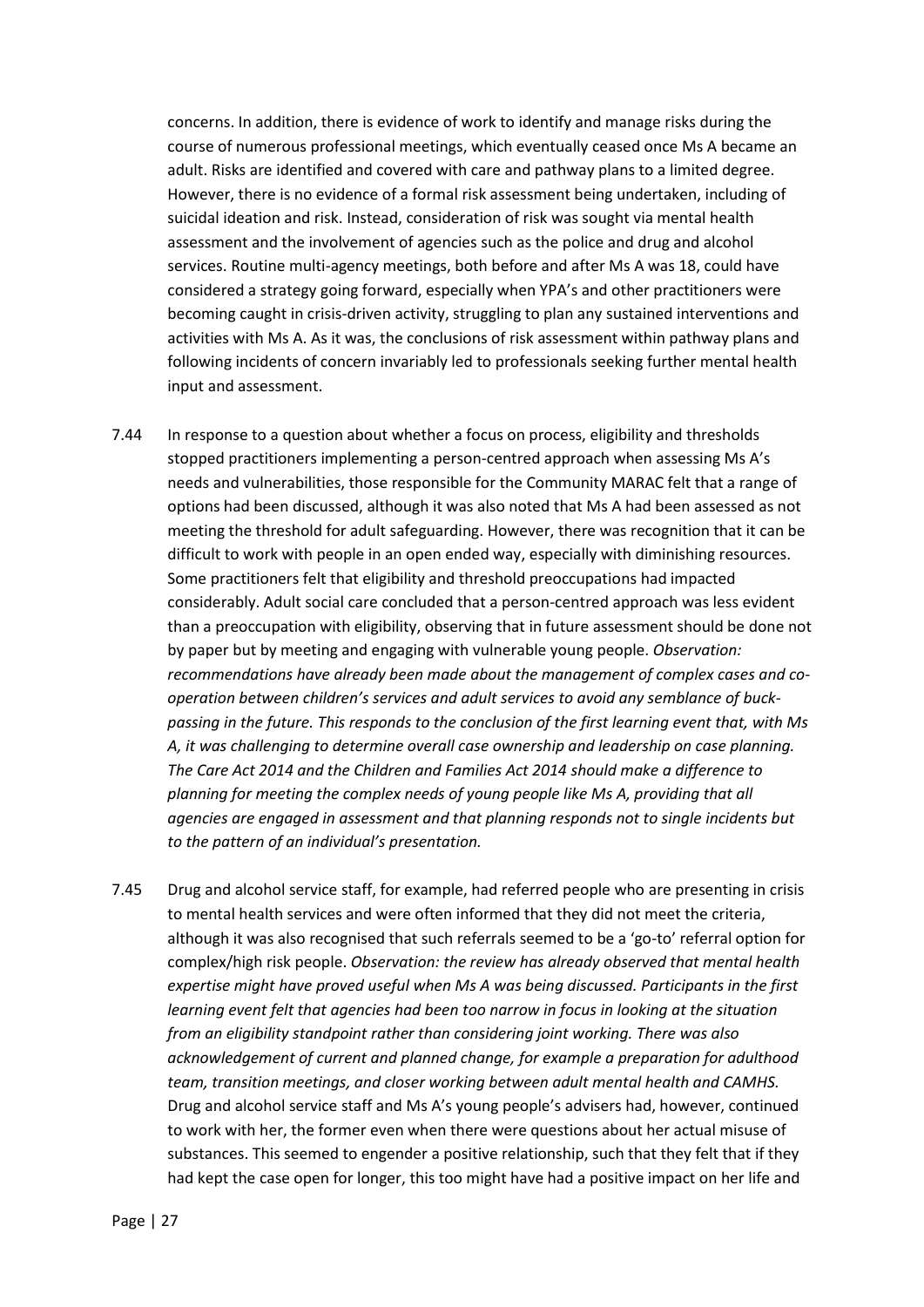concerns. In addition, there is evidence of work to identify and manage risks during the course of numerous professional meetings, which eventually ceased once Ms A became an adult. Risks are identified and covered with care and pathway plans to a limited degree. However, there is no evidence of a formal risk assessment being undertaken, including of suicidal ideation and risk. Instead, consideration of risk was sought via mental health assessment and the involvement of agencies such as the police and drug and alcohol services. Routine multi-agency meetings, both before and after Ms A was 18, could have considered a strategy going forward, especially when YPA's and other practitioners were becoming caught in crisis-driven activity, struggling to plan any sustained interventions and activities with Ms A. As it was, the conclusions of risk assessment within pathway plans and following incidents of concern invariably led to professionals seeking further mental health input and assessment.

- 7.44 In response to a question about whether a focus on process, eligibility and thresholds stopped practitioners implementing a person-centred approach when assessing Ms A's needs and vulnerabilities, those responsible for the Community MARAC felt that a range of options had been discussed, although it was also noted that Ms A had been assessed as not meeting the threshold for adult safeguarding. However, there was recognition that it can be difficult to work with people in an open ended way, especially with diminishing resources. Some practitioners felt that eligibility and threshold preoccupations had impacted considerably. Adult social care concluded that a person-centred approach was less evident than a preoccupation with eligibility, observing that in future assessment should be done not by paper but by meeting and engaging with vulnerable young people. *Observation: recommendations have already been made about the management of complex cases and co*operation between children's services and adult services to avoid any semblance of buck*passing in the future. This responds to the conclusion of the first learning event that, with Ms A, it was challenging to determine overall case ownership and leadership on case planning. The Care Act 2014 and the Children and Families Act 2014 should make a difference to planning for meeting the complex needs of young people like Ms A, providing that all agencies are engaged in assessment and that planning responds not to single incidents but to the pattern of an individual's presentation.*
- 7.45 Drug and alcohol service staff, for example, had referred people who are presenting in crisis to mental health services and were often informed that they did not meet the criteria, although it was also recognised that such referrals seemed to be a 'go-to' referral option for complex/high risk people. *Observation: the review has already observed that mental health expertise might have proved useful when Ms A was being discussed. Participants in the first learning event felt that agencies had been too narrow in focus in looking at the situation from an eligibility standpoint rather than considering joint working. There was also acknowledgement of current and planned change, for example a preparation for adulthood team, transition meetings, and closer working between adult mental health and CAMHS.* Drug and alcohol service staff and Ms A's young people's advisers had, however, continued to work with her, the former even when there were questions about her actual misuse of substances. This seemed to engender a positive relationship, such that they felt that if they had kept the case open for longer, this too might have had a positive impact on her life and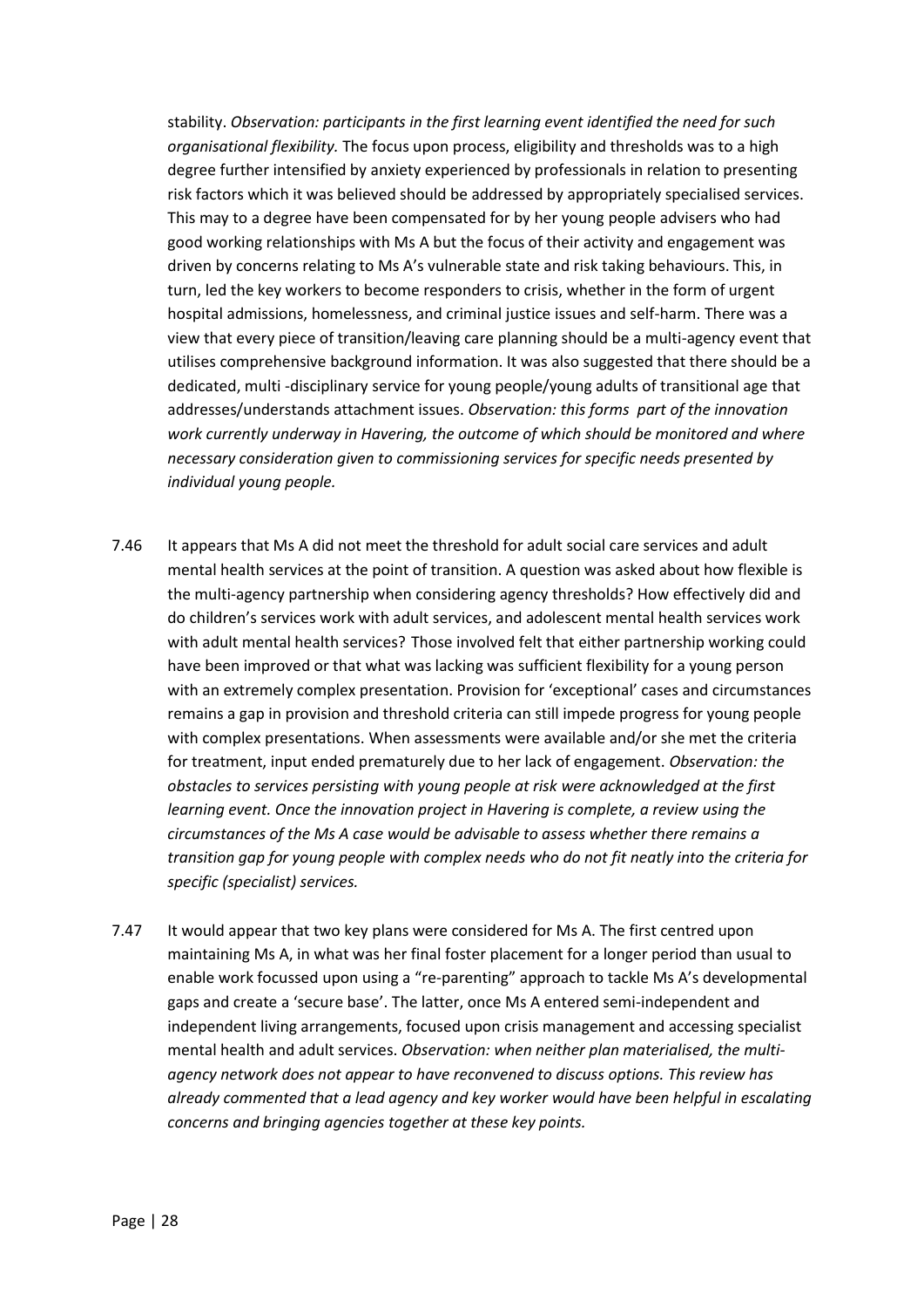stability. *Observation: participants in the first learning event identified the need for such organisational flexibility.* The focus upon process, eligibility and thresholds was to a high degree further intensified by anxiety experienced by professionals in relation to presenting risk factors which it was believed should be addressed by appropriately specialised services. This may to a degree have been compensated for by her young people advisers who had good working relationships with Ms A but the focus of their activity and engagement was driven by concerns relating to Ms A's vulnerable state and risk taking behaviours. This, in turn, led the key workers to become responders to crisis, whether in the form of urgent hospital admissions, homelessness, and criminal justice issues and self-harm. There was a view that every piece of transition/leaving care planning should be a multi-agency event that utilises comprehensive background information. It was also suggested that there should be a dedicated, multi -disciplinary service for young people/young adults of transitional age that addresses/understands attachment issues. *Observation: this forms part of the innovation work currently underway in Havering, the outcome of which should be monitored and where necessary consideration given to commissioning services for specific needs presented by individual young people.*

- 7.46 It appears that Ms A did not meet the threshold for adult social care services and adult mental health services at the point of transition. A question was asked about how flexible is the multi-agency partnership when considering agency thresholds? How effectively did and do children's services work with adult services, and adolescent mental health services work with adult mental health services? Those involved felt that either partnership working could have been improved or that what was lacking was sufficient flexibility for a young person with an extremely complex presentation. Provision for 'exceptional' cases and circumstances remains a gap in provision and threshold criteria can still impede progress for young people with complex presentations. When assessments were available and/or she met the criteria for treatment, input ended prematurely due to her lack of engagement. *Observation: the obstacles to services persisting with young people at risk were acknowledged at the first learning event. Once the innovation project in Havering is complete, a review using the circumstances of the Ms A case would be advisable to assess whether there remains a transition gap for young people with complex needs who do not fit neatly into the criteria for specific (specialist) services.*
- 7.47 It would appear that two key plans were considered for Ms A. The first centred upon maintaining Ms A, in what was her final foster placement for a longer period than usual to enable work focussed upon using a "re-parenting" approach to tackle Ms A's developmental gaps and create a 'secure base'. The latter, once Ms A entered semi-independent and independent living arrangements, focused upon crisis management and accessing specialist mental health and adult services. *Observation: when neither plan materialised, the multiagency network does not appear to have reconvened to discuss options. This review has already commented that a lead agency and key worker would have been helpful in escalating concerns and bringing agencies together at these key points.*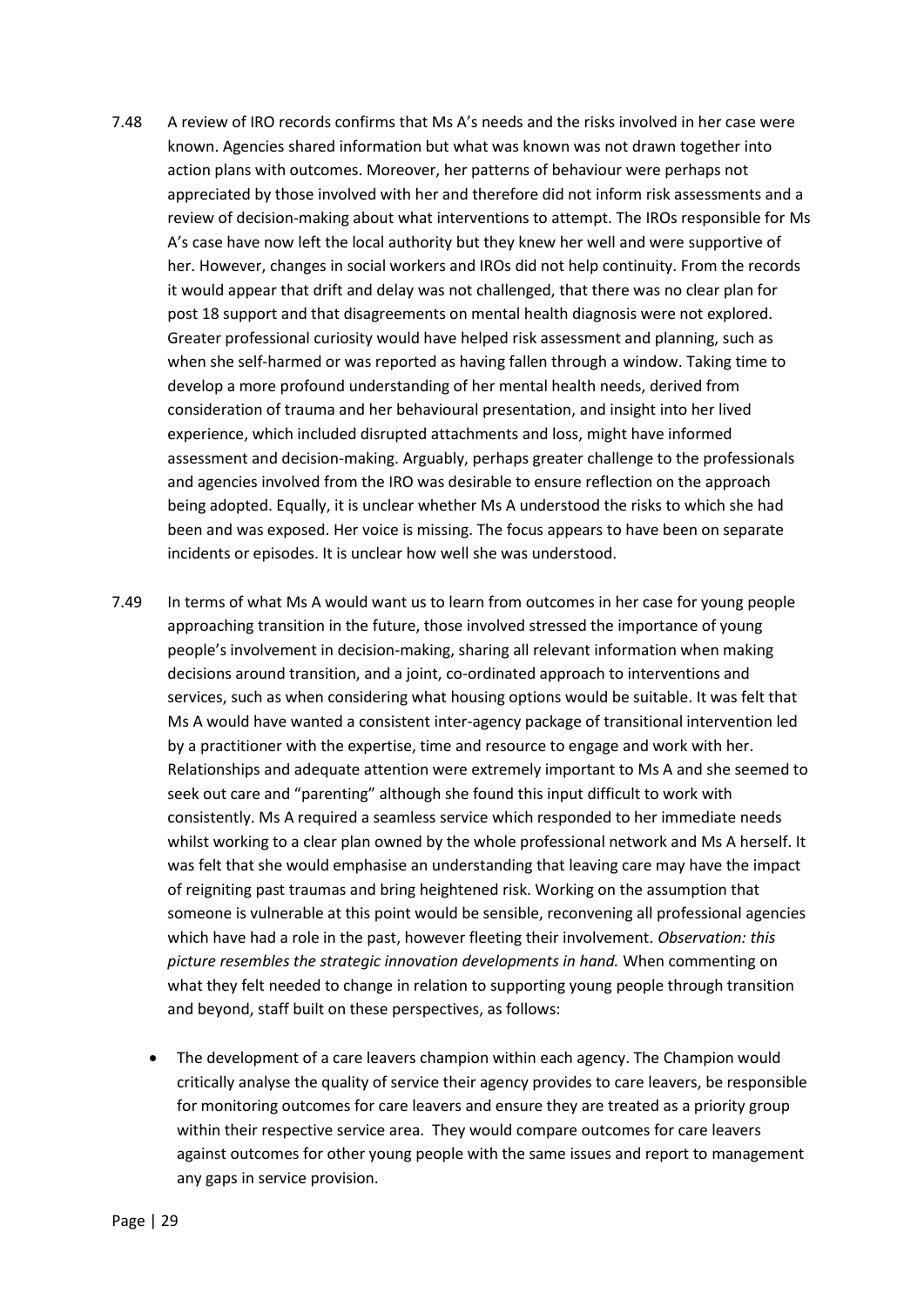- 7.48 A review of IRO records confirms that Ms A's needs and the risks involved in her case were known. Agencies shared information but what was known was not drawn together into action plans with outcomes. Moreover, her patterns of behaviour were perhaps not appreciated by those involved with her and therefore did not inform risk assessments and a review of decision-making about what interventions to attempt. The IROs responsible for Ms A's case have now left the local authority but they knew her well and were supportive of her. However, changes in social workers and IROs did not help continuity. From the records it would appear that drift and delay was not challenged, that there was no clear plan for post 18 support and that disagreements on mental health diagnosis were not explored. Greater professional curiosity would have helped risk assessment and planning, such as when she self-harmed or was reported as having fallen through a window. Taking time to develop a more profound understanding of her mental health needs, derived from consideration of trauma and her behavioural presentation, and insight into her lived experience, which included disrupted attachments and loss, might have informed assessment and decision-making. Arguably, perhaps greater challenge to the professionals and agencies involved from the IRO was desirable to ensure reflection on the approach being adopted. Equally, it is unclear whether Ms A understood the risks to which she had been and was exposed. Her voice is missing. The focus appears to have been on separate incidents or episodes. It is unclear how well she was understood.
- 7.49 In terms of what Ms A would want us to learn from outcomes in her case for young people approaching transition in the future, those involved stressed the importance of young people's involvement in decision-making, sharing all relevant information when making decisions around transition, and a joint, co-ordinated approach to interventions and services, such as when considering what housing options would be suitable. It was felt that Ms A would have wanted a consistent inter-agency package of transitional intervention led by a practitioner with the expertise, time and resource to engage and work with her. Relationships and adequate attention were extremely important to Ms A and she seemed to seek out care and "parenting" although she found this input difficult to work with consistently. Ms A required a seamless service which responded to her immediate needs whilst working to a clear plan owned by the whole professional network and Ms A herself. It was felt that she would emphasise an understanding that leaving care may have the impact of reigniting past traumas and bring heightened risk. Working on the assumption that someone is vulnerable at this point would be sensible, reconvening all professional agencies which have had a role in the past, however fleeting their involvement. *Observation: this picture resembles the strategic innovation developments in hand.* When commenting on what they felt needed to change in relation to supporting young people through transition and beyond, staff built on these perspectives, as follows:
	- The development of a care leavers champion within each agency. The Champion would critically analyse the quality of service their agency provides to care leavers, be responsible for monitoring outcomes for care leavers and ensure they are treated as a priority group within their respective service area. They would compare outcomes for care leavers against outcomes for other young people with the same issues and report to management any gaps in service provision.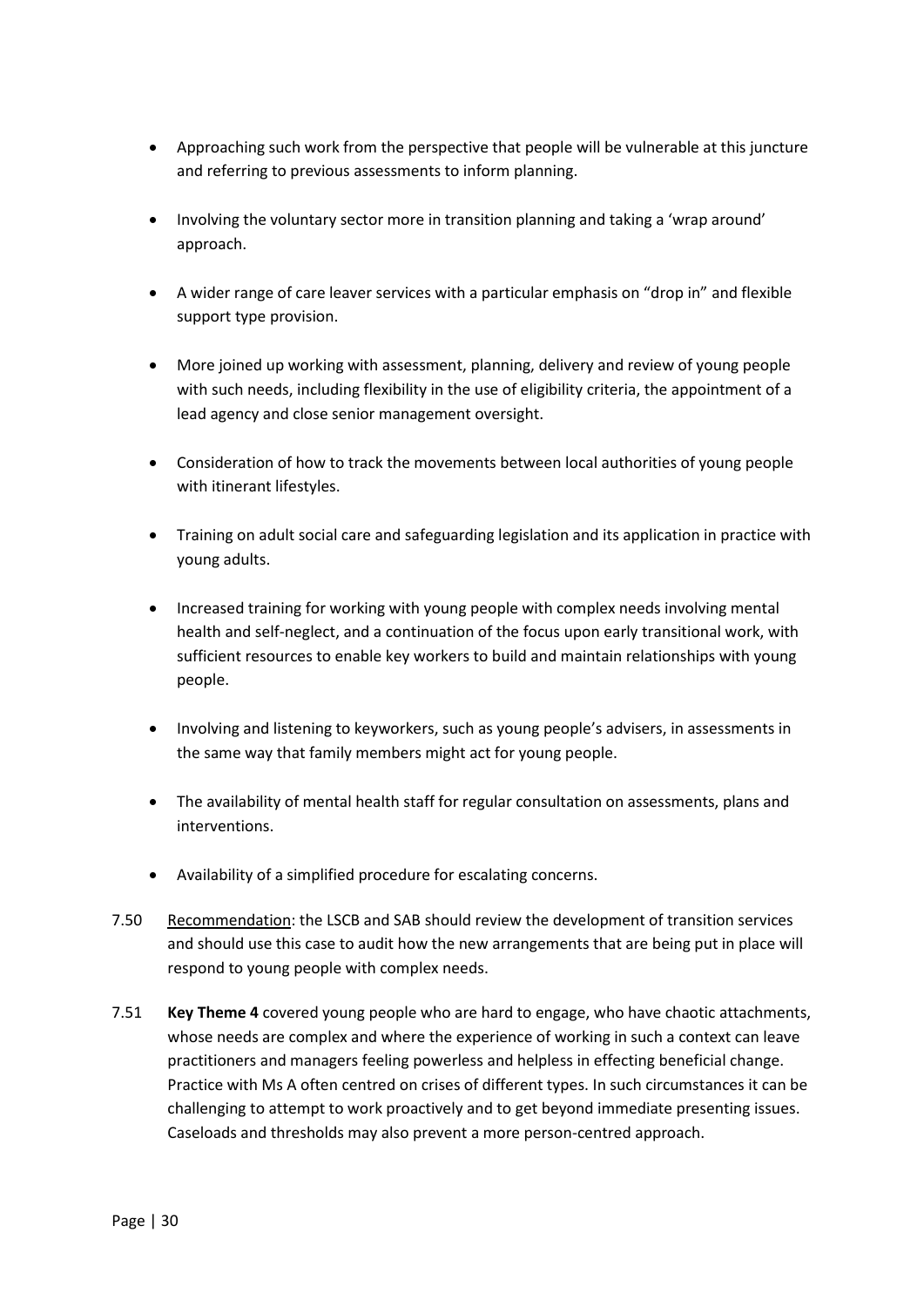- Approaching such work from the perspective that people will be vulnerable at this juncture and referring to previous assessments to inform planning.
- Involving the voluntary sector more in transition planning and taking a 'wrap around' approach.
- A wider range of care leaver services with a particular emphasis on "drop in" and flexible support type provision.
- More joined up working with assessment, planning, delivery and review of young people with such needs, including flexibility in the use of eligibility criteria, the appointment of a lead agency and close senior management oversight.
- Consideration of how to track the movements between local authorities of young people with itinerant lifestyles.
- Training on adult social care and safeguarding legislation and its application in practice with young adults.
- Increased training for working with young people with complex needs involving mental health and self-neglect, and a continuation of the focus upon early transitional work, with sufficient resources to enable key workers to build and maintain relationships with young people.
- Involving and listening to keyworkers, such as young people's advisers, in assessments in the same way that family members might act for young people.
- The availability of mental health staff for regular consultation on assessments, plans and interventions.
- Availability of a simplified procedure for escalating concerns.
- 7.50 Recommendation: the LSCB and SAB should review the development of transition services and should use this case to audit how the new arrangements that are being put in place will respond to young people with complex needs.
- 7.51 **Key Theme 4** covered young people who are hard to engage, who have chaotic attachments, whose needs are complex and where the experience of working in such a context can leave practitioners and managers feeling powerless and helpless in effecting beneficial change. Practice with Ms A often centred on crises of different types. In such circumstances it can be challenging to attempt to work proactively and to get beyond immediate presenting issues. Caseloads and thresholds may also prevent a more person-centred approach.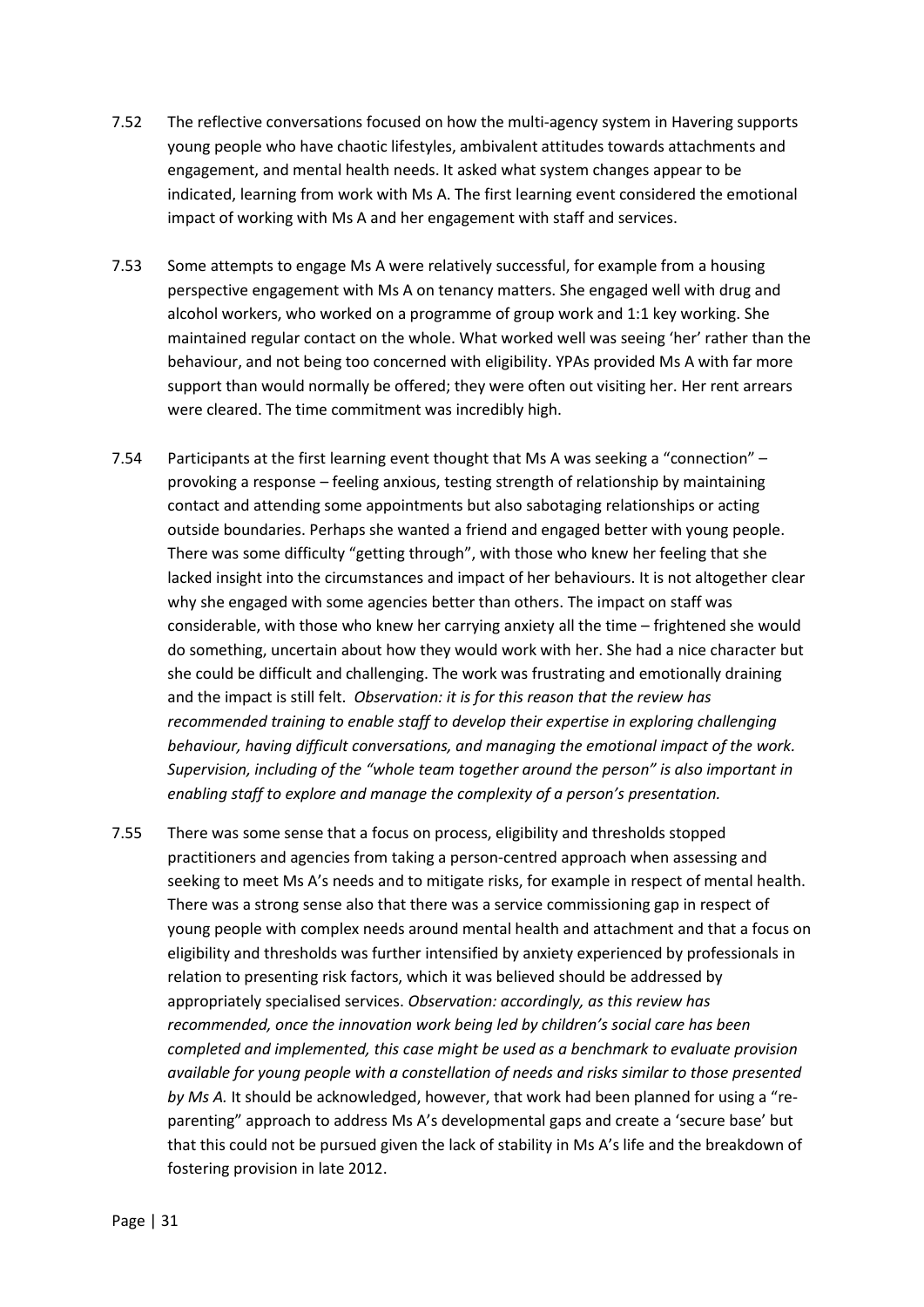- 7.52 The reflective conversations focused on how the multi-agency system in Havering supports young people who have chaotic lifestyles, ambivalent attitudes towards attachments and engagement, and mental health needs. It asked what system changes appear to be indicated, learning from work with Ms A. The first learning event considered the emotional impact of working with Ms A and her engagement with staff and services.
- 7.53 Some attempts to engage Ms A were relatively successful, for example from a housing perspective engagement with Ms A on tenancy matters. She engaged well with drug and alcohol workers, who worked on a programme of group work and 1:1 key working. She maintained regular contact on the whole. What worked well was seeing 'her' rather than the behaviour, and not being too concerned with eligibility. YPAs provided Ms A with far more support than would normally be offered; they were often out visiting her. Her rent arrears were cleared. The time commitment was incredibly high.
- 7.54 Participants at the first learning event thought that Ms A was seeking a "connection" provoking a response – feeling anxious, testing strength of relationship by maintaining contact and attending some appointments but also sabotaging relationships or acting outside boundaries. Perhaps she wanted a friend and engaged better with young people. There was some difficulty "getting through", with those who knew her feeling that she lacked insight into the circumstances and impact of her behaviours. It is not altogether clear why she engaged with some agencies better than others. The impact on staff was considerable, with those who knew her carrying anxiety all the time – frightened she would do something, uncertain about how they would work with her. She had a nice character but she could be difficult and challenging. The work was frustrating and emotionally draining and the impact is still felt. *Observation: it is for this reason that the review has recommended training to enable staff to develop their expertise in exploring challenging behaviour, having difficult conversations, and managing the emotional impact of the work. Supervision, including of the "whole team together around the person" is also important in enabling staff to explore and manage the complexity of a person's presentation.*
- 7.55 There was some sense that a focus on process, eligibility and thresholds stopped practitioners and agencies from taking a person-centred approach when assessing and seeking to meet Ms A's needs and to mitigate risks, for example in respect of mental health. There was a strong sense also that there was a service commissioning gap in respect of young people with complex needs around mental health and attachment and that a focus on eligibility and thresholds was further intensified by anxiety experienced by professionals in relation to presenting risk factors, which it was believed should be addressed by appropriately specialised services. *Observation: accordingly, as this review has recommended, once the innovation work being led by children's social care has been completed and implemented, this case might be used as a benchmark to evaluate provision available for young people with a constellation of needs and risks similar to those presented by Ms A.* It should be acknowledged, however, that work had been planned for using a "reparenting" approach to address Ms A's developmental gaps and create a 'secure base' but that this could not be pursued given the lack of stability in Ms A's life and the breakdown of fostering provision in late 2012.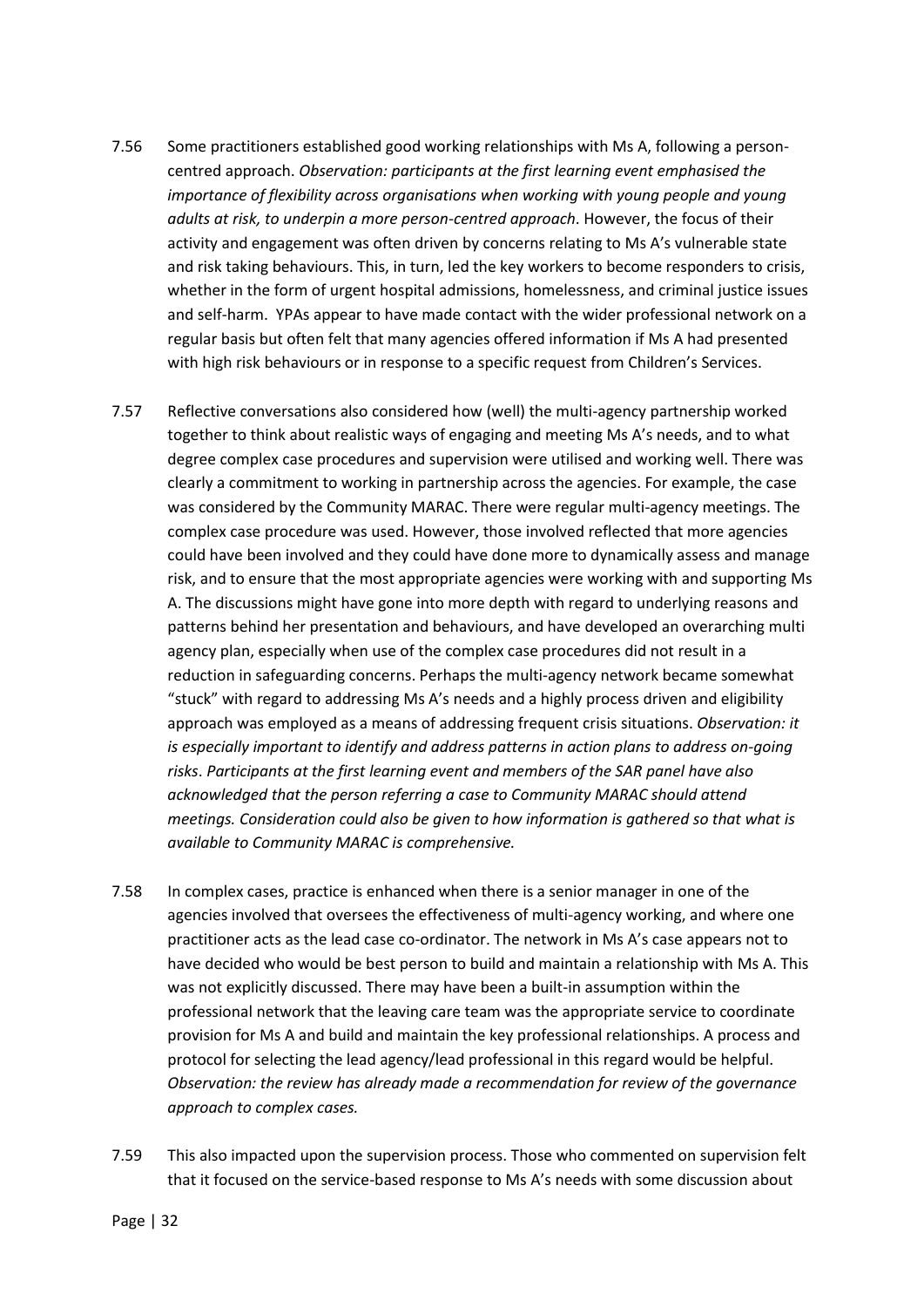- 7.56 Some practitioners established good working relationships with Ms A, following a personcentred approach. *Observation: participants at the first learning event emphasised the importance of flexibility across organisations when working with young people and young adults at risk, to underpin a more person-centred approach*. However, the focus of their activity and engagement was often driven by concerns relating to Ms A's vulnerable state and risk taking behaviours. This, in turn, led the key workers to become responders to crisis, whether in the form of urgent hospital admissions, homelessness, and criminal justice issues and self-harm. YPAs appear to have made contact with the wider professional network on a regular basis but often felt that many agencies offered information if Ms A had presented with high risk behaviours or in response to a specific request from Children's Services.
- 7.57 Reflective conversations also considered how (well) the multi-agency partnership worked together to think about realistic ways of engaging and meeting Ms A's needs, and to what degree complex case procedures and supervision were utilised and working well. There was clearly a commitment to working in partnership across the agencies. For example, the case was considered by the Community MARAC. There were regular multi-agency meetings. The complex case procedure was used. However, those involved reflected that more agencies could have been involved and they could have done more to dynamically assess and manage risk, and to ensure that the most appropriate agencies were working with and supporting Ms A. The discussions might have gone into more depth with regard to underlying reasons and patterns behind her presentation and behaviours, and have developed an overarching multi agency plan, especially when use of the complex case procedures did not result in a reduction in safeguarding concerns. Perhaps the multi-agency network became somewhat "stuck" with regard to addressing Ms A's needs and a highly process driven and eligibility approach was employed as a means of addressing frequent crisis situations. *Observation: it is especially important to identify and address patterns in action plans to address on-going risks*. *Participants at the first learning event and members of the SAR panel have also acknowledged that the person referring a case to Community MARAC should attend meetings. Consideration could also be given to how information is gathered so that what is available to Community MARAC is comprehensive.*
- 7.58 In complex cases, practice is enhanced when there is a senior manager in one of the agencies involved that oversees the effectiveness of multi-agency working, and where one practitioner acts as the lead case co-ordinator. The network in Ms A's case appears not to have decided who would be best person to build and maintain a relationship with Ms A. This was not explicitly discussed. There may have been a built-in assumption within the professional network that the leaving care team was the appropriate service to coordinate provision for Ms A and build and maintain the key professional relationships. A process and protocol for selecting the lead agency/lead professional in this regard would be helpful. *Observation: the review has already made a recommendation for review of the governance approach to complex cases.*
- 7.59 This also impacted upon the supervision process. Those who commented on supervision felt that it focused on the service-based response to Ms A's needs with some discussion about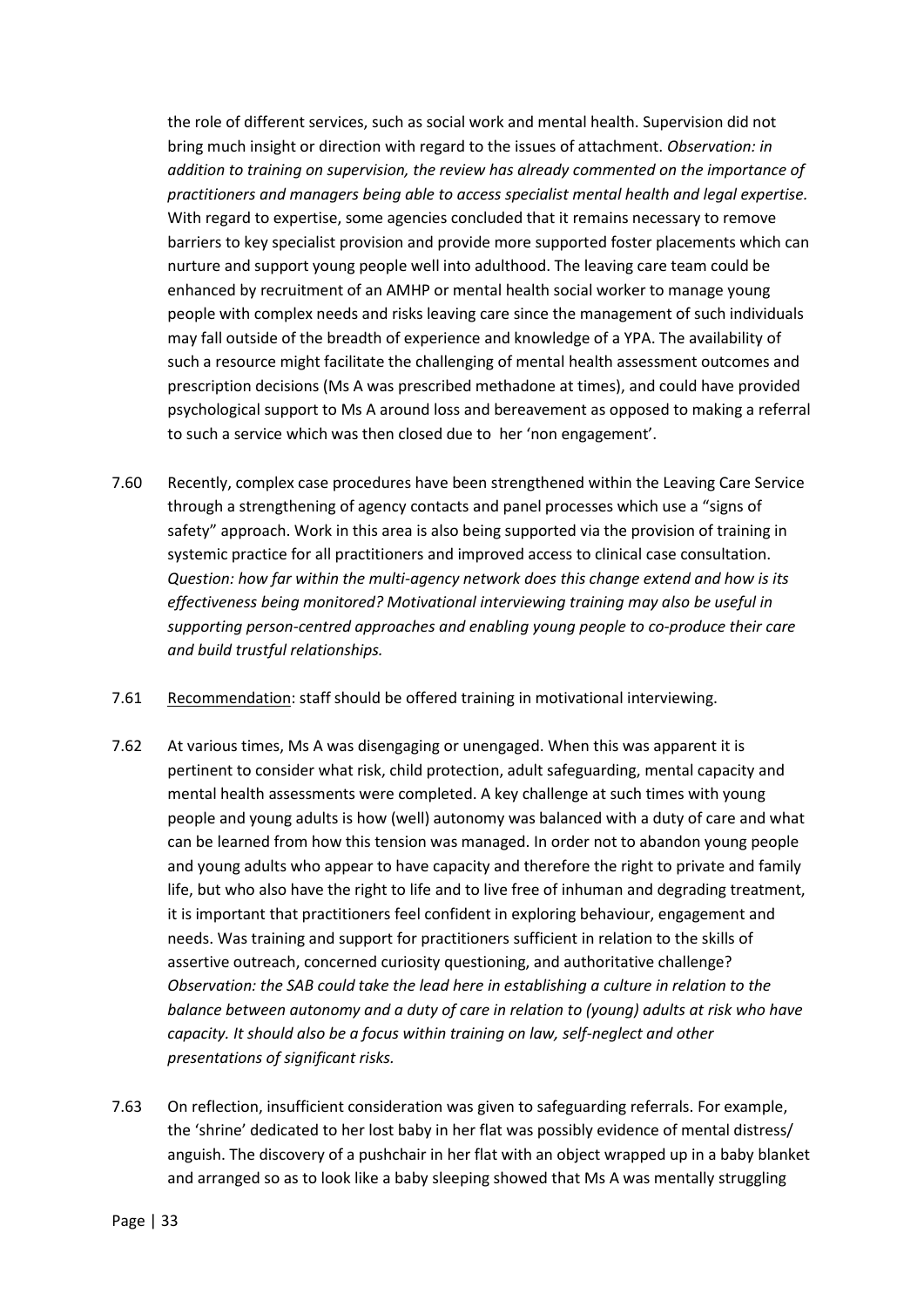the role of different services, such as social work and mental health. Supervision did not bring much insight or direction with regard to the issues of attachment. *Observation: in addition to training on supervision, the review has already commented on the importance of practitioners and managers being able to access specialist mental health and legal expertise.* With regard to expertise, some agencies concluded that it remains necessary to remove barriers to key specialist provision and provide more supported foster placements which can nurture and support young people well into adulthood. The leaving care team could be enhanced by recruitment of an AMHP or mental health social worker to manage young people with complex needs and risks leaving care since the management of such individuals may fall outside of the breadth of experience and knowledge of a YPA. The availability of such a resource might facilitate the challenging of mental health assessment outcomes and prescription decisions (Ms A was prescribed methadone at times), and could have provided psychological support to Ms A around loss and bereavement as opposed to making a referral to such a service which was then closed due to her 'non engagement'.

- 7.60 Recently, complex case procedures have been strengthened within the Leaving Care Service through a strengthening of agency contacts and panel processes which use a "signs of safety" approach. Work in this area is also being supported via the provision of training in systemic practice for all practitioners and improved access to clinical case consultation. *Question: how far within the multi-agency network does this change extend and how is its effectiveness being monitored? Motivational interviewing training may also be useful in supporting person-centred approaches and enabling young people to co-produce their care and build trustful relationships.*
- 7.61 Recommendation: staff should be offered training in motivational interviewing.
- 7.62 At various times, Ms A was disengaging or unengaged. When this was apparent it is pertinent to consider what risk, child protection, adult safeguarding, mental capacity and mental health assessments were completed. A key challenge at such times with young people and young adults is how (well) autonomy was balanced with a duty of care and what can be learned from how this tension was managed. In order not to abandon young people and young adults who appear to have capacity and therefore the right to private and family life, but who also have the right to life and to live free of inhuman and degrading treatment, it is important that practitioners feel confident in exploring behaviour, engagement and needs. Was training and support for practitioners sufficient in relation to the skills of assertive outreach, concerned curiosity questioning, and authoritative challenge? *Observation: the SAB could take the lead here in establishing a culture in relation to the balance between autonomy and a duty of care in relation to (young) adults at risk who have capacity. It should also be a focus within training on law, self-neglect and other presentations of significant risks.*
- 7.63 On reflection, insufficient consideration was given to safeguarding referrals. For example, the 'shrine' dedicated to her lost baby in her flat was possibly evidence of mental distress/ anguish. The discovery of a pushchair in her flat with an object wrapped up in a baby blanket and arranged so as to look like a baby sleeping showed that Ms A was mentally struggling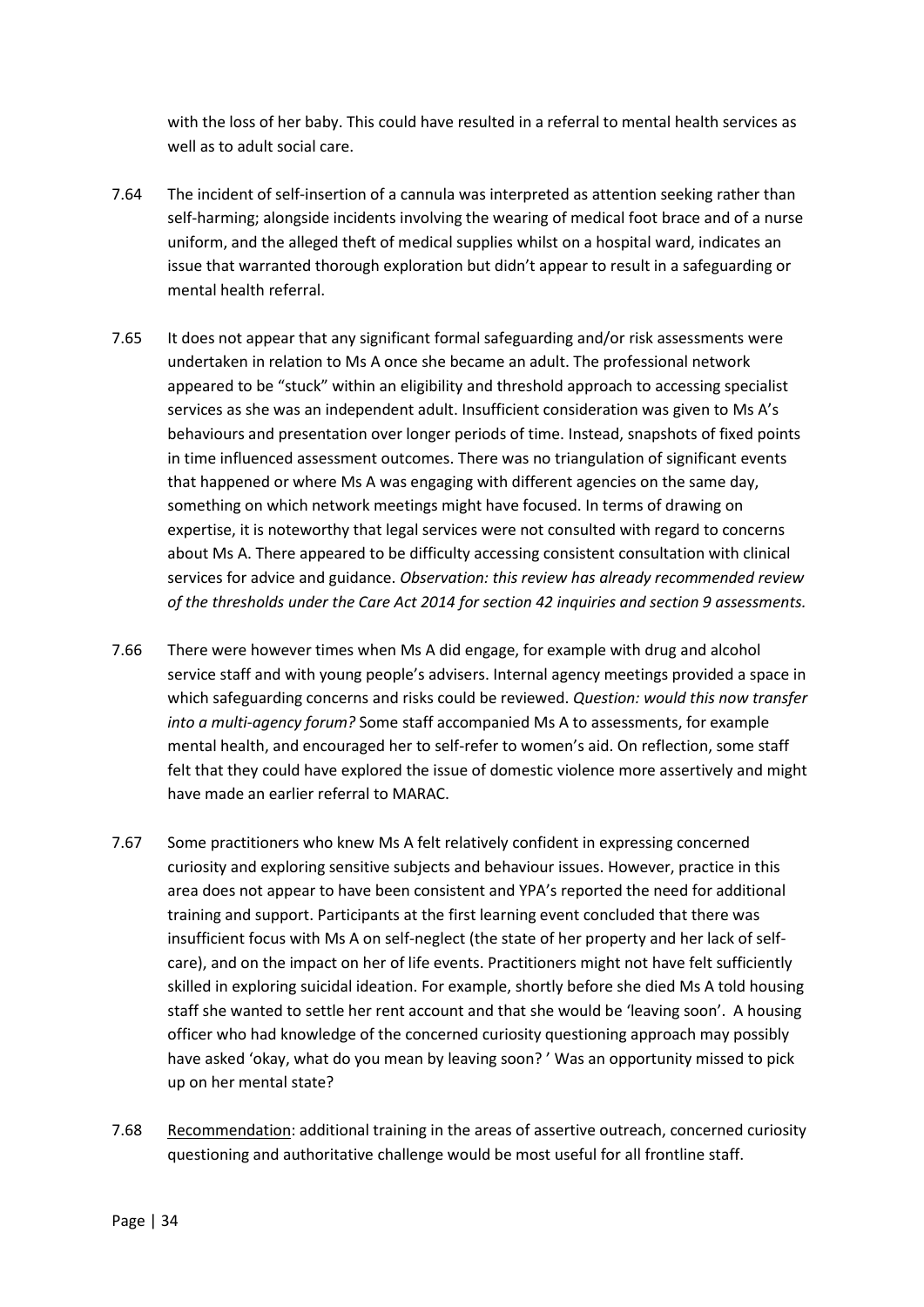with the loss of her baby. This could have resulted in a referral to mental health services as well as to adult social care.

- 7.64 The incident of self-insertion of a cannula was interpreted as attention seeking rather than self-harming; alongside incidents involving the wearing of medical foot brace and of a nurse uniform, and the alleged theft of medical supplies whilst on a hospital ward, indicates an issue that warranted thorough exploration but didn't appear to result in a safeguarding or mental health referral.
- 7.65 It does not appear that any significant formal safeguarding and/or risk assessments were undertaken in relation to Ms A once she became an adult. The professional network appeared to be "stuck" within an eligibility and threshold approach to accessing specialist services as she was an independent adult. Insufficient consideration was given to Ms A's behaviours and presentation over longer periods of time. Instead, snapshots of fixed points in time influenced assessment outcomes. There was no triangulation of significant events that happened or where Ms A was engaging with different agencies on the same day, something on which network meetings might have focused. In terms of drawing on expertise, it is noteworthy that legal services were not consulted with regard to concerns about Ms A. There appeared to be difficulty accessing consistent consultation with clinical services for advice and guidance. *Observation: this review has already recommended review of the thresholds under the Care Act 2014 for section 42 inquiries and section 9 assessments.*
- 7.66 There were however times when Ms A did engage, for example with drug and alcohol service staff and with young people's advisers. Internal agency meetings provided a space in which safeguarding concerns and risks could be reviewed. *Question: would this now transfer into a multi-agency forum?* Some staff accompanied Ms A to assessments, for example mental health, and encouraged her to self-refer to women's aid. On reflection, some staff felt that they could have explored the issue of domestic violence more assertively and might have made an earlier referral to MARAC.
- 7.67 Some practitioners who knew Ms A felt relatively confident in expressing concerned curiosity and exploring sensitive subjects and behaviour issues. However, practice in this area does not appear to have been consistent and YPA's reported the need for additional training and support. Participants at the first learning event concluded that there was insufficient focus with Ms A on self-neglect (the state of her property and her lack of selfcare), and on the impact on her of life events. Practitioners might not have felt sufficiently skilled in exploring suicidal ideation. For example, shortly before she died Ms A told housing staff she wanted to settle her rent account and that she would be 'leaving soon'. A housing officer who had knowledge of the concerned curiosity questioning approach may possibly have asked 'okay, what do you mean by leaving soon? ' Was an opportunity missed to pick up on her mental state?
- 7.68 Recommendation: additional training in the areas of assertive outreach, concerned curiosity questioning and authoritative challenge would be most useful for all frontline staff.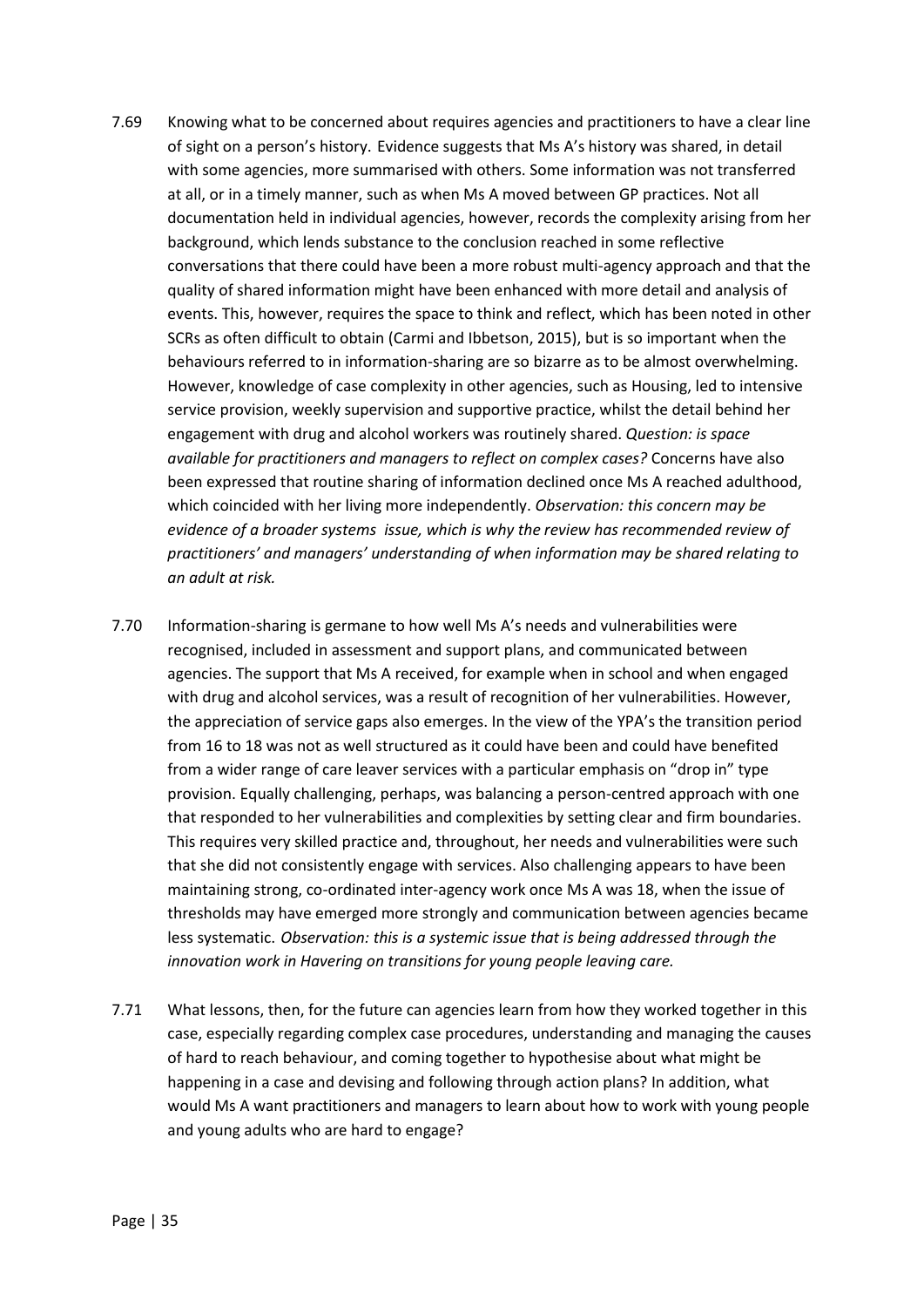- 7.69 Knowing what to be concerned about requires agencies and practitioners to have a clear line of sight on a person's history. Evidence suggests that Ms A's history was shared, in detail with some agencies, more summarised with others. Some information was not transferred at all, or in a timely manner, such as when Ms A moved between GP practices. Not all documentation held in individual agencies, however, records the complexity arising from her background, which lends substance to the conclusion reached in some reflective conversations that there could have been a more robust multi-agency approach and that the quality of shared information might have been enhanced with more detail and analysis of events. This, however, requires the space to think and reflect, which has been noted in other SCRs as often difficult to obtain (Carmi and Ibbetson, 2015), but is so important when the behaviours referred to in information-sharing are so bizarre as to be almost overwhelming. However, knowledge of case complexity in other agencies, such as Housing, led to intensive service provision, weekly supervision and supportive practice, whilst the detail behind her engagement with drug and alcohol workers was routinely shared. *Question: is space available for practitioners and managers to reflect on complex cases?* Concerns have also been expressed that routine sharing of information declined once Ms A reached adulthood, which coincided with her living more independently. *Observation: this concern may be evidence of a broader systems issue, which is why the review has recommended review of practitioners' and managers' understanding of when information may be shared relating to an adult at risk.*
- 7.70 Information-sharing is germane to how well Ms A's needs and vulnerabilities were recognised, included in assessment and support plans, and communicated between agencies. The support that Ms A received, for example when in school and when engaged with drug and alcohol services, was a result of recognition of her vulnerabilities. However, the appreciation of service gaps also emerges. In the view of the YPA's the transition period from 16 to 18 was not as well structured as it could have been and could have benefited from a wider range of care leaver services with a particular emphasis on "drop in" type provision. Equally challenging, perhaps, was balancing a person-centred approach with one that responded to her vulnerabilities and complexities by setting clear and firm boundaries. This requires very skilled practice and, throughout, her needs and vulnerabilities were such that she did not consistently engage with services. Also challenging appears to have been maintaining strong, co-ordinated inter-agency work once Ms A was 18, when the issue of thresholds may have emerged more strongly and communication between agencies became less systematic. *Observation: this is a systemic issue that is being addressed through the innovation work in Havering on transitions for young people leaving care.*
- 7.71 What lessons, then, for the future can agencies learn from how they worked together in this case, especially regarding complex case procedures, understanding and managing the causes of hard to reach behaviour, and coming together to hypothesise about what might be happening in a case and devising and following through action plans? In addition, what would Ms A want practitioners and managers to learn about how to work with young people and young adults who are hard to engage?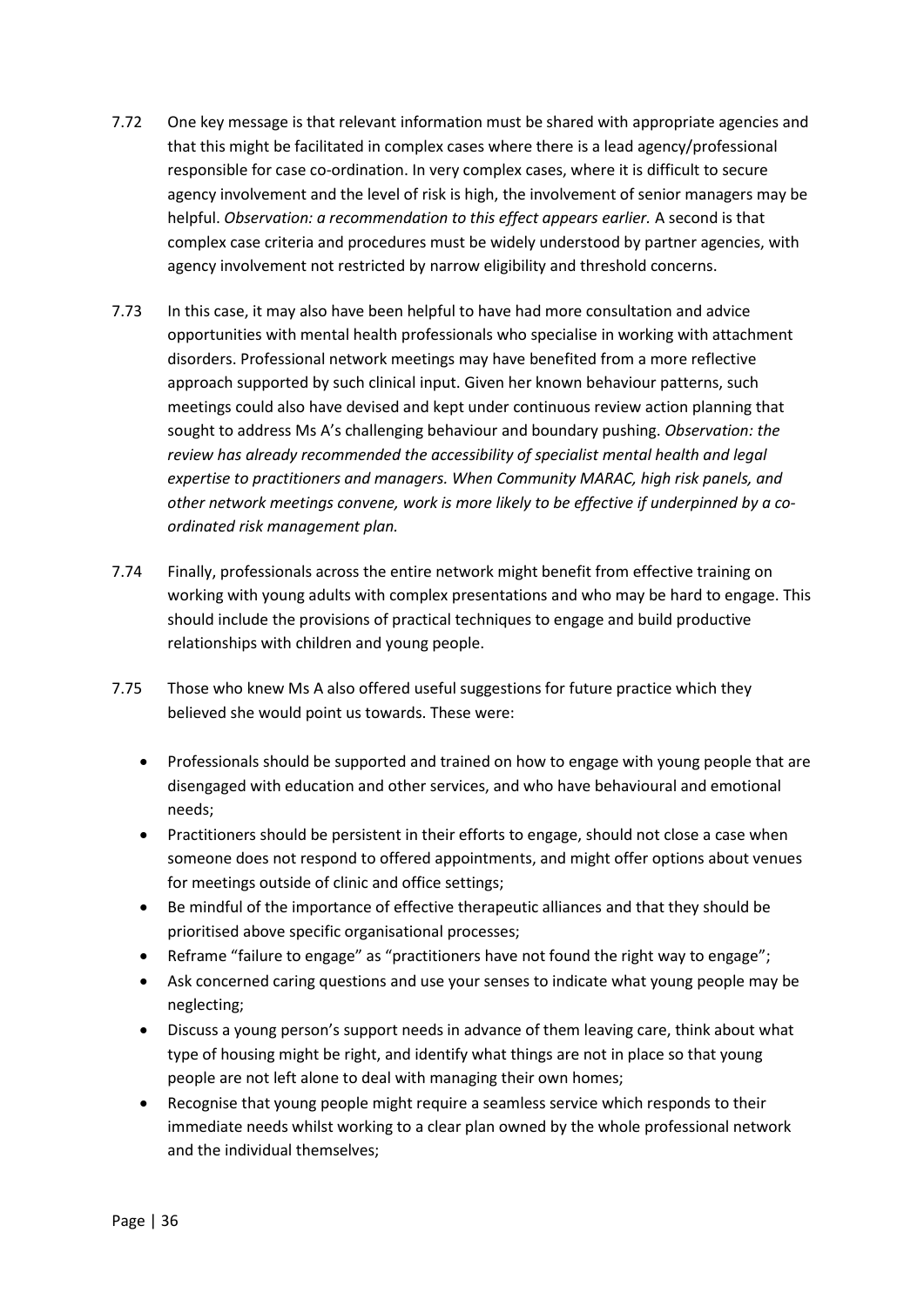- 7.72 One key message is that relevant information must be shared with appropriate agencies and that this might be facilitated in complex cases where there is a lead agency/professional responsible for case co-ordination. In very complex cases, where it is difficult to secure agency involvement and the level of risk is high, the involvement of senior managers may be helpful. *Observation: a recommendation to this effect appears earlier.* A second is that complex case criteria and procedures must be widely understood by partner agencies, with agency involvement not restricted by narrow eligibility and threshold concerns.
- 7.73 In this case, it may also have been helpful to have had more consultation and advice opportunities with mental health professionals who specialise in working with attachment disorders. Professional network meetings may have benefited from a more reflective approach supported by such clinical input. Given her known behaviour patterns, such meetings could also have devised and kept under continuous review action planning that sought to address Ms A's challenging behaviour and boundary pushing. *Observation: the review has already recommended the accessibility of specialist mental health and legal expertise to practitioners and managers. When Community MARAC, high risk panels, and other network meetings convene, work is more likely to be effective if underpinned by a coordinated risk management plan.*
- 7.74 Finally, professionals across the entire network might benefit from effective training on working with young adults with complex presentations and who may be hard to engage. This should include the provisions of practical techniques to engage and build productive relationships with children and young people.
- 7.75 Those who knew Ms A also offered useful suggestions for future practice which they believed she would point us towards. These were:
	- Professionals should be supported and trained on how to engage with young people that are disengaged with education and other services, and who have behavioural and emotional needs;
	- Practitioners should be persistent in their efforts to engage, should not close a case when someone does not respond to offered appointments, and might offer options about venues for meetings outside of clinic and office settings;
	- Be mindful of the importance of effective therapeutic alliances and that they should be prioritised above specific organisational processes;
	- Reframe "failure to engage" as "practitioners have not found the right way to engage";
	- Ask concerned caring questions and use your senses to indicate what young people may be neglecting;
	- Discuss a young person's support needs in advance of them leaving care, think about what type of housing might be right, and identify what things are not in place so that young people are not left alone to deal with managing their own homes;
	- Recognise that young people might require a seamless service which responds to their immediate needs whilst working to a clear plan owned by the whole professional network and the individual themselves;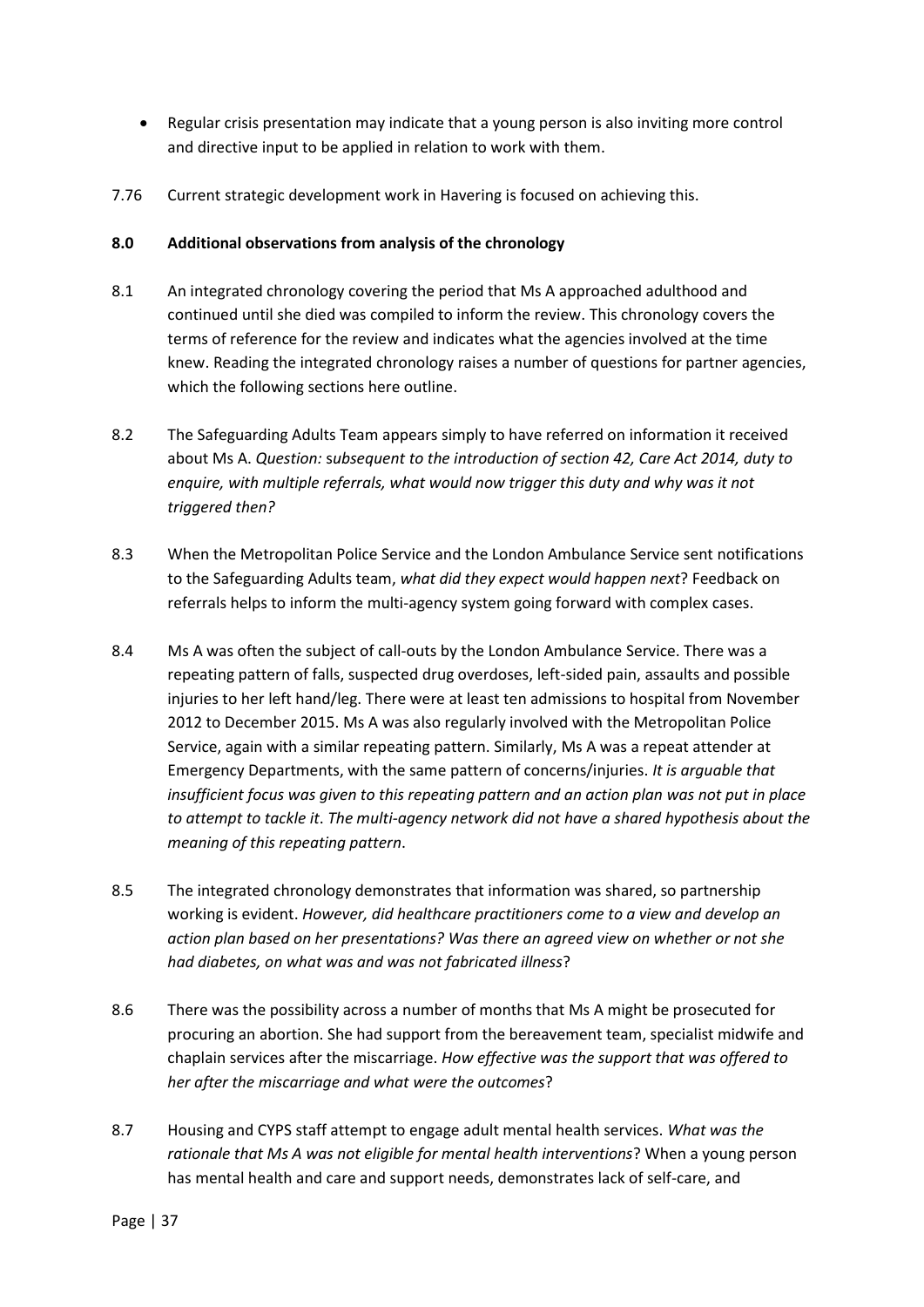- Regular crisis presentation may indicate that a young person is also inviting more control and directive input to be applied in relation to work with them.
- 7.76 Current strategic development work in Havering is focused on achieving this.

## **8.0 Additional observations from analysis of the chronology**

- 8.1 An integrated chronology covering the period that Ms A approached adulthood and continued until she died was compiled to inform the review. This chronology covers the terms of reference for the review and indicates what the agencies involved at the time knew. Reading the integrated chronology raises a number of questions for partner agencies, which the following sections here outline.
- 8.2 The Safeguarding Adults Team appears simply to have referred on information it received about Ms A. *Question:* s*ubsequent to the introduction of section 42, Care Act 2014, duty to enquire, with multiple referrals, what would now trigger this duty and why was it not triggered then?*
- 8.3 When the Metropolitan Police Service and the London Ambulance Service sent notifications to the Safeguarding Adults team, *what did they expect would happen next*? Feedback on referrals helps to inform the multi-agency system going forward with complex cases.
- 8.4 Ms A was often the subject of call-outs by the London Ambulance Service. There was a repeating pattern of falls, suspected drug overdoses, left-sided pain, assaults and possible injuries to her left hand/leg. There were at least ten admissions to hospital from November 2012 to December 2015. Ms A was also regularly involved with the Metropolitan Police Service, again with a similar repeating pattern. Similarly, Ms A was a repeat attender at Emergency Departments, with the same pattern of concerns/injuries. *It is arguable that insufficient focus was given to this repeating pattern and an action plan was not put in place to attempt to tackle it*. *The multi-agency network did not have a shared hypothesis about the meaning of this repeating pattern*.
- 8.5 The integrated chronology demonstrates that information was shared, so partnership working is evident. *However, did healthcare practitioners come to a view and develop an action plan based on her presentations? Was there an agreed view on whether or not she had diabetes, on what was and was not fabricated illness*?
- 8.6 There was the possibility across a number of months that Ms A might be prosecuted for procuring an abortion. She had support from the bereavement team, specialist midwife and chaplain services after the miscarriage. *How effective was the support that was offered to her after the miscarriage and what were the outcomes*?
- 8.7 Housing and CYPS staff attempt to engage adult mental health services. *What was the rationale that Ms A was not eligible for mental health interventions*? When a young person has mental health and care and support needs, demonstrates lack of self-care, and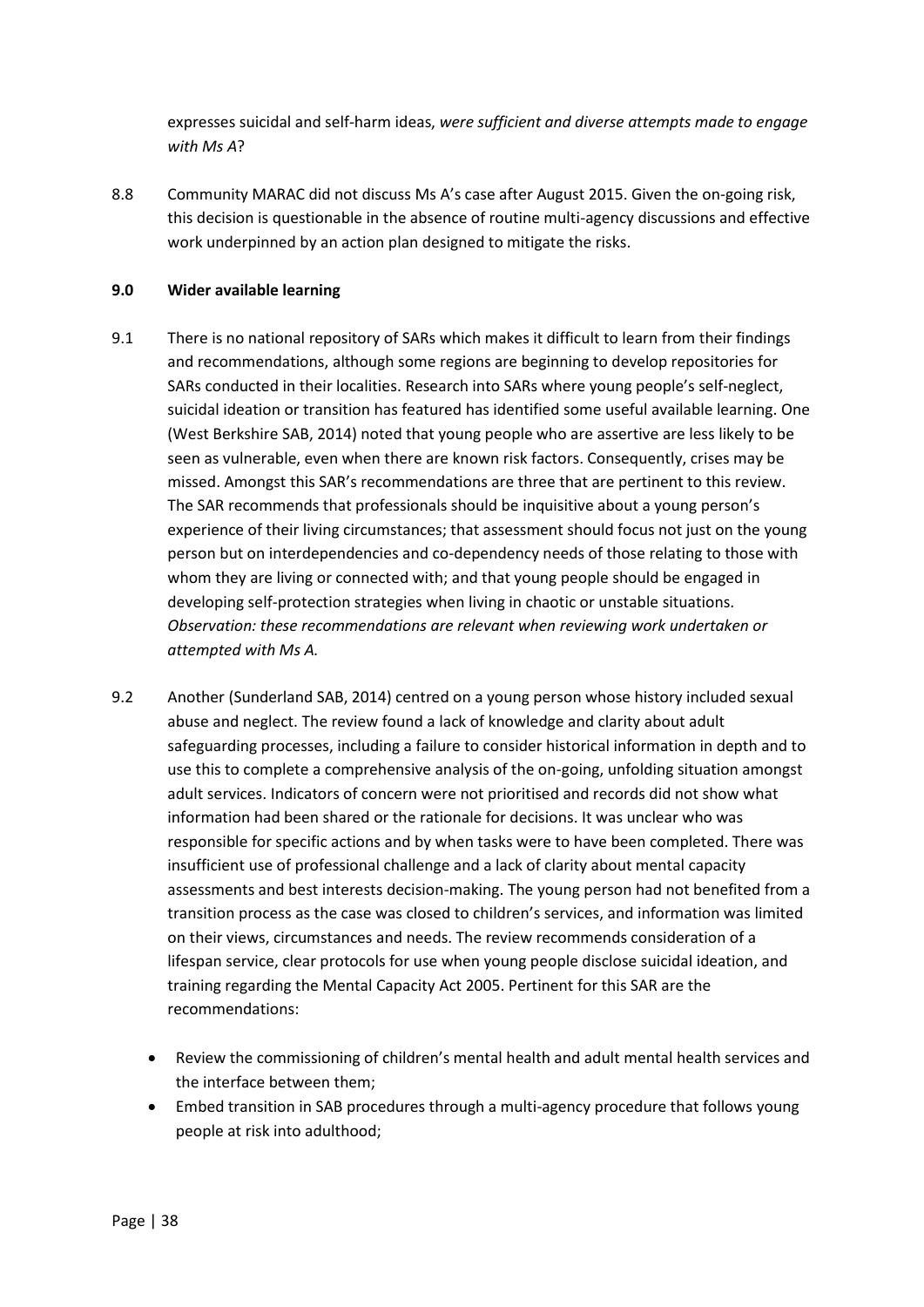expresses suicidal and self-harm ideas, *were sufficient and diverse attempts made to engage with Ms A*?

8.8 Community MARAC did not discuss Ms A's case after August 2015. Given the on-going risk, this decision is questionable in the absence of routine multi-agency discussions and effective work underpinned by an action plan designed to mitigate the risks.

## **9.0 Wider available learning**

- 9.1 There is no national repository of SARs which makes it difficult to learn from their findings and recommendations, although some regions are beginning to develop repositories for SARs conducted in their localities. Research into SARs where young people's self-neglect, suicidal ideation or transition has featured has identified some useful available learning. One (West Berkshire SAB, 2014) noted that young people who are assertive are less likely to be seen as vulnerable, even when there are known risk factors. Consequently, crises may be missed. Amongst this SAR's recommendations are three that are pertinent to this review. The SAR recommends that professionals should be inquisitive about a young person's experience of their living circumstances; that assessment should focus not just on the young person but on interdependencies and co-dependency needs of those relating to those with whom they are living or connected with; and that young people should be engaged in developing self-protection strategies when living in chaotic or unstable situations. *Observation: these recommendations are relevant when reviewing work undertaken or attempted with Ms A.*
- 9.2 Another (Sunderland SAB, 2014) centred on a young person whose history included sexual abuse and neglect. The review found a lack of knowledge and clarity about adult safeguarding processes, including a failure to consider historical information in depth and to use this to complete a comprehensive analysis of the on-going, unfolding situation amongst adult services. Indicators of concern were not prioritised and records did not show what information had been shared or the rationale for decisions. It was unclear who was responsible for specific actions and by when tasks were to have been completed. There was insufficient use of professional challenge and a lack of clarity about mental capacity assessments and best interests decision-making. The young person had not benefited from a transition process as the case was closed to children's services, and information was limited on their views, circumstances and needs. The review recommends consideration of a lifespan service, clear protocols for use when young people disclose suicidal ideation, and training regarding the Mental Capacity Act 2005. Pertinent for this SAR are the recommendations:
	- Review the commissioning of children's mental health and adult mental health services and the interface between them;
	- Embed transition in SAB procedures through a multi-agency procedure that follows young people at risk into adulthood;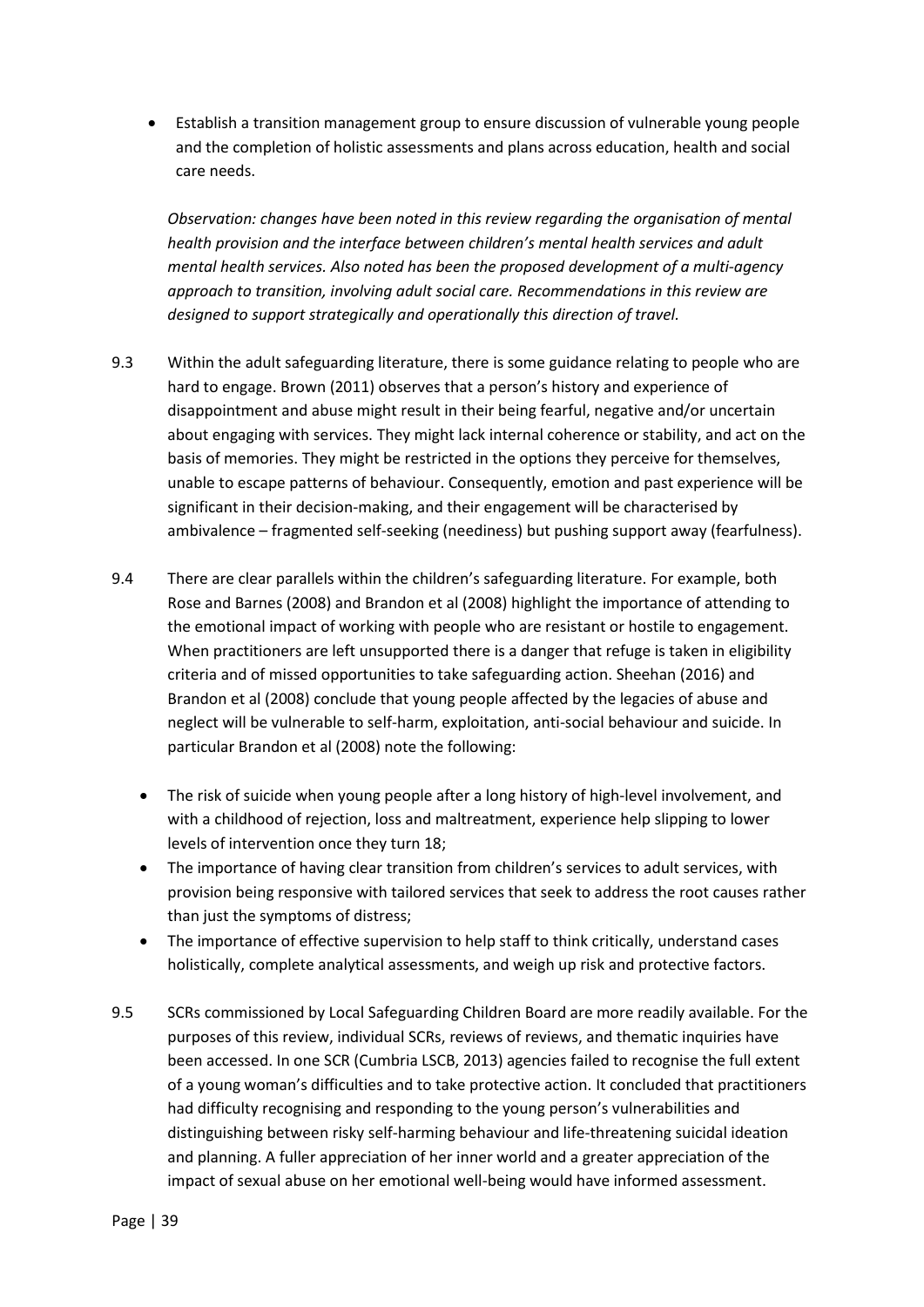Establish a transition management group to ensure discussion of vulnerable young people and the completion of holistic assessments and plans across education, health and social care needs.

*Observation: changes have been noted in this review regarding the organisation of mental health provision and the interface between children's mental health services and adult mental health services. Also noted has been the proposed development of a multi-agency approach to transition, involving adult social care. Recommendations in this review are designed to support strategically and operationally this direction of travel.*

- 9.3 Within the adult safeguarding literature, there is some guidance relating to people who are hard to engage. Brown (2011) observes that a person's history and experience of disappointment and abuse might result in their being fearful, negative and/or uncertain about engaging with services. They might lack internal coherence or stability, and act on the basis of memories. They might be restricted in the options they perceive for themselves, unable to escape patterns of behaviour. Consequently, emotion and past experience will be significant in their decision-making, and their engagement will be characterised by ambivalence – fragmented self-seeking (neediness) but pushing support away (fearfulness).
- 9.4 There are clear parallels within the children's safeguarding literature. For example, both Rose and Barnes (2008) and Brandon et al (2008) highlight the importance of attending to the emotional impact of working with people who are resistant or hostile to engagement. When practitioners are left unsupported there is a danger that refuge is taken in eligibility criteria and of missed opportunities to take safeguarding action. Sheehan (2016) and Brandon et al (2008) conclude that young people affected by the legacies of abuse and neglect will be vulnerable to self-harm, exploitation, anti-social behaviour and suicide. In particular Brandon et al (2008) note the following:
	- The risk of suicide when young people after a long history of high-level involvement, and with a childhood of rejection, loss and maltreatment, experience help slipping to lower levels of intervention once they turn 18;
	- The importance of having clear transition from children's services to adult services, with provision being responsive with tailored services that seek to address the root causes rather than just the symptoms of distress;
	- The importance of effective supervision to help staff to think critically, understand cases holistically, complete analytical assessments, and weigh up risk and protective factors.
- 9.5 SCRs commissioned by Local Safeguarding Children Board are more readily available. For the purposes of this review, individual SCRs, reviews of reviews, and thematic inquiries have been accessed. In one SCR (Cumbria LSCB, 2013) agencies failed to recognise the full extent of a young woman's difficulties and to take protective action. It concluded that practitioners had difficulty recognising and responding to the young person's vulnerabilities and distinguishing between risky self-harming behaviour and life-threatening suicidal ideation and planning. A fuller appreciation of her inner world and a greater appreciation of the impact of sexual abuse on her emotional well-being would have informed assessment.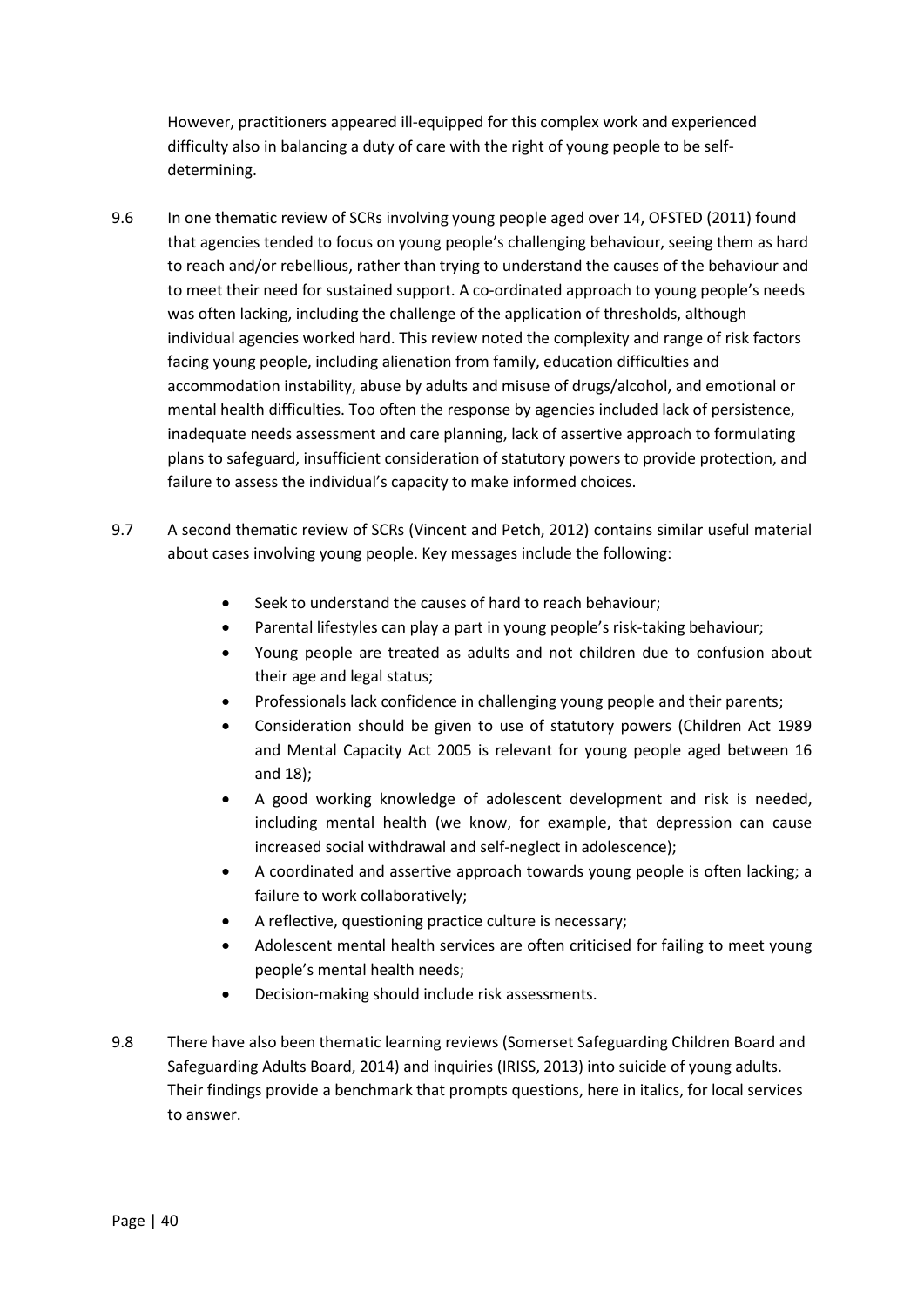However, practitioners appeared ill-equipped for this complex work and experienced difficulty also in balancing a duty of care with the right of young people to be selfdetermining.

- 9.6 In one thematic review of SCRs involving young people aged over 14, OFSTED (2011) found that agencies tended to focus on young people's challenging behaviour, seeing them as hard to reach and/or rebellious, rather than trying to understand the causes of the behaviour and to meet their need for sustained support. A co-ordinated approach to young people's needs was often lacking, including the challenge of the application of thresholds, although individual agencies worked hard. This review noted the complexity and range of risk factors facing young people, including alienation from family, education difficulties and accommodation instability, abuse by adults and misuse of drugs/alcohol, and emotional or mental health difficulties. Too often the response by agencies included lack of persistence, inadequate needs assessment and care planning, lack of assertive approach to formulating plans to safeguard, insufficient consideration of statutory powers to provide protection, and failure to assess the individual's capacity to make informed choices.
- 9.7 A second thematic review of SCRs (Vincent and Petch, 2012) contains similar useful material about cases involving young people. Key messages include the following:
	- Seek to understand the causes of hard to reach behaviour;
	- Parental lifestyles can play a part in young people's risk-taking behaviour;
	- Young people are treated as adults and not children due to confusion about their age and legal status;
	- Professionals lack confidence in challenging young people and their parents;
	- Consideration should be given to use of statutory powers (Children Act 1989 and Mental Capacity Act 2005 is relevant for young people aged between 16 and 18);
	- A good working knowledge of adolescent development and risk is needed, including mental health (we know, for example, that depression can cause increased social withdrawal and self-neglect in adolescence);
	- A coordinated and assertive approach towards young people is often lacking; a failure to work collaboratively;
	- A reflective, questioning practice culture is necessary;
	- Adolescent mental health services are often criticised for failing to meet young people's mental health needs;
	- Decision-making should include risk assessments.
- 9.8 There have also been thematic learning reviews (Somerset Safeguarding Children Board and Safeguarding Adults Board, 2014) and inquiries (IRISS, 2013) into suicide of young adults. Their findings provide a benchmark that prompts questions, here in italics, for local services to answer.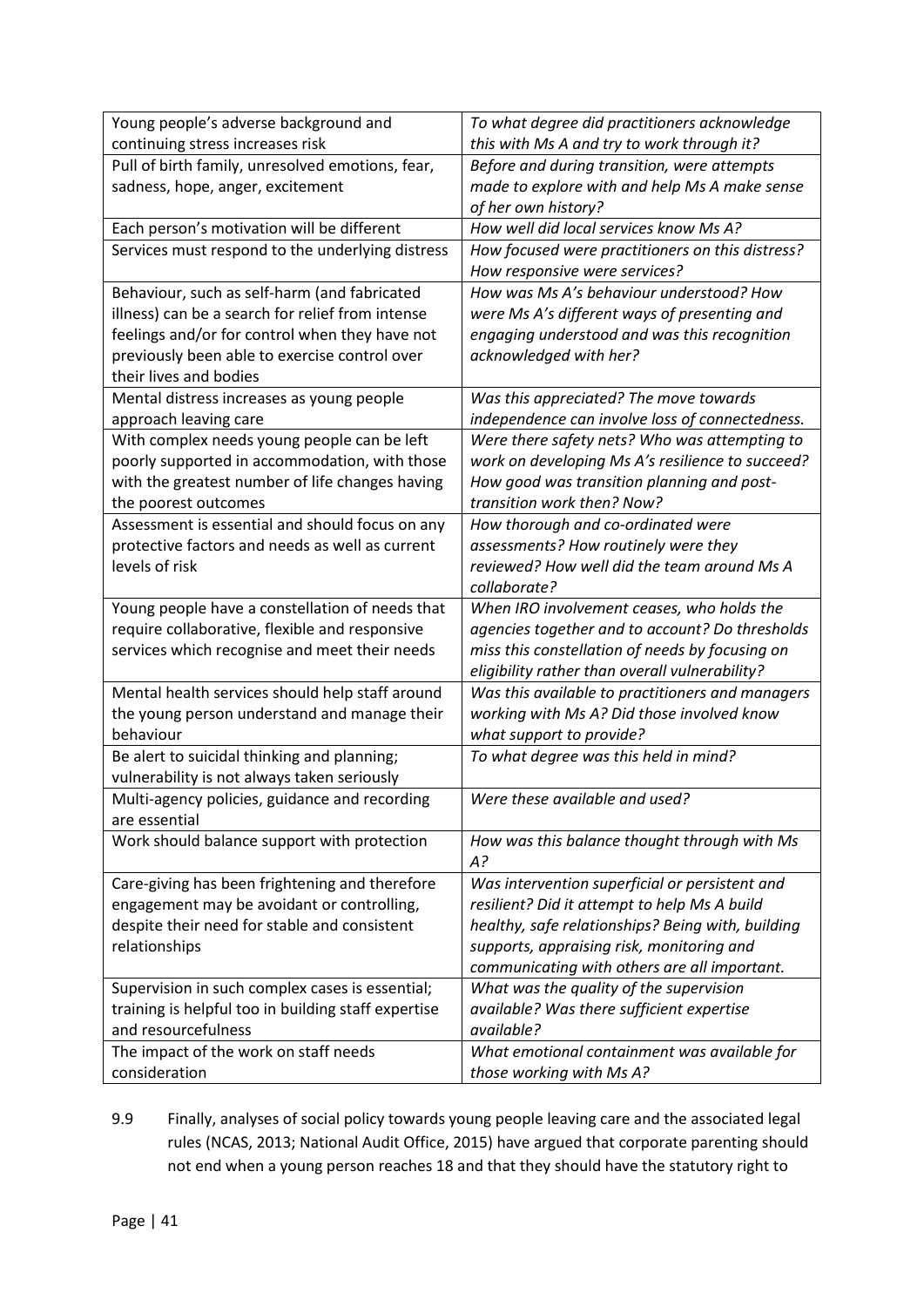| Young people's adverse background and                                                             | To what degree did practitioners acknowledge                                                       |
|---------------------------------------------------------------------------------------------------|----------------------------------------------------------------------------------------------------|
| continuing stress increases risk                                                                  | this with Ms A and try to work through it?                                                         |
| Pull of birth family, unresolved emotions, fear,                                                  | Before and during transition, were attempts                                                        |
| sadness, hope, anger, excitement                                                                  | made to explore with and help Ms A make sense                                                      |
|                                                                                                   | of her own history?                                                                                |
| Each person's motivation will be different                                                        | How well did local services know Ms A?                                                             |
| Services must respond to the underlying distress                                                  | How focused were practitioners on this distress?                                                   |
|                                                                                                   | How responsive were services?                                                                      |
| Behaviour, such as self-harm (and fabricated                                                      | How was Ms A's behaviour understood? How                                                           |
| illness) can be a search for relief from intense                                                  | were Ms A's different ways of presenting and                                                       |
| feelings and/or for control when they have not                                                    | engaging understood and was this recognition                                                       |
| previously been able to exercise control over                                                     | acknowledged with her?                                                                             |
| their lives and bodies                                                                            |                                                                                                    |
| Mental distress increases as young people                                                         | Was this appreciated? The move towards                                                             |
| approach leaving care                                                                             | independence can involve loss of connectedness.                                                    |
| With complex needs young people can be left                                                       | Were there safety nets? Who was attempting to                                                      |
| poorly supported in accommodation, with those                                                     | work on developing Ms A's resilience to succeed?                                                   |
| with the greatest number of life changes having                                                   | How good was transition planning and post-                                                         |
| the poorest outcomes                                                                              | transition work then? Now?                                                                         |
| Assessment is essential and should focus on any                                                   | How thorough and co-ordinated were                                                                 |
| protective factors and needs as well as current                                                   | assessments? How routinely were they                                                               |
| levels of risk                                                                                    | reviewed? How well did the team around Ms A                                                        |
|                                                                                                   | collaborate?                                                                                       |
| Young people have a constellation of needs that<br>require collaborative, flexible and responsive | When IRO involvement ceases, who holds the                                                         |
| services which recognise and meet their needs                                                     | agencies together and to account? Do thresholds<br>miss this constellation of needs by focusing on |
|                                                                                                   | eligibility rather than overall vulnerability?                                                     |
| Mental health services should help staff around                                                   | Was this available to practitioners and managers                                                   |
| the young person understand and manage their                                                      | working with Ms A? Did those involved know                                                         |
| behaviour                                                                                         | what support to provide?                                                                           |
| Be alert to suicidal thinking and planning;                                                       | To what degree was this held in mind?                                                              |
| vulnerability is not always taken seriously                                                       |                                                                                                    |
| Multi-agency policies, guidance and recording                                                     | Were these available and used?                                                                     |
| are essential                                                                                     |                                                                                                    |
| Work should balance support with protection                                                       | How was this balance thought through with Ms                                                       |
|                                                                                                   | A?                                                                                                 |
| Care-giving has been frightening and therefore                                                    | Was intervention superficial or persistent and                                                     |
| engagement may be avoidant or controlling,                                                        | resilient? Did it attempt to help Ms A build                                                       |
| despite their need for stable and consistent                                                      | healthy, safe relationships? Being with, building                                                  |
| relationships                                                                                     | supports, appraising risk, monitoring and                                                          |
|                                                                                                   | communicating with others are all important.                                                       |
| Supervision in such complex cases is essential;                                                   | What was the quality of the supervision                                                            |
| training is helpful too in building staff expertise                                               | available? Was there sufficient expertise                                                          |
| and resourcefulness                                                                               | available?                                                                                         |
| The impact of the work on staff needs                                                             | What emotional containment was available for                                                       |
| consideration                                                                                     | those working with Ms A?                                                                           |

9.9 Finally, analyses of social policy towards young people leaving care and the associated legal rules (NCAS, 2013; National Audit Office, 2015) have argued that corporate parenting should not end when a young person reaches 18 and that they should have the statutory right to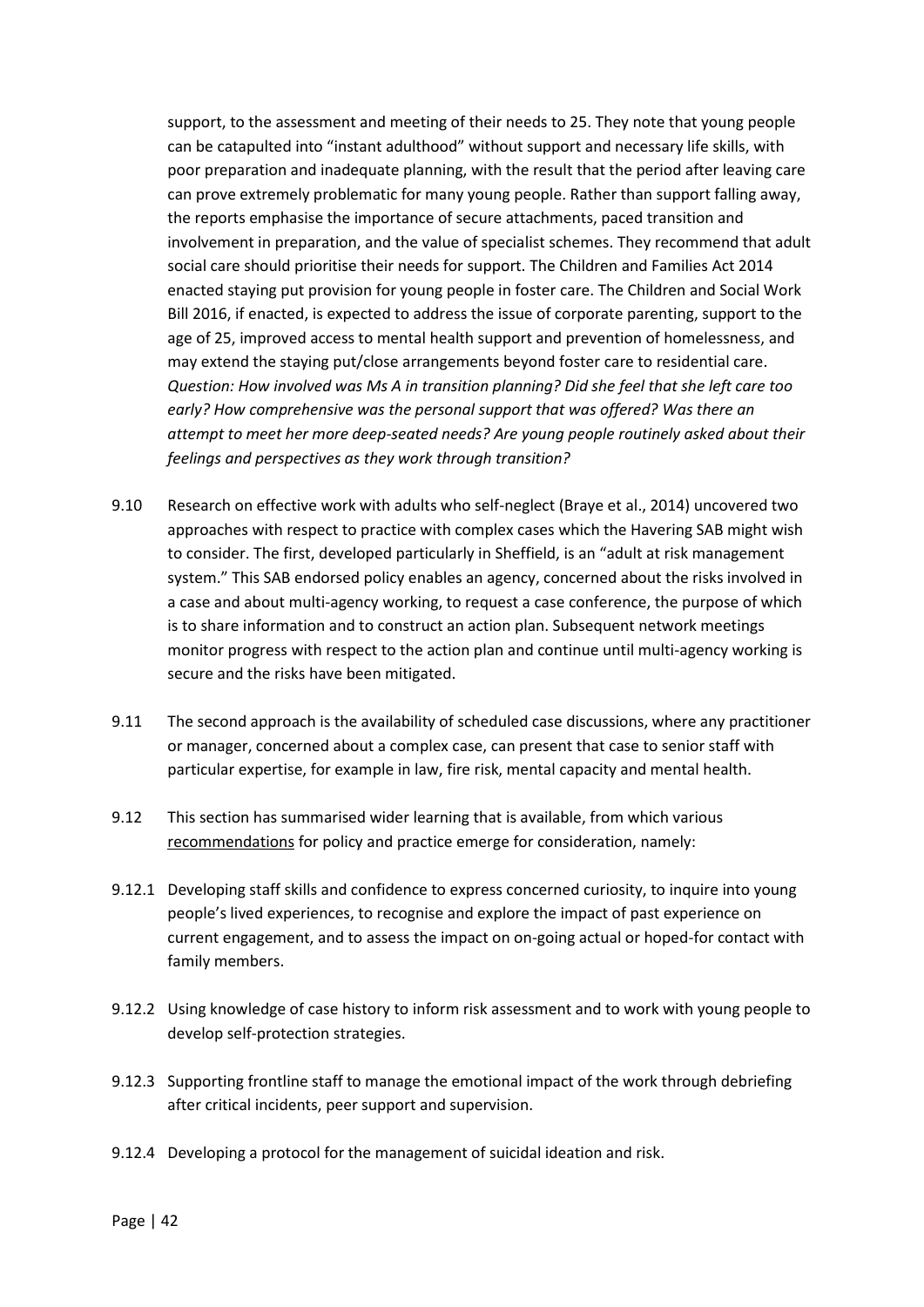support, to the assessment and meeting of their needs to 25. They note that young people can be catapulted into "instant adulthood" without support and necessary life skills, with poor preparation and inadequate planning, with the result that the period after leaving care can prove extremely problematic for many young people. Rather than support falling away, the reports emphasise the importance of secure attachments, paced transition and involvement in preparation, and the value of specialist schemes. They recommend that adult social care should prioritise their needs for support. The Children and Families Act 2014 enacted staying put provision for young people in foster care. The Children and Social Work Bill 2016, if enacted, is expected to address the issue of corporate parenting, support to the age of 25, improved access to mental health support and prevention of homelessness, and may extend the staying put/close arrangements beyond foster care to residential care. *Question: How involved was Ms A in transition planning? Did she feel that she left care too early? How comprehensive was the personal support that was offered? Was there an attempt to meet her more deep-seated needs? Are young people routinely asked about their feelings and perspectives as they work through transition?* 

- 9.10 Research on effective work with adults who self-neglect (Braye et al., 2014) uncovered two approaches with respect to practice with complex cases which the Havering SAB might wish to consider. The first, developed particularly in Sheffield, is an "adult at risk management system." This SAB endorsed policy enables an agency, concerned about the risks involved in a case and about multi-agency working, to request a case conference, the purpose of which is to share information and to construct an action plan. Subsequent network meetings monitor progress with respect to the action plan and continue until multi-agency working is secure and the risks have been mitigated.
- 9.11 The second approach is the availability of scheduled case discussions, where any practitioner or manager, concerned about a complex case, can present that case to senior staff with particular expertise, for example in law, fire risk, mental capacity and mental health.
- 9.12 This section has summarised wider learning that is available, from which various recommendations for policy and practice emerge for consideration, namely:
- 9.12.1 Developing staff skills and confidence to express concerned curiosity, to inquire into young people's lived experiences, to recognise and explore the impact of past experience on current engagement, and to assess the impact on on-going actual or hoped-for contact with family members.
- 9.12.2 Using knowledge of case history to inform risk assessment and to work with young people to develop self-protection strategies.
- 9.12.3 Supporting frontline staff to manage the emotional impact of the work through debriefing after critical incidents, peer support and supervision.
- 9.12.4 Developing a protocol for the management of suicidal ideation and risk.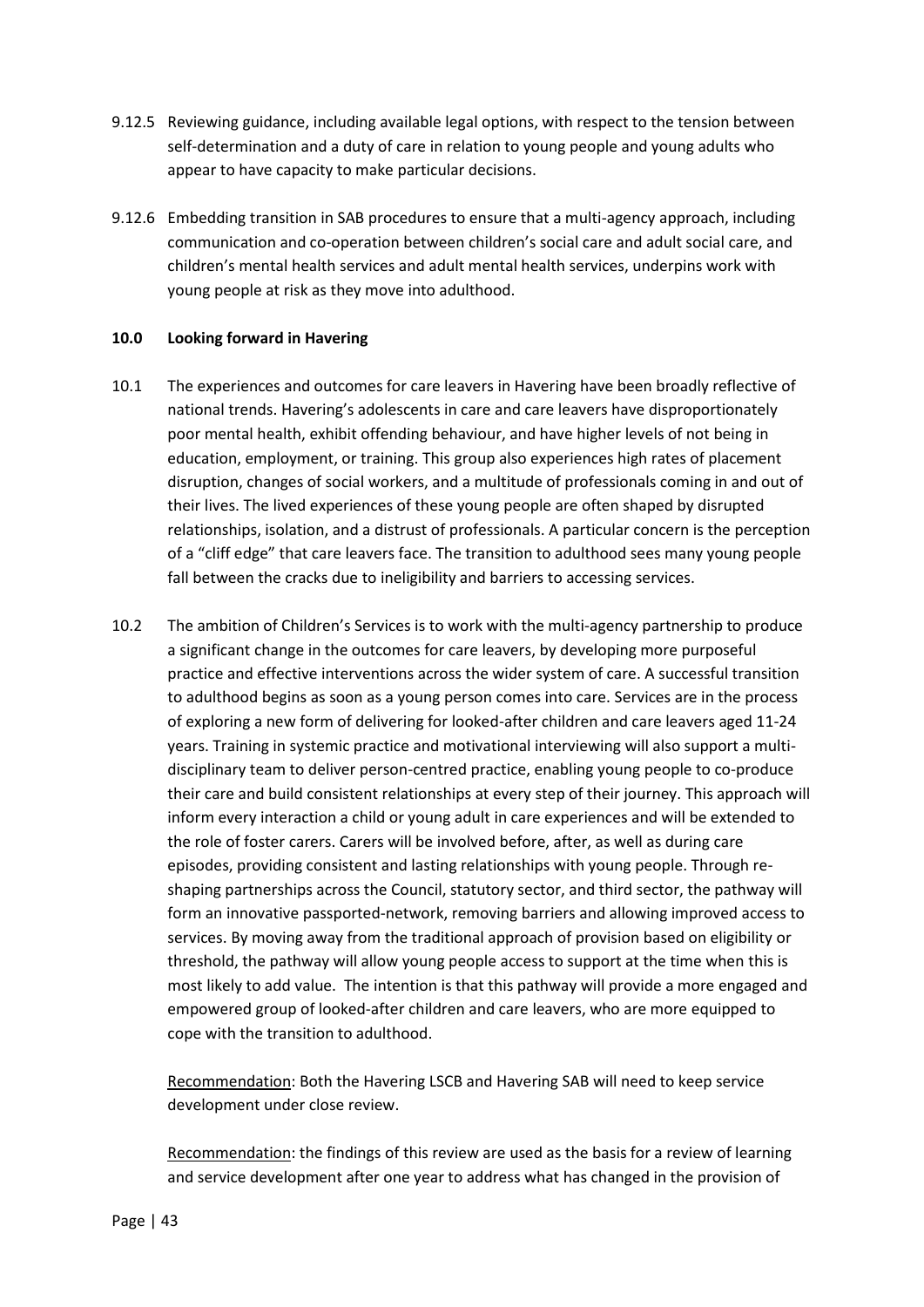- 9.12.5 Reviewing guidance, including available legal options, with respect to the tension between self-determination and a duty of care in relation to young people and young adults who appear to have capacity to make particular decisions.
- 9.12.6 Embedding transition in SAB procedures to ensure that a multi-agency approach, including communication and co-operation between children's social care and adult social care, and children's mental health services and adult mental health services, underpins work with young people at risk as they move into adulthood.

## **10.0 Looking forward in Havering**

- 10.1 The experiences and outcomes for care leavers in Havering have been broadly reflective of national trends. Havering's adolescents in care and care leavers have disproportionately poor mental health, exhibit offending behaviour, and have higher levels of not being in education, employment, or training. This group also experiences high rates of placement disruption, changes of social workers, and a multitude of professionals coming in and out of their lives. The lived experiences of these young people are often shaped by disrupted relationships, isolation, and a distrust of professionals. A particular concern is the perception of a "cliff edge" that care leavers face. The transition to adulthood sees many young people fall between the cracks due to ineligibility and barriers to accessing services.
- 10.2 The ambition of Children's Services is to work with the multi-agency partnership to produce a significant change in the outcomes for care leavers, by developing more purposeful practice and effective interventions across the wider system of care. A successful transition to adulthood begins as soon as a young person comes into care. Services are in the process of exploring a new form of delivering for looked-after children and care leavers aged 11-24 years. Training in systemic practice and motivational interviewing will also support a multidisciplinary team to deliver person-centred practice, enabling young people to co-produce their care and build consistent relationships at every step of their journey. This approach will inform every interaction a child or young adult in care experiences and will be extended to the role of foster carers. Carers will be involved before, after, as well as during care episodes, providing consistent and lasting relationships with young people. Through reshaping partnerships across the Council, statutory sector, and third sector, the pathway will form an innovative passported-network, removing barriers and allowing improved access to services. By moving away from the traditional approach of provision based on eligibility or threshold, the pathway will allow young people access to support at the time when this is most likely to add value. The intention is that this pathway will provide a more engaged and empowered group of looked-after children and care leavers, who are more equipped to cope with the transition to adulthood.

Recommendation: Both the Havering LSCB and Havering SAB will need to keep service development under close review.

Recommendation: the findings of this review are used as the basis for a review of learning and service development after one year to address what has changed in the provision of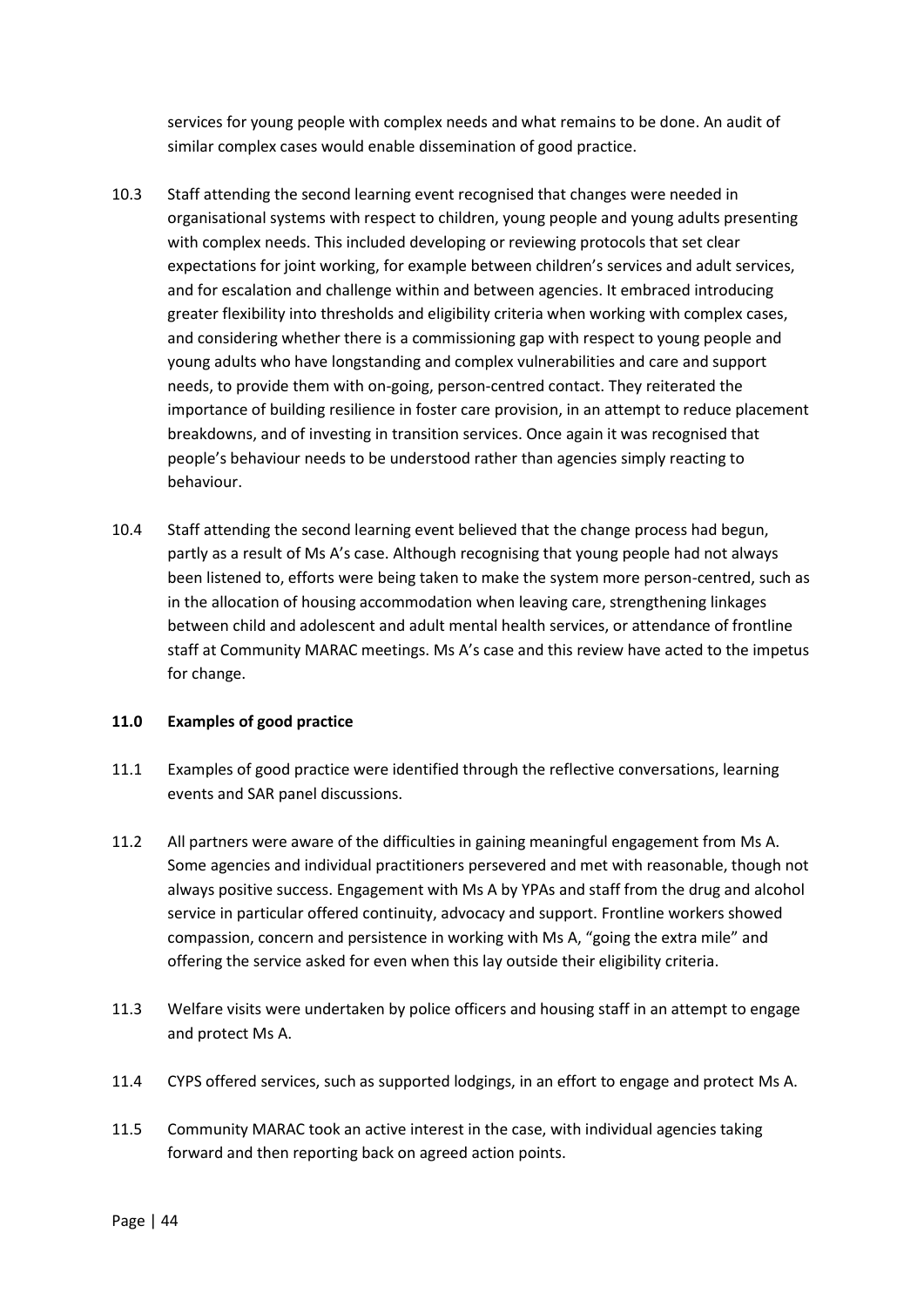services for young people with complex needs and what remains to be done. An audit of similar complex cases would enable dissemination of good practice.

- 10.3 Staff attending the second learning event recognised that changes were needed in organisational systems with respect to children, young people and young adults presenting with complex needs. This included developing or reviewing protocols that set clear expectations for joint working, for example between children's services and adult services. and for escalation and challenge within and between agencies. It embraced introducing greater flexibility into thresholds and eligibility criteria when working with complex cases, and considering whether there is a commissioning gap with respect to young people and young adults who have longstanding and complex vulnerabilities and care and support needs, to provide them with on-going, person-centred contact. They reiterated the importance of building resilience in foster care provision, in an attempt to reduce placement breakdowns, and of investing in transition services. Once again it was recognised that people's behaviour needs to be understood rather than agencies simply reacting to behaviour.
- 10.4 Staff attending the second learning event believed that the change process had begun, partly as a result of Ms A's case. Although recognising that young people had not always been listened to, efforts were being taken to make the system more person-centred, such as in the allocation of housing accommodation when leaving care, strengthening linkages between child and adolescent and adult mental health services, or attendance of frontline staff at Community MARAC meetings. Ms A's case and this review have acted to the impetus for change.

#### **11.0 Examples of good practice**

- 11.1 Examples of good practice were identified through the reflective conversations, learning events and SAR panel discussions.
- 11.2 All partners were aware of the difficulties in gaining meaningful engagement from Ms A. Some agencies and individual practitioners persevered and met with reasonable, though not always positive success. Engagement with Ms A by YPAs and staff from the drug and alcohol service in particular offered continuity, advocacy and support. Frontline workers showed compassion, concern and persistence in working with Ms A, "going the extra mile" and offering the service asked for even when this lay outside their eligibility criteria.
- 11.3 Welfare visits were undertaken by police officers and housing staff in an attempt to engage and protect Ms A.
- 11.4 CYPS offered services, such as supported lodgings, in an effort to engage and protect Ms A.
- 11.5 Community MARAC took an active interest in the case, with individual agencies taking forward and then reporting back on agreed action points.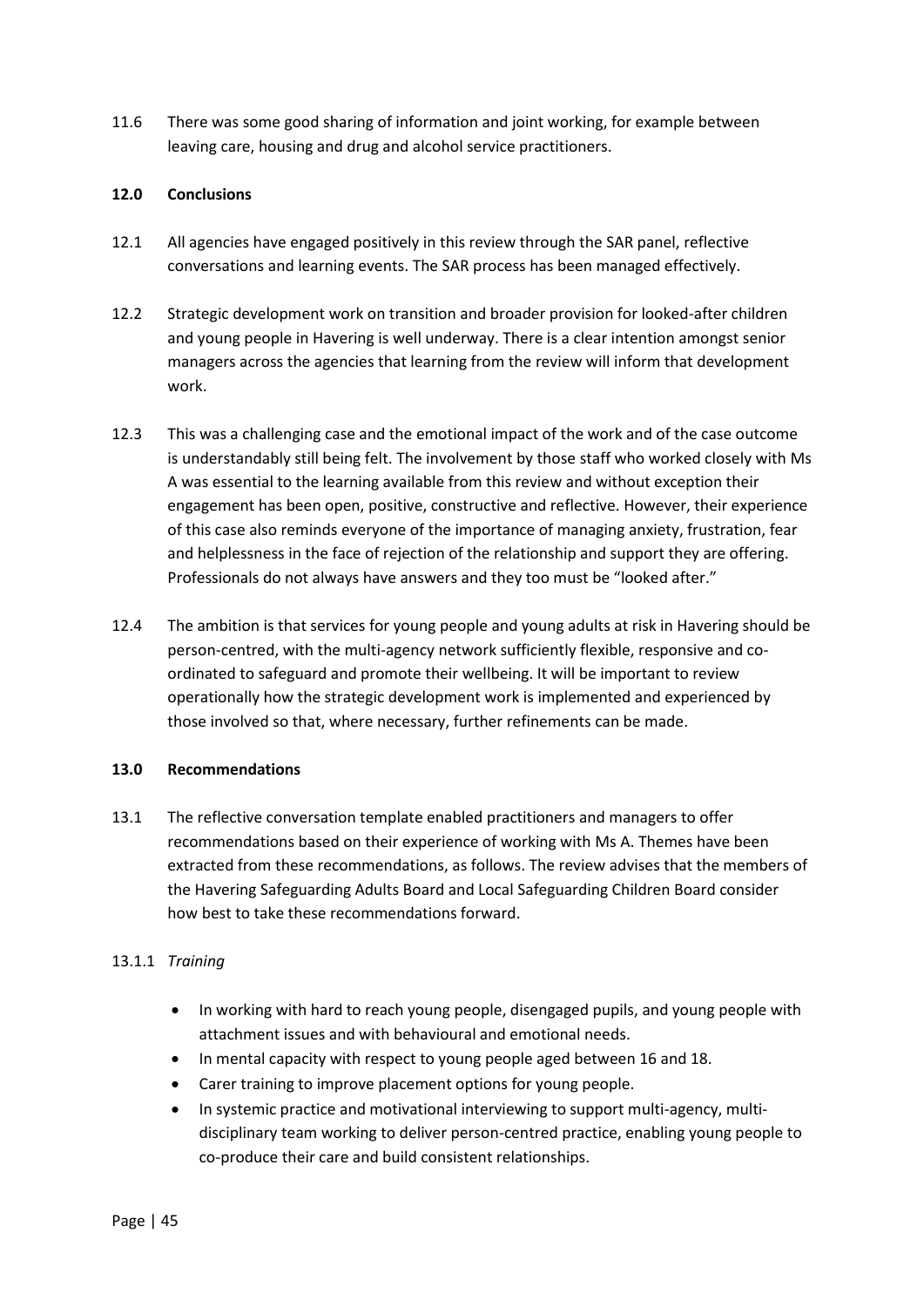11.6 There was some good sharing of information and joint working, for example between leaving care, housing and drug and alcohol service practitioners.

## **12.0 Conclusions**

- 12.1 All agencies have engaged positively in this review through the SAR panel, reflective conversations and learning events. The SAR process has been managed effectively.
- 12.2 Strategic development work on transition and broader provision for looked-after children and young people in Havering is well underway. There is a clear intention amongst senior managers across the agencies that learning from the review will inform that development work.
- 12.3 This was a challenging case and the emotional impact of the work and of the case outcome is understandably still being felt. The involvement by those staff who worked closely with Ms A was essential to the learning available from this review and without exception their engagement has been open, positive, constructive and reflective. However, their experience of this case also reminds everyone of the importance of managing anxiety, frustration, fear and helplessness in the face of rejection of the relationship and support they are offering. Professionals do not always have answers and they too must be "looked after."
- 12.4 The ambition is that services for young people and young adults at risk in Havering should be person-centred, with the multi-agency network sufficiently flexible, responsive and coordinated to safeguard and promote their wellbeing. It will be important to review operationally how the strategic development work is implemented and experienced by those involved so that, where necessary, further refinements can be made.

#### **13.0 Recommendations**

13.1 The reflective conversation template enabled practitioners and managers to offer recommendations based on their experience of working with Ms A. Themes have been extracted from these recommendations, as follows. The review advises that the members of the Havering Safeguarding Adults Board and Local Safeguarding Children Board consider how best to take these recommendations forward.

# 13.1.1 *Training*

- In working with hard to reach young people, disengaged pupils, and young people with attachment issues and with behavioural and emotional needs.
- In mental capacity with respect to young people aged between 16 and 18.
- Carer training to improve placement options for young people.
- In systemic practice and motivational interviewing to support multi-agency, multidisciplinary team working to deliver person-centred practice, enabling young people to co-produce their care and build consistent relationships.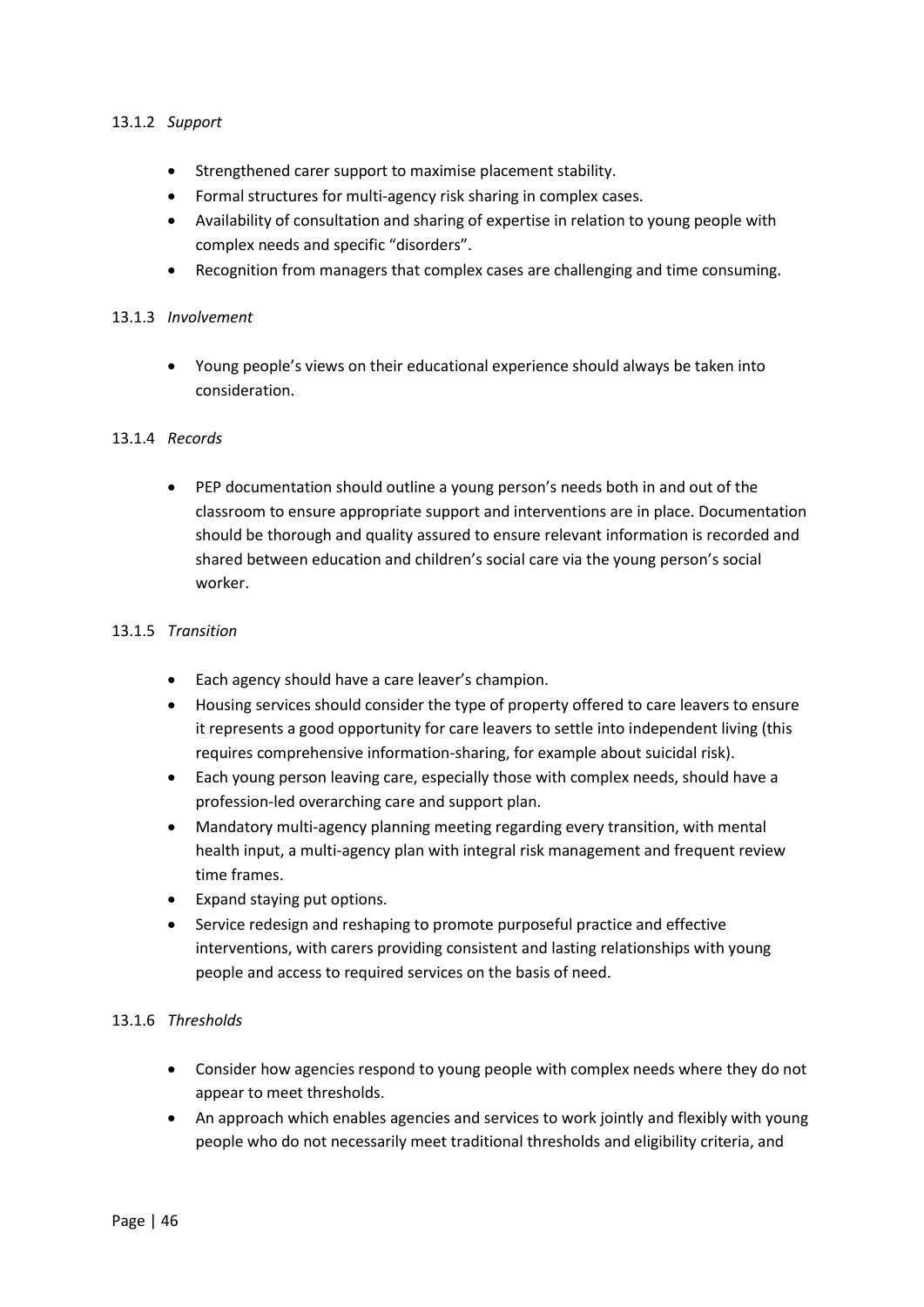## 13.1.2 *Support*

- Strengthened carer support to maximise placement stability.
- Formal structures for multi-agency risk sharing in complex cases.
- Availability of consultation and sharing of expertise in relation to young people with complex needs and specific "disorders".
- Recognition from managers that complex cases are challenging and time consuming.

#### 13.1.3 *Involvement*

 Young people's views on their educational experience should always be taken into consideration.

#### 13.1.4 *Records*

 PEP documentation should outline a young person's needs both in and out of the classroom to ensure appropriate support and interventions are in place. Documentation should be thorough and quality assured to ensure relevant information is recorded and shared between education and children's social care via the young person's social worker.

#### 13.1.5 *Transition*

- Each agency should have a care leaver's champion.
- Housing services should consider the type of property offered to care leavers to ensure it represents a good opportunity for care leavers to settle into independent living (this requires comprehensive information-sharing, for example about suicidal risk).
- Each young person leaving care, especially those with complex needs, should have a profession-led overarching care and support plan.
- Mandatory multi-agency planning meeting regarding every transition, with mental health input, a multi-agency plan with integral risk management and frequent review time frames.
- Expand staying put options.
- Service redesign and reshaping to promote purposeful practice and effective interventions, with carers providing consistent and lasting relationships with young people and access to required services on the basis of need.

#### 13.1.6 *Thresholds*

- Consider how agencies respond to young people with complex needs where they do not appear to meet thresholds.
- An approach which enables agencies and services to work jointly and flexibly with young people who do not necessarily meet traditional thresholds and eligibility criteria, and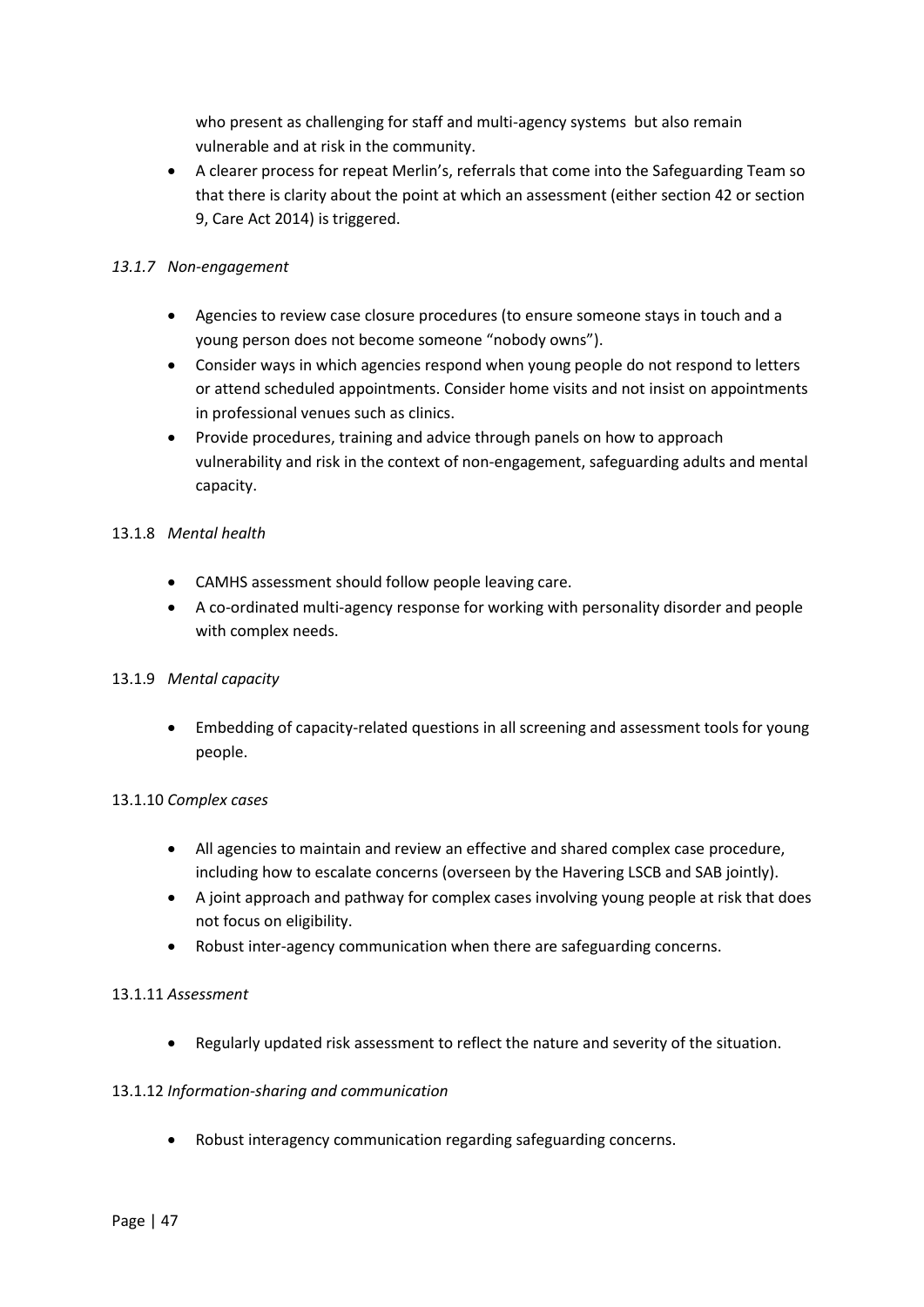who present as challenging for staff and multi-agency systems but also remain vulnerable and at risk in the community.

 A clearer process for repeat Merlin's, referrals that come into the Safeguarding Team so that there is clarity about the point at which an assessment (either section 42 or section 9, Care Act 2014) is triggered.

# *13.1.7 Non-engagement*

- Agencies to review case closure procedures (to ensure someone stays in touch and a young person does not become someone "nobody owns").
- Consider ways in which agencies respond when young people do not respond to letters or attend scheduled appointments. Consider home visits and not insist on appointments in professional venues such as clinics.
- Provide procedures, training and advice through panels on how to approach vulnerability and risk in the context of non-engagement, safeguarding adults and mental capacity.

# 13.1.8 *Mental health*

- CAMHS assessment should follow people leaving care.
- A co-ordinated multi-agency response for working with personality disorder and people with complex needs.

# 13.1.9 *Mental capacity*

 Embedding of capacity-related questions in all screening and assessment tools for young people.

# 13.1.10 *Complex cases*

- All agencies to maintain and review an effective and shared complex case procedure, including how to escalate concerns (overseen by the Havering LSCB and SAB jointly).
- A joint approach and pathway for complex cases involving young people at risk that does not focus on eligibility.
- Robust inter-agency communication when there are safeguarding concerns.

# 13.1.11 *Assessment*

Regularly updated risk assessment to reflect the nature and severity of the situation.

# 13.1.12 *Information-sharing and communication*

Robust interagency communication regarding safeguarding concerns.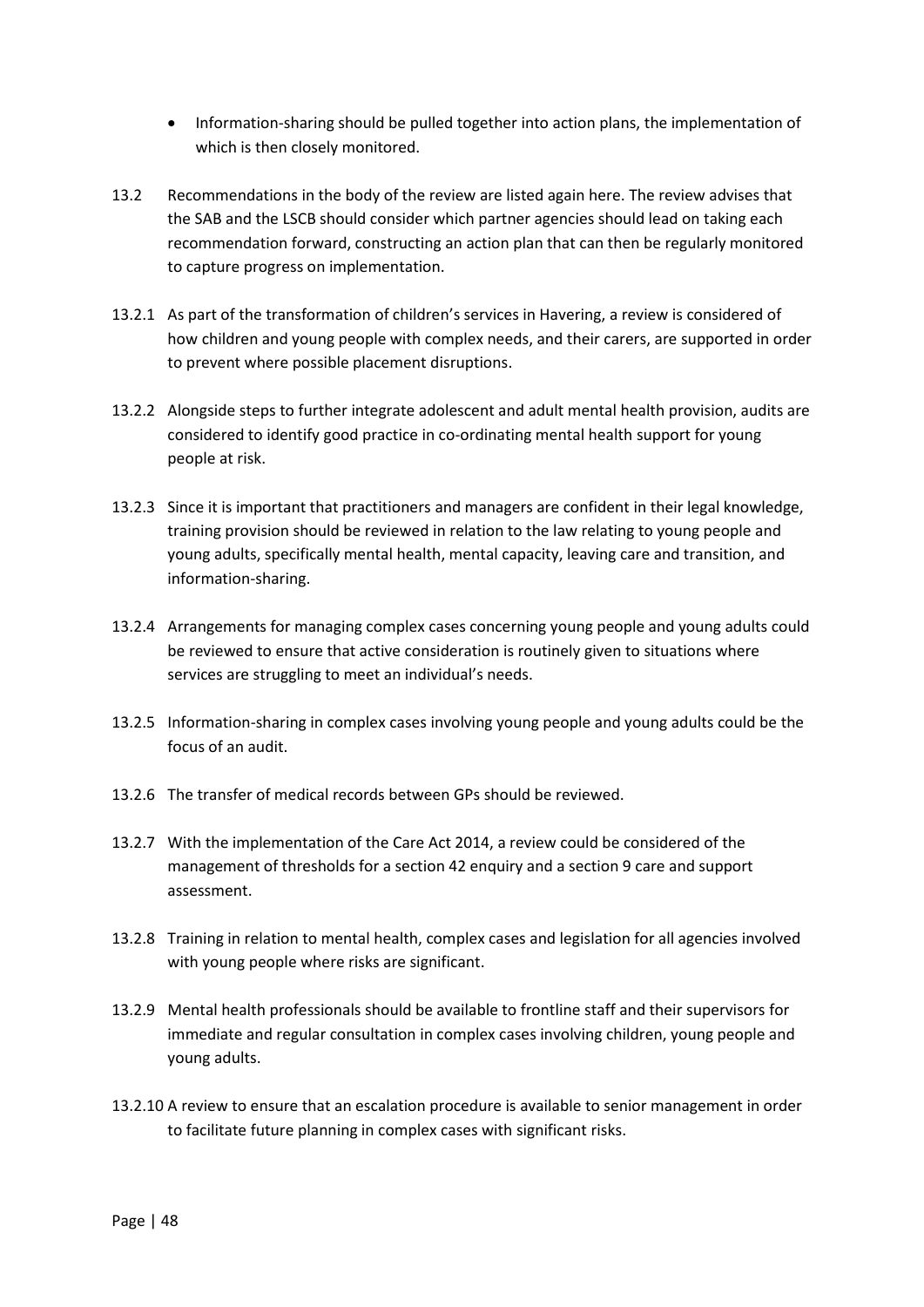- Information-sharing should be pulled together into action plans, the implementation of which is then closely monitored.
- 13.2 Recommendations in the body of the review are listed again here. The review advises that the SAB and the LSCB should consider which partner agencies should lead on taking each recommendation forward, constructing an action plan that can then be regularly monitored to capture progress on implementation.
- 13.2.1 As part of the transformation of children's services in Havering, a review is considered of how children and young people with complex needs, and their carers, are supported in order to prevent where possible placement disruptions.
- 13.2.2 Alongside steps to further integrate adolescent and adult mental health provision, audits are considered to identify good practice in co-ordinating mental health support for young people at risk.
- 13.2.3 Since it is important that practitioners and managers are confident in their legal knowledge, training provision should be reviewed in relation to the law relating to young people and young adults, specifically mental health, mental capacity, leaving care and transition, and information-sharing.
- 13.2.4 Arrangements for managing complex cases concerning young people and young adults could be reviewed to ensure that active consideration is routinely given to situations where services are struggling to meet an individual's needs.
- 13.2.5 Information-sharing in complex cases involving young people and young adults could be the focus of an audit.
- 13.2.6 The transfer of medical records between GPs should be reviewed.
- 13.2.7 With the implementation of the Care Act 2014, a review could be considered of the management of thresholds for a section 42 enquiry and a section 9 care and support assessment.
- 13.2.8 Training in relation to mental health, complex cases and legislation for all agencies involved with young people where risks are significant.
- 13.2.9 Mental health professionals should be available to frontline staff and their supervisors for immediate and regular consultation in complex cases involving children, young people and young adults.
- 13.2.10 A review to ensure that an escalation procedure is available to senior management in order to facilitate future planning in complex cases with significant risks.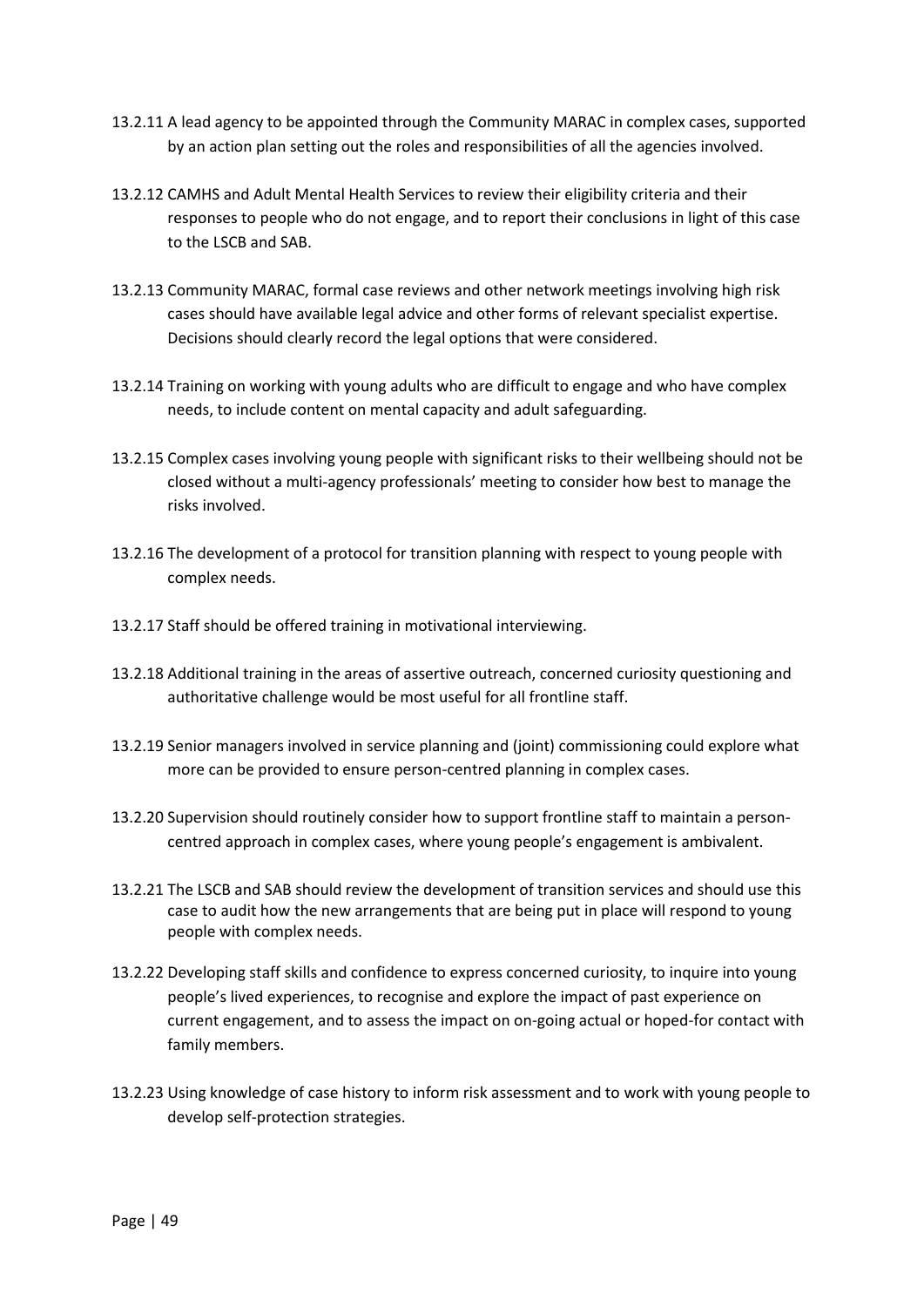- 13.2.11 A lead agency to be appointed through the Community MARAC in complex cases, supported by an action plan setting out the roles and responsibilities of all the agencies involved.
- 13.2.12 CAMHS and Adult Mental Health Services to review their eligibility criteria and their responses to people who do not engage, and to report their conclusions in light of this case to the LSCB and SAB.
- 13.2.13 Community MARAC, formal case reviews and other network meetings involving high risk cases should have available legal advice and other forms of relevant specialist expertise. Decisions should clearly record the legal options that were considered.
- 13.2.14 Training on working with young adults who are difficult to engage and who have complex needs, to include content on mental capacity and adult safeguarding.
- 13.2.15 Complex cases involving young people with significant risks to their wellbeing should not be closed without a multi-agency professionals' meeting to consider how best to manage the risks involved.
- 13.2.16 The development of a protocol for transition planning with respect to young people with complex needs.
- 13.2.17 Staff should be offered training in motivational interviewing.
- 13.2.18 Additional training in the areas of assertive outreach, concerned curiosity questioning and authoritative challenge would be most useful for all frontline staff.
- 13.2.19 Senior managers involved in service planning and (joint) commissioning could explore what more can be provided to ensure person-centred planning in complex cases.
- 13.2.20 Supervision should routinely consider how to support frontline staff to maintain a personcentred approach in complex cases, where young people's engagement is ambivalent.
- 13.2.21 The LSCB and SAB should review the development of transition services and should use this case to audit how the new arrangements that are being put in place will respond to young people with complex needs.
- 13.2.22 Developing staff skills and confidence to express concerned curiosity, to inquire into young people's lived experiences, to recognise and explore the impact of past experience on current engagement, and to assess the impact on on-going actual or hoped-for contact with family members.
- 13.2.23 Using knowledge of case history to inform risk assessment and to work with young people to develop self-protection strategies.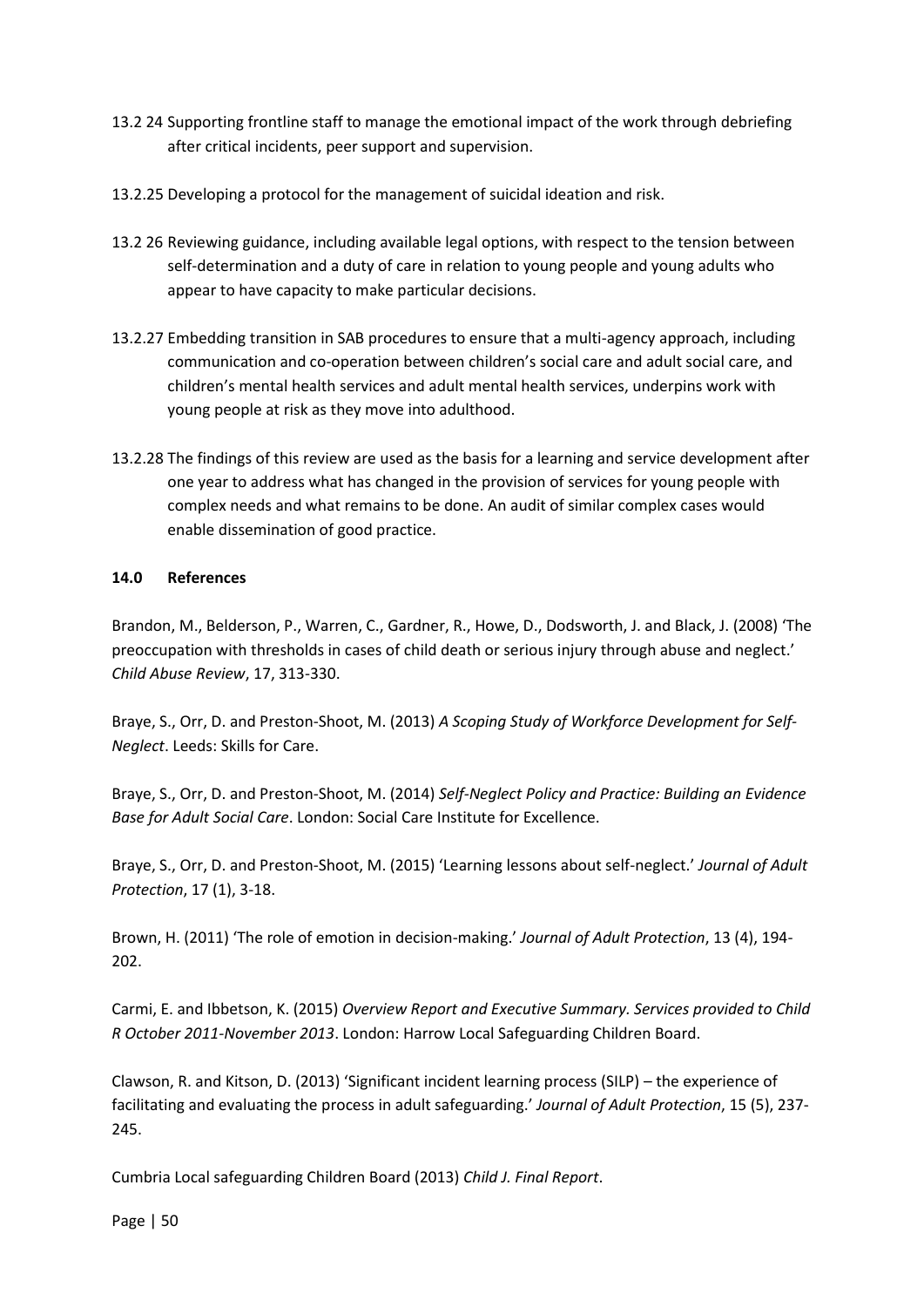- 13.2 24 Supporting frontline staff to manage the emotional impact of the work through debriefing after critical incidents, peer support and supervision.
- 13.2.25 Developing a protocol for the management of suicidal ideation and risk.
- 13.2 26 Reviewing guidance, including available legal options, with respect to the tension between self-determination and a duty of care in relation to young people and young adults who appear to have capacity to make particular decisions.
- 13.2.27 Embedding transition in SAB procedures to ensure that a multi-agency approach, including communication and co-operation between children's social care and adult social care, and children's mental health services and adult mental health services, underpins work with young people at risk as they move into adulthood.
- 13.2.28 The findings of this review are used as the basis for a learning and service development after one year to address what has changed in the provision of services for young people with complex needs and what remains to be done. An audit of similar complex cases would enable dissemination of good practice.

## **14.0 References**

Brandon, M., Belderson, P., Warren, C., Gardner, R., Howe, D., Dodsworth, J. and Black, J. (2008) 'The preoccupation with thresholds in cases of child death or serious injury through abuse and neglect.' *Child Abuse Review*, 17, 313-330.

Braye, S., Orr, D. and Preston-Shoot, M. (2013) *A Scoping Study of Workforce Development for Self-Neglect*. Leeds: Skills for Care.

Braye, S., Orr, D. and Preston-Shoot, M. (2014) *Self-Neglect Policy and Practice: Building an Evidence Base for Adult Social Care*. London: Social Care Institute for Excellence.

Braye, S., Orr, D. and Preston-Shoot, M. (2015) 'Learning lessons about self-neglect.' *Journal of Adult Protection*, 17 (1), 3-18.

Brown, H. (2011) 'The role of emotion in decision-making.' *Journal of Adult Protection*, 13 (4), 194- 202.

Carmi, E. and Ibbetson, K. (2015) *Overview Report and Executive Summary. Services provided to Child R October 2011-November 2013*. London: Harrow Local Safeguarding Children Board.

Clawson, R. and Kitson, D. (2013) 'Significant incident learning process (SILP) – the experience of facilitating and evaluating the process in adult safeguarding.' *Journal of Adult Protection*, 15 (5), 237- 245.

Cumbria Local safeguarding Children Board (2013) *Child J. Final Report*.

Page | 50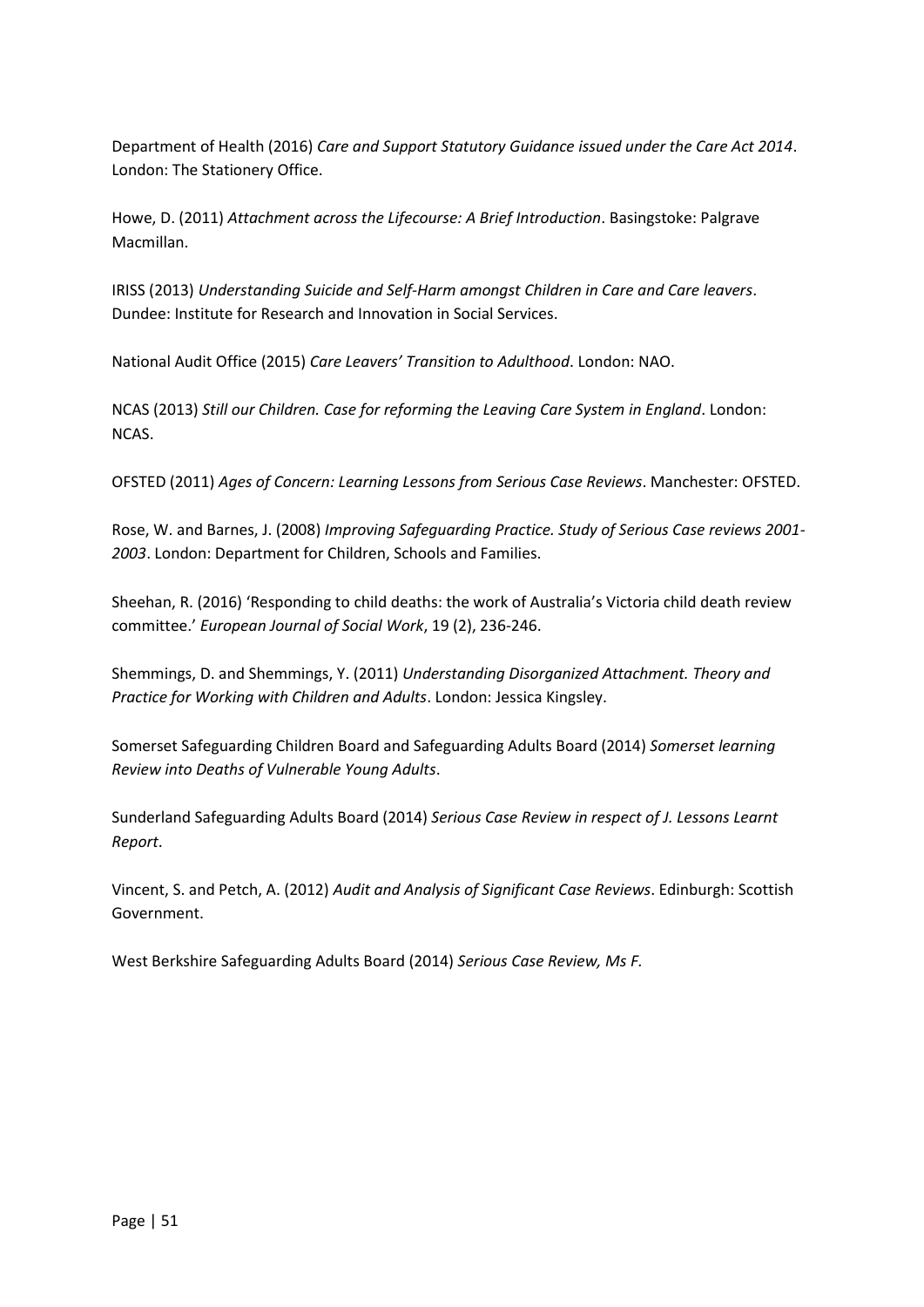Department of Health (2016) *Care and Support Statutory Guidance issued under the Care Act 2014*. London: The Stationery Office.

Howe, D. (2011) *Attachment across the Lifecourse: A Brief Introduction*. Basingstoke: Palgrave Macmillan.

IRISS (2013) *Understanding Suicide and Self-Harm amongst Children in Care and Care leavers*. Dundee: Institute for Research and Innovation in Social Services.

National Audit Office (2015) *Care Leavers' Transition to Adulthood*. London: NAO.

NCAS (2013) *Still our Children. Case for reforming the Leaving Care System in England*. London: NCAS.

OFSTED (2011) *Ages of Concern: Learning Lessons from Serious Case Reviews*. Manchester: OFSTED.

Rose, W. and Barnes, J. (2008) *Improving Safeguarding Practice. Study of Serious Case reviews 2001- 2003*. London: Department for Children, Schools and Families.

Sheehan, R. (2016) 'Responding to child deaths: the work of Australia's Victoria child death review committee.' *European Journal of Social Work*, 19 (2), 236-246.

Shemmings, D. and Shemmings, Y. (2011) *Understanding Disorganized Attachment. Theory and Practice for Working with Children and Adults*. London: Jessica Kingsley.

Somerset Safeguarding Children Board and Safeguarding Adults Board (2014) *Somerset learning Review into Deaths of Vulnerable Young Adults*.

Sunderland Safeguarding Adults Board (2014) *Serious Case Review in respect of J. Lessons Learnt Report*.

Vincent, S. and Petch, A. (2012) *Audit and Analysis of Significant Case Reviews*. Edinburgh: Scottish Government.

West Berkshire Safeguarding Adults Board (2014) *Serious Case Review, Ms F.*